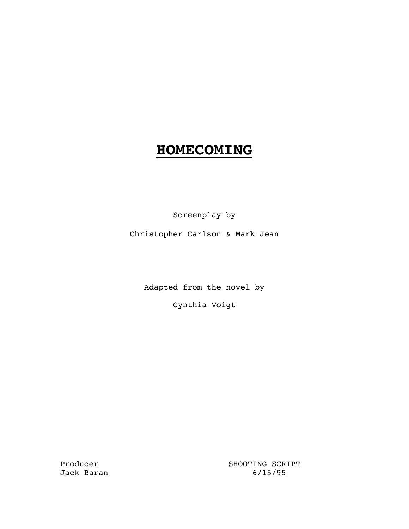# **HOMECOMING**

Screenplay by

Christopher Carlson & Mark Jean

Adapted from the novel by

Cynthia Voigt

Producer SHOOTING SCRIPT Jack Baran 6/15/95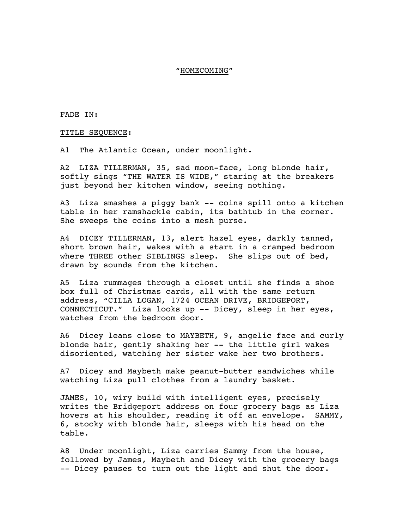#### "HOMECOMING"

FADE IN:

TITLE SEQUENCE:

A1 The Atlantic Ocean, under moonlight.

A2 LIZA TILLERMAN, 35, sad moon-face, long blonde hair, softly sings "THE WATER IS WIDE," staring at the breakers just beyond her kitchen window, seeing nothing.

A3 Liza smashes a piggy bank -- coins spill onto a kitchen table in her ramshackle cabin, its bathtub in the corner. She sweeps the coins into a mesh purse.

A4 DICEY TILLERMAN, 13, alert hazel eyes, darkly tanned, short brown hair, wakes with a start in a cramped bedroom where THREE other SIBLINGS sleep. She slips out of bed, drawn by sounds from the kitchen.

A5 Liza rummages through a closet until she finds a shoe box full of Christmas cards, all with the same return address, "CILLA LOGAN, 1724 OCEAN DRIVE, BRIDGEPORT, CONNECTICUT." Liza looks up -- Dicey, sleep in her eyes, watches from the bedroom door.

A6 Dicey leans close to MAYBETH, 9, angelic face and curly blonde hair, gently shaking her -- the little girl wakes disoriented, watching her sister wake her two brothers.

A7 Dicey and Maybeth make peanut-butter sandwiches while watching Liza pull clothes from a laundry basket.

JAMES, 10, wiry build with intelligent eyes, precisely writes the Bridgeport address on four grocery bags as Liza hovers at his shoulder, reading it off an envelope. SAMMY, 6, stocky with blonde hair, sleeps with his head on the table.

A8 Under moonlight, Liza carries Sammy from the house, followed by James, Maybeth and Dicey with the grocery bags -- Dicey pauses to turn out the light and shut the door.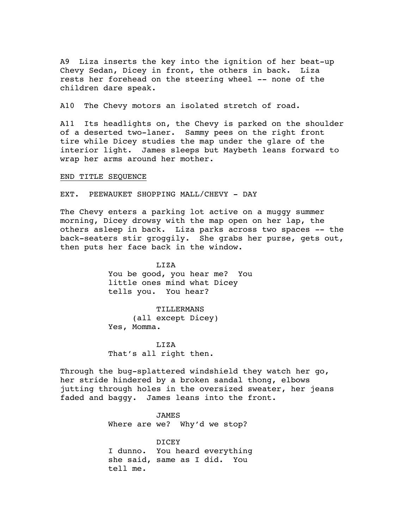A9 Liza inserts the key into the ignition of her beat-up Chevy Sedan, Dicey in front, the others in back. Liza rests her forehead on the steering wheel -- none of the children dare speak.

A10 The Chevy motors an isolated stretch of road.

A11 Its headlights on, the Chevy is parked on the shoulder of a deserted two-laner. Sammy pees on the right front tire while Dicey studies the map under the glare of the interior light. James sleeps but Maybeth leans forward to wrap her arms around her mother.

END TITLE SEQUENCE

EXT. PEEWAUKET SHOPPING MALL/CHEVY - DAY

The Chevy enters a parking lot active on a muggy summer morning, Dicey drowsy with the map open on her lap, the others asleep in back. Liza parks across two spaces -- the back-seaters stir groggily. She grabs her purse, gets out, then puts her face back in the window.

> LIZA You be good, you hear me? You little ones mind what Dicey tells you. You hear?

TILLERMANS (all except Dicey) Yes, Momma.

LIZA That's all right then.

Through the bug-splattered windshield they watch her go, her stride hindered by a broken sandal thong, elbows jutting through holes in the oversized sweater, her jeans faded and baggy. James leans into the front.

> JAMES Where are we? Why'd we stop?

DICEY I dunno. You heard everything she said, same as I did. You tell me.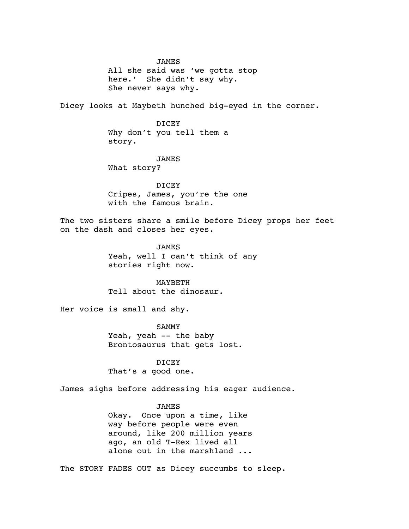JAMES All she said was 'we gotta stop here.' She didn't say why. She never says why.

Dicey looks at Maybeth hunched big-eyed in the corner.

DICEY Why don't you tell them a story.

JAMES

What story?

**DICEY** Cripes, James, you're the one with the famous brain.

The two sisters share a smile before Dicey props her feet on the dash and closes her eyes.

> JAMES Yeah, well I can't think of any stories right now.

MAYBETH Tell about the dinosaur.

Her voice is small and shy.

SAMMY Yeah, yeah -- the baby Brontosaurus that gets lost.

**DICEY** That's a good one.

James sighs before addressing his eager audience.

## JAMES

Okay. Once upon a time, like way before people were even around, like 200 million years ago, an old T-Rex lived all alone out in the marshland ...

The STORY FADES OUT as Dicey succumbs to sleep.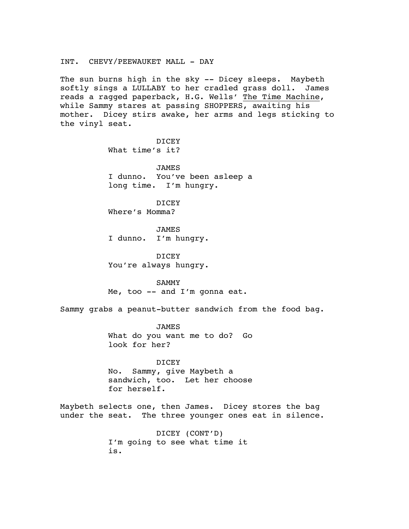#### INT. CHEVY/PEEWAUKET MALL - DAY

The sun burns high in the sky -- Dicey sleeps. Maybeth softly sings a LULLABY to her cradled grass doll. James reads a ragged paperback, H.G. Wells' The Time Machine, while Sammy stares at passing SHOPPERS, awaiting his mother. Dicey stirs awake, her arms and legs sticking to the vinyl seat.

> DICEY What time's it?

JAMES I dunno. You've been asleep a long time. I'm hungry.

DICEY Where's Momma?

JAMES I dunno. I'm hungry.

DICEY You're always hungry.

SAMMY Me, too -- and I'm gonna eat.

Sammy grabs a peanut-butter sandwich from the food bag.

JAMES What do you want me to do? Go look for her?

DICEY No. Sammy, give Maybeth a sandwich, too. Let her choose for herself.

Maybeth selects one, then James. Dicey stores the bag under the seat. The three younger ones eat in silence.

> DICEY (CONT'D) I'm going to see what time it is.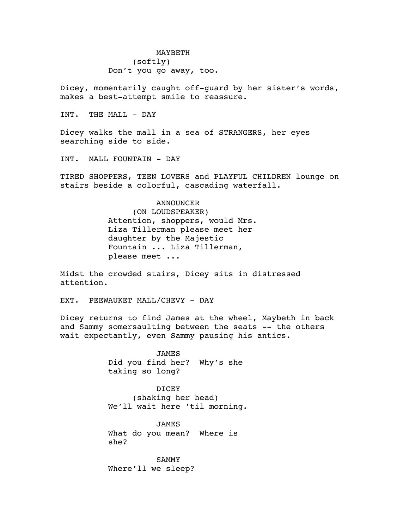MAYBETH (softly) Don't you go away, too.

Dicey, momentarily caught off-guard by her sister's words, makes a best-attempt smile to reassure.

INT. THE MALL - DAY

Dicey walks the mall in a sea of STRANGERS, her eyes searching side to side.

INT. MALL FOUNTAIN - DAY

TIRED SHOPPERS, TEEN LOVERS and PLAYFUL CHILDREN lounge on stairs beside a colorful, cascading waterfall.

## ANNOUNCER

(ON LOUDSPEAKER) Attention, shoppers, would Mrs. Liza Tillerman please meet her daughter by the Majestic Fountain ... Liza Tillerman, please meet ...

Midst the crowded stairs, Dicey sits in distressed attention.

EXT. PEEWAUKET MALL/CHEVY - DAY

Dicey returns to find James at the wheel, Maybeth in back and Sammy somersaulting between the seats -- the others wait expectantly, even Sammy pausing his antics.

> JAMES Did you find her? Why's she taking so long?

DICEY (shaking her head) We'll wait here 'til morning.

JAMES What do you mean? Where is she?

SAMMY Where'll we sleep?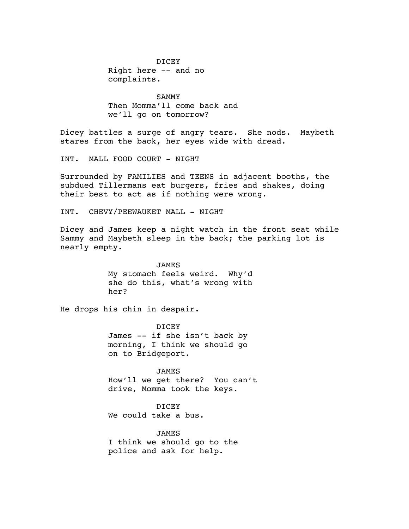DICEY Right here -- and no complaints.

SAMMY Then Momma'll come back and we'll go on tomorrow?

Dicey battles a surge of angry tears. She nods. Maybeth stares from the back, her eyes wide with dread.

INT. MALL FOOD COURT - NIGHT

Surrounded by FAMILIES and TEENS in adjacent booths, the subdued Tillermans eat burgers, fries and shakes, doing their best to act as if nothing were wrong.

INT. CHEVY/PEEWAUKET MALL - NIGHT

Dicey and James keep a night watch in the front seat while Sammy and Maybeth sleep in the back; the parking lot is nearly empty.

> JAMES My stomach feels weird. Why'd she do this, what's wrong with her?

He drops his chin in despair.

DICEY James -- if she isn't back by morning, I think we should go on to Bridgeport.

JAMES How'll we get there? You can't drive, Momma took the keys.

DICEY We could take a bus.

JAMES I think we should go to the police and ask for help.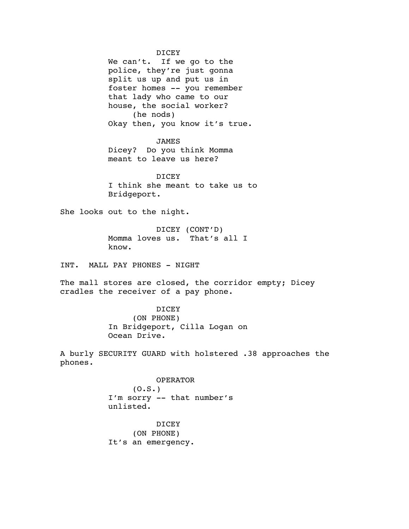DICEY

We can't. If we go to the police, they're just gonna split us up and put us in foster homes -- you remember that lady who came to our house, the social worker? (he nods) Okay then, you know it's true.

JAMES

Dicey? Do you think Momma meant to leave us here?

DICEY I think she meant to take us to Bridgeport.

She looks out to the night.

DICEY (CONT'D) Momma loves us. That's all I know.

INT. MALL PAY PHONES - NIGHT

The mall stores are closed, the corridor empty; Dicey cradles the receiver of a pay phone.

> DICEY (ON PHONE) In Bridgeport, Cilla Logan on Ocean Drive.

A burly SECURITY GUARD with holstered .38 approaches the phones.

> OPERATOR  $(0.S.)$ I'm sorry -- that number's unlisted.

DICEY (ON PHONE) It's an emergency.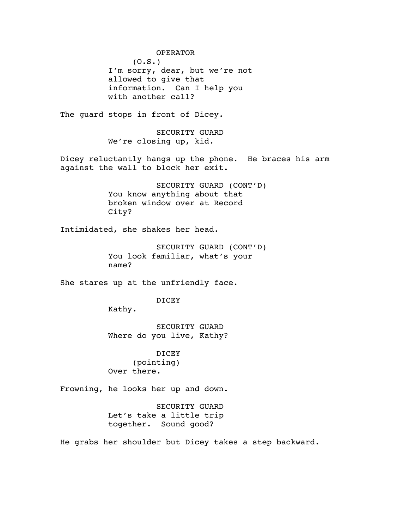OPERATOR  $(0.S.)$ I'm sorry, dear, but we're not allowed to give that information. Can I help you with another call? The quard stops in front of Dicey. SECURITY GUARD We're closing up, kid. Dicey reluctantly hangs up the phone. He braces his arm against the wall to block her exit. SECURITY GUARD (CONT'D) You know anything about that broken window over at Record City? Intimidated, she shakes her head. SECURITY GUARD (CONT'D) You look familiar, what's your name? She stares up at the unfriendly face. DICEY Kathy. SECURITY GUARD Where do you live, Kathy? DICEY (pointing) Over there. Frowning, he looks her up and down. SECURITY GUARD Let's take a little trip together. Sound good?

He grabs her shoulder but Dicey takes a step backward.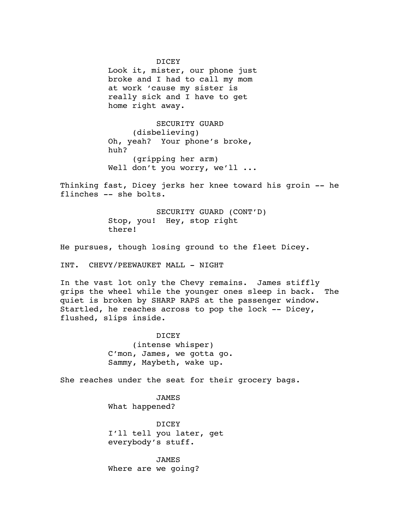DICEY Look it, mister, our phone just broke and I had to call my mom at work 'cause my sister is really sick and I have to get home right away.

SECURITY GUARD (disbelieving) Oh, yeah? Your phone's broke, huh? (gripping her arm) Well don't you worry, we'll ...

Thinking fast, Dicey jerks her knee toward his groin -- he flinches -- she bolts.

> SECURITY GUARD (CONT'D) Stop, you! Hey, stop right there!

He pursues, though losing ground to the fleet Dicey.

INT. CHEVY/PEEWAUKET MALL - NIGHT

In the vast lot only the Chevy remains. James stiffly grips the wheel while the younger ones sleep in back. The quiet is broken by SHARP RAPS at the passenger window. Startled, he reaches across to pop the lock -- Dicey, flushed, slips inside.

> DICEY (intense whisper) C'mon, James, we gotta go. Sammy, Maybeth, wake up.

She reaches under the seat for their grocery bags.

JAMES What happened?

DICEY I'll tell you later, get everybody's stuff.

JAMES Where are we going?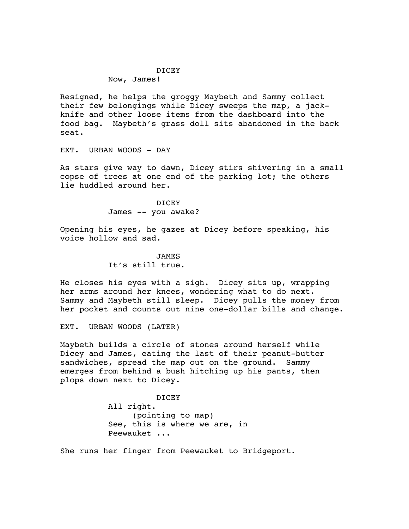## DICEY

Now, James!

Resigned, he helps the groggy Maybeth and Sammy collect their few belongings while Dicey sweeps the map, a jackknife and other loose items from the dashboard into the food bag. Maybeth's grass doll sits abandoned in the back seat.

EXT. URBAN WOODS - DAY

As stars give way to dawn, Dicey stirs shivering in a small copse of trees at one end of the parking lot; the others lie huddled around her.

> DICEY James -- you awake?

Opening his eyes, he gazes at Dicey before speaking, his voice hollow and sad.

> **JAMES** It's still true.

He closes his eyes with a sigh. Dicey sits up, wrapping her arms around her knees, wondering what to do next. Sammy and Maybeth still sleep. Dicey pulls the money from her pocket and counts out nine one-dollar bills and change.

EXT. URBAN WOODS (LATER)

Maybeth builds a circle of stones around herself while Dicey and James, eating the last of their peanut-butter sandwiches, spread the map out on the ground. Sammy emerges from behind a bush hitching up his pants, then plops down next to Dicey.

> DICEY All right. (pointing to map) See, this is where we are, in Peewauket ...

She runs her finger from Peewauket to Bridgeport.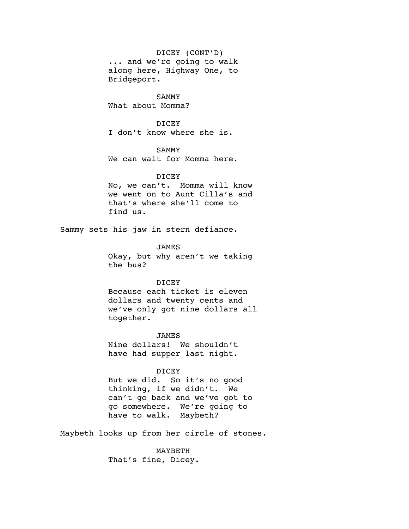DICEY (CONT'D)

... and we're going to walk along here, Highway One, to Bridgeport.

SAMMY What about Momma?

DICEY I don't know where she is.

## SAMMY

We can wait for Momma here.

#### DICEY

No, we can't. Momma will know we went on to Aunt Cilla's and that's where she'll come to find us.

Sammy sets his jaw in stern defiance.

# JAMES

Okay, but why aren't we taking the bus?

#### DICEY

Because each ticket is eleven dollars and twenty cents and we've only got nine dollars all together.

## JAMES

Nine dollars! We shouldn't have had supper last night.

#### DICEY

But we did. So it's no good thinking, if we didn't. We can't go back and we've got to go somewhere. We're going to have to walk. Maybeth?

Maybeth looks up from her circle of stones.

MAYBETH That's fine, Dicey.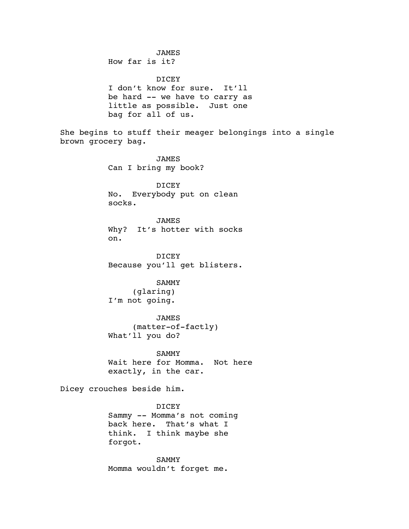JAMES How far is it? DICEY I don't know for sure. It'll be hard -- we have to carry as little as possible. Just one bag for all of us. She begins to stuff their meager belongings into a single brown grocery bag. JAMES Can I bring my book? DICEY No. Everybody put on clean socks. JAMES Why? It's hotter with socks on. DICEY Because you'll get blisters. SAMMY (glaring) I'm not going. JAMES (matter-of-factly) What'll you do? SAMMY Wait here for Momma. Not here exactly, in the car. Dicey crouches beside him. DICEY Sammy -- Momma's not coming back here. That's what I think. I think maybe she forgot. SAMMY Momma wouldn't forget me.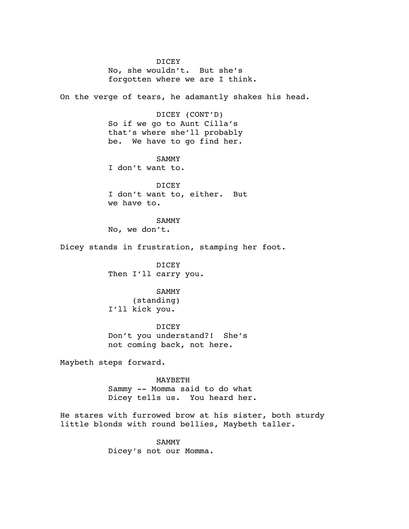DICEY No, she wouldn't. But she's forgotten where we are I think.

On the verge of tears, he adamantly shakes his head.

DICEY (CONT'D) So if we go to Aunt Cilla's that's where she'll probably be. We have to go find her.

SAMMY I don't want to.

DICEY I don't want to, either. But we have to.

SAMMY No, we don't.

Dicey stands in frustration, stamping her foot.

DICEY Then I'll carry you.

SAMMY

(standing) I'll kick you.

DICEY Don't you understand?! She's not coming back, not here.

Maybeth steps forward.

MAYBETH Sammy -- Momma said to do what Dicey tells us. You heard her.

He stares with furrowed brow at his sister, both sturdy little blonds with round bellies, Maybeth taller.

> SAMMY Dicey's not our Momma.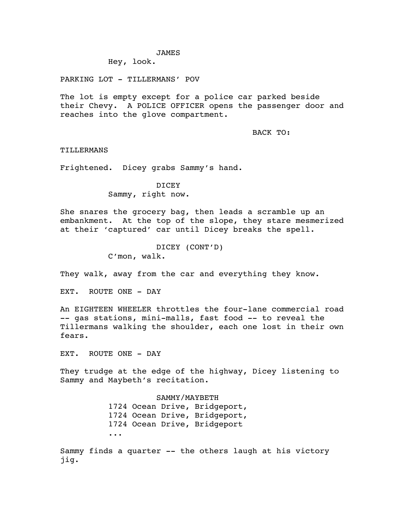#### JAMES

Hey, look.

PARKING LOT - TILLERMANS' POV

The lot is empty except for a police car parked beside their Chevy. A POLICE OFFICER opens the passenger door and reaches into the glove compartment.

BACK TO:

TILLERMANS

Frightened. Dicey grabs Sammy's hand.

**DICEY** Sammy, right now.

She snares the grocery bag, then leads a scramble up an embankment. At the top of the slope, they stare mesmerized at their 'captured' car until Dicey breaks the spell.

> DICEY (CONT'D) C'mon, walk.

They walk, away from the car and everything they know.

EXT. ROUTE ONE - DAY

An EIGHTEEN WHEELER throttles the four-lane commercial road -- gas stations, mini-malls, fast food -- to reveal the Tillermans walking the shoulder, each one lost in their own fears.

EXT. ROUTE ONE - DAY

They trudge at the edge of the highway, Dicey listening to Sammy and Maybeth's recitation.

> SAMMY/MAYBETH 1724 Ocean Drive, Bridgeport, 1724 Ocean Drive, Bridgeport, 1724 Ocean Drive, Bridgeport ...

Sammy finds a quarter -- the others laugh at his victory jig.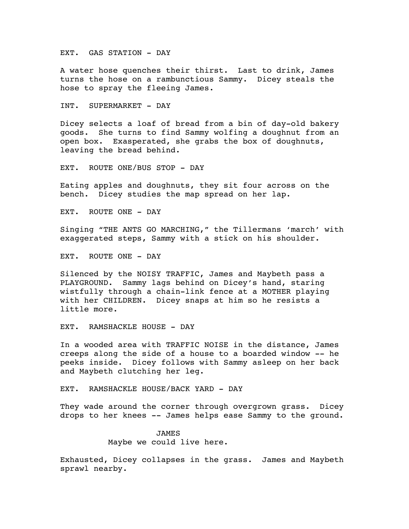EXT. GAS STATION - DAY

A water hose quenches their thirst. Last to drink, James turns the hose on a rambunctious Sammy. Dicey steals the hose to spray the fleeing James.

INT. SUPERMARKET - DAY

Dicey selects a loaf of bread from a bin of day-old bakery goods. She turns to find Sammy wolfing a doughnut from an open box. Exasperated, she grabs the box of doughnuts, leaving the bread behind.

EXT. ROUTE ONE/BUS STOP - DAY

Eating apples and doughnuts, they sit four across on the bench. Dicey studies the map spread on her lap.

EXT. ROUTE ONE - DAY

Singing "THE ANTS GO MARCHING," the Tillermans 'march' with exaggerated steps, Sammy with a stick on his shoulder.

EXT. ROUTE ONE - DAY

Silenced by the NOISY TRAFFIC, James and Maybeth pass a PLAYGROUND. Sammy lags behind on Dicey's hand, staring wistfully through a chain-link fence at a MOTHER playing with her CHILDREN. Dicey snaps at him so he resists a little more.

EXT. RAMSHACKLE HOUSE - DAY

In a wooded area with TRAFFIC NOISE in the distance, James creeps along the side of a house to a boarded window -- he peeks inside. Dicey follows with Sammy asleep on her back and Maybeth clutching her leg.

EXT. RAMSHACKLE HOUSE/BACK YARD - DAY

They wade around the corner through overgrown grass. Dicey drops to her knees -- James helps ease Sammy to the ground.

> JAMES Maybe we could live here.

Exhausted, Dicey collapses in the grass. James and Maybeth sprawl nearby.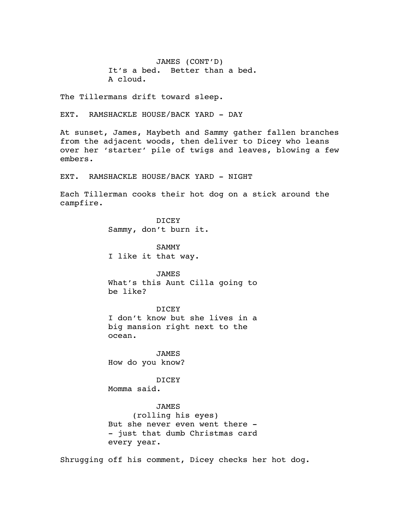JAMES (CONT'D) It's a bed. Better than a bed. A cloud.

The Tillermans drift toward sleep.

EXT. RAMSHACKLE HOUSE/BACK YARD - DAY

At sunset, James, Maybeth and Sammy gather fallen branches from the adjacent woods, then deliver to Dicey who leans over her 'starter' pile of twigs and leaves, blowing a few embers.

EXT. RAMSHACKLE HOUSE/BACK YARD - NIGHT

Each Tillerman cooks their hot dog on a stick around the campfire.

> DICEY Sammy, don't burn it.

SAMMY I like it that way.

JAMES What's this Aunt Cilla going to be like?

DICEY I don't know but she lives in a big mansion right next to the ocean.

JAMES How do you know?

DICEY

Momma said.

#### JAMES

(rolling his eyes) But she never even went there - - just that dumb Christmas card every year.

Shrugging off his comment, Dicey checks her hot dog.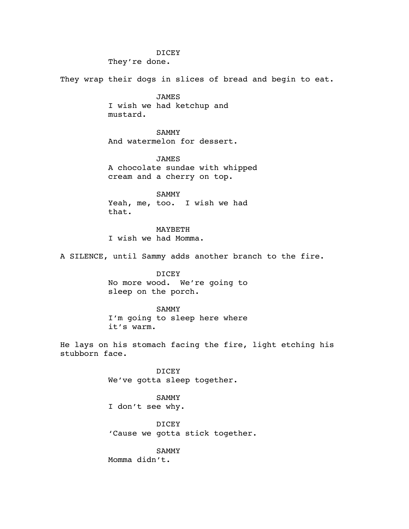## DICEY

They're done.

They wrap their dogs in slices of bread and begin to eat.

JAMES I wish we had ketchup and mustard.

SAMMY And watermelon for dessert.

JAMES A chocolate sundae with whipped cream and a cherry on top.

SAMMY Yeah, me, too. I wish we had that.

MAYBETH I wish we had Momma.

A SILENCE, until Sammy adds another branch to the fire.

DICEY No more wood. We're going to sleep on the porch.

SAMMY I'm going to sleep here where it's warm.

He lays on his stomach facing the fire, light etching his stubborn face.

> DICEY We've gotta sleep together.

SAMMY I don't see why.

DICEY 'Cause we gotta stick together.

SAMMY Momma didn't.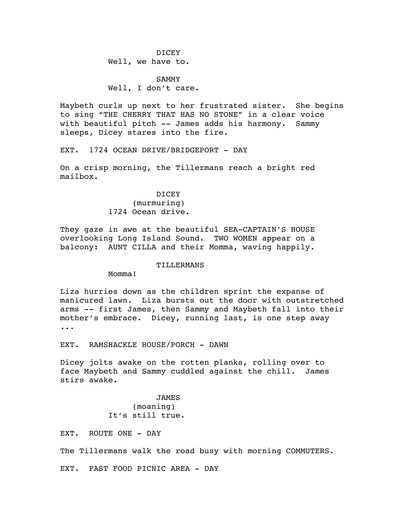DICEY Well, we have to.

SAMMY Well, I don't care.

Maybeth curls up next to her frustrated sister. She begins to sing "THE CHERRY THAT HAS NO STONE" in a clear voice with beautiful pitch -- James adds his harmony. Sammy sleeps, Dicey stares into the fire.

EXT. 1724 OCEAN DRIVE/BRIDGEPORT - DAY

On a crisp morning, the Tillermans reach a bright red mailbox.

> DICEY (murmuring) 1724 Ocean drive.

They gaze in awe at the beautiful SEA-CAPTAIN'S HOUSE overlooking Long Island Sound. TWO WOMEN appear on a balcony: AUNT CILLA and their Momma, waving happily.

#### **TILLERMANS**

Momma!

Liza hurries down as the children sprint the expanse of manicured lawn. Liza bursts out the door with outstretched arms -- first James, then Sammy and Maybeth fall into their mother's embrace. Dicey, running last, is one step away ...

EXT. RAMSHACKLE HOUSE/PORCH - DAWN

Dicey jolts awake on the rotten planks, rolling over to face Maybeth and Sammy cuddled against the chill. James stirs awake.

> JAMES (moaning) It's still true.

EXT. ROUTE ONE - DAY

The Tillermans walk the road busy with morning COMMUTERS.

EXT. FAST FOOD PICNIC AREA - DAY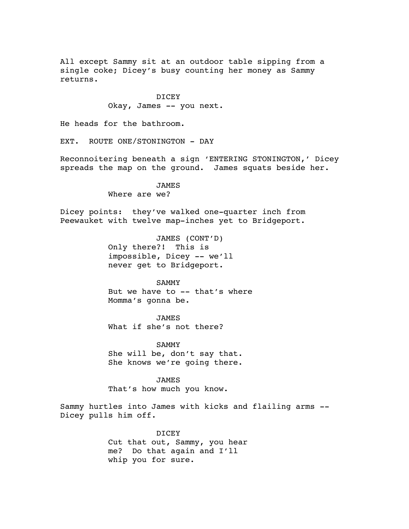All except Sammy sit at an outdoor table sipping from a single coke; Dicey's busy counting her money as Sammy returns.

> DICEY Okay, James -- you next.

He heads for the bathroom.

EXT. ROUTE ONE/STONINGTON - DAY

Reconnoitering beneath a sign 'ENTERING STONINGTON,' Dicey spreads the map on the ground. James squats beside her.

> JAMES Where are we?

Dicey points: they've walked one-quarter inch from Peewauket with twelve map-inches yet to Bridgeport.

> JAMES (CONT'D) Only there?! This is impossible, Dicey -- we'll never get to Bridgeport.

# SAMMY

But we have to -- that's where Momma's gonna be.

JAMES

What if she's not there?

SAMMY She will be, don't say that. She knows we're going there.

JAMES That's how much you know.

Sammy hurtles into James with kicks and flailing arms -- Dicey pulls him off.

> DICEY Cut that out, Sammy, you hear me? Do that again and I'll whip you for sure.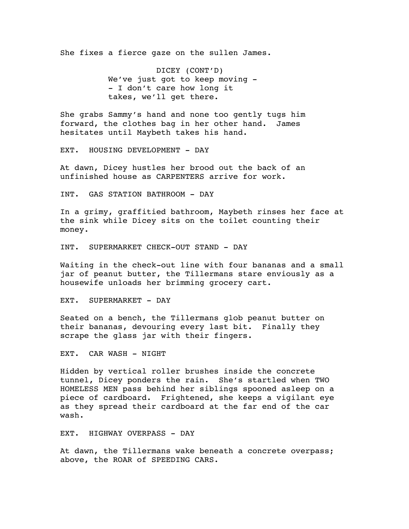She fixes a fierce gaze on the sullen James.

DICEY (CONT'D) We've just got to keep moving -- I don't care how long it takes, we'll get there.

She grabs Sammy's hand and none too gently tugs him forward, the clothes bag in her other hand. James hesitates until Maybeth takes his hand.

EXT. HOUSING DEVELOPMENT - DAY

At dawn, Dicey hustles her brood out the back of an unfinished house as CARPENTERS arrive for work.

INT. GAS STATION BATHROOM - DAY

In a grimy, graffitied bathroom, Maybeth rinses her face at the sink while Dicey sits on the toilet counting their money.

INT. SUPERMARKET CHECK-OUT STAND - DAY

Waiting in the check-out line with four bananas and a small jar of peanut butter, the Tillermans stare enviously as a housewife unloads her brimming grocery cart.

EXT. SUPERMARKET - DAY

Seated on a bench, the Tillermans glob peanut butter on their bananas, devouring every last bit. Finally they scrape the glass jar with their fingers.

EXT. CAR WASH - NIGHT

Hidden by vertical roller brushes inside the concrete tunnel, Dicey ponders the rain. She's startled when TWO HOMELESS MEN pass behind her siblings spooned asleep on a piece of cardboard. Frightened, she keeps a vigilant eye as they spread their cardboard at the far end of the car wash.

EXT. HIGHWAY OVERPASS - DAY

At dawn, the Tillermans wake beneath a concrete overpass; above, the ROAR of SPEEDING CARS.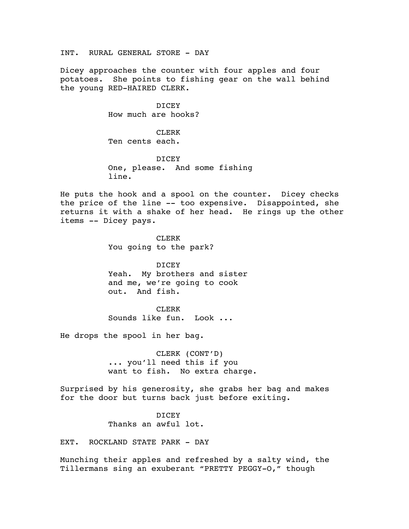INT. RURAL GENERAL STORE - DAY

Dicey approaches the counter with four apples and four potatoes. She points to fishing gear on the wall behind the young RED-HAIRED CLERK.

> DICEY How much are hooks?

CLERK Ten cents each.

DICEY One, please. And some fishing line.

He puts the hook and a spool on the counter. Dicey checks the price of the line -- too expensive. Disappointed, she returns it with a shake of her head. He rings up the other items -- Dicey pays.

> CLERK You going to the park?

DICEY Yeah. My brothers and sister and me, we're going to cook out. And fish.

CLERK Sounds like fun. Look ...

He drops the spool in her bag.

CLERK (CONT'D) ... you'll need this if you want to fish. No extra charge.

Surprised by his generosity, she grabs her bag and makes for the door but turns back just before exiting.

> DICEY Thanks an awful lot.

EXT. ROCKLAND STATE PARK - DAY

Munching their apples and refreshed by a salty wind, the Tillermans sing an exuberant "PRETTY PEGGY-O," though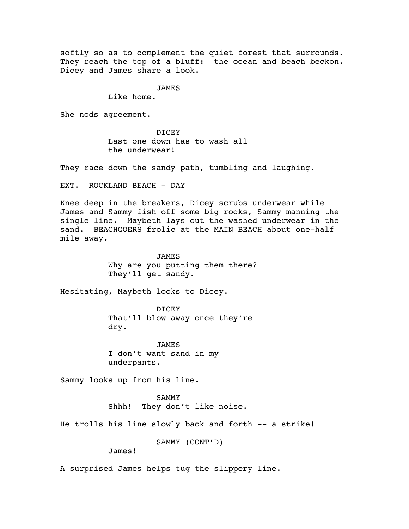softly so as to complement the quiet forest that surrounds. They reach the top of a bluff: the ocean and beach beckon. Dicey and James share a look.

## JAMES

Like home.

She nods agreement.

DICEY Last one down has to wash all the underwear!

They race down the sandy path, tumbling and laughing.

EXT. ROCKLAND BEACH - DAY

Knee deep in the breakers, Dicey scrubs underwear while James and Sammy fish off some big rocks, Sammy manning the single line. Maybeth lays out the washed underwear in the sand. BEACHGOERS frolic at the MAIN BEACH about one-half mile away.

> **JAMES** Why are you putting them there? They'll get sandy.

Hesitating, Maybeth looks to Dicey.

DICEY That'll blow away once they're dry.

JAMES I don't want sand in my underpants.

Sammy looks up from his line.

SAMMY Shhh! They don't like noise.

He trolls his line slowly back and forth -- a strike!

SAMMY (CONT'D)

James!

A surprised James helps tug the slippery line.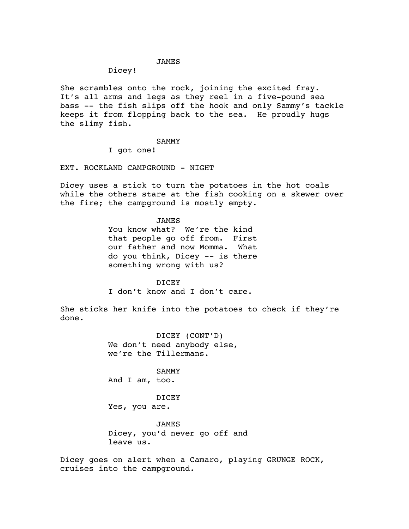## JAMES

## Dicey!

She scrambles onto the rock, joining the excited fray. It's all arms and legs as they reel in a five-pound sea bass -- the fish slips off the hook and only Sammy's tackle keeps it from flopping back to the sea. He proudly hugs the slimy fish.

#### SAMMY

I got one!

EXT. ROCKLAND CAMPGROUND - NIGHT

Dicey uses a stick to turn the potatoes in the hot coals while the others stare at the fish cooking on a skewer over the fire; the campground is mostly empty.

#### JAMES

You know what? We're the kind that people go off from. First our father and now Momma. What do you think, Dicey -- is there something wrong with us?

## DICEY

I don't know and I don't care.

She sticks her knife into the potatoes to check if they're done.

> DICEY (CONT'D) We don't need anybody else, we're the Tillermans.

SAMMY And I am, too.

DICEY Yes, you are.

JAMES Dicey, you'd never go off and leave us.

Dicey goes on alert when a Camaro, playing GRUNGE ROCK, cruises into the campground.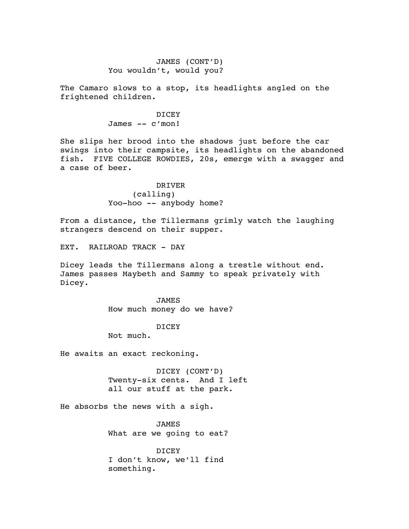# JAMES (CONT'D) You wouldn't, would you?

The Camaro slows to a stop, its headlights angled on the frightened children.

> DICEY James -- c'mon!

She slips her brood into the shadows just before the car swings into their campsite, its headlights on the abandoned fish. FIVE COLLEGE ROWDIES, 20s, emerge with a swagger and a case of beer.

> DRIVER (calling) Yoo-hoo -- anybody home?

From a distance, the Tillermans grimly watch the laughing strangers descend on their supper.

EXT. RAILROAD TRACK - DAY

Dicey leads the Tillermans along a trestle without end. James passes Maybeth and Sammy to speak privately with Dicey.

> JAMES How much money do we have?

## DICEY

Not much.

He awaits an exact reckoning.

DICEY (CONT'D) Twenty-six cents. And I left all our stuff at the park.

He absorbs the news with a sigh.

JAMES What are we going to eat?

DICEY I don't know, we'll find something.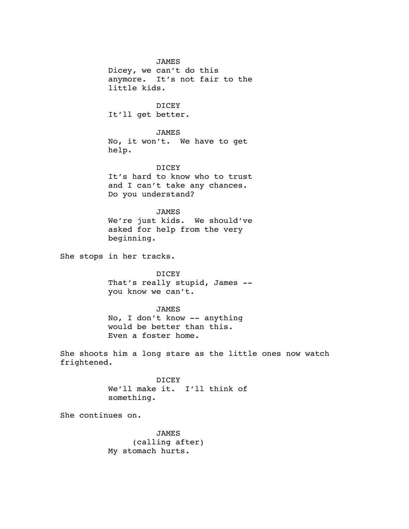JAMES Dicey, we can't do this anymore. It's not fair to the little kids.

DICEY It'll get better.

JAMES No, it won't. We have to get help.

DICEY It's hard to know who to trust and I can't take any chances. Do you understand?

JAMES We're just kids. We should've asked for help from the very beginning.

She stops in her tracks.

DICEY That's really stupid, James - you know we can't.

JAMES No, I don't know -- anything would be better than this. Even a foster home.

She shoots him a long stare as the little ones now watch frightened.

> DICEY We'll make it. I'll think of something.

She continues on.

JAMES (calling after) My stomach hurts.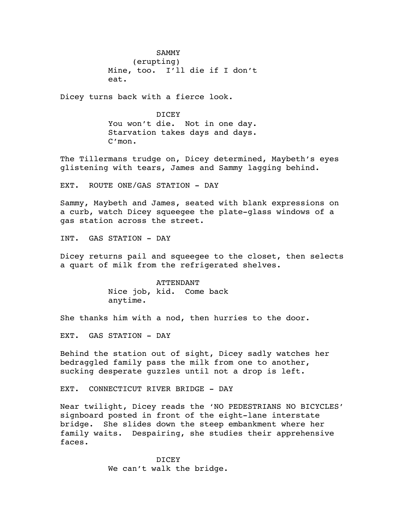SAMMY (erupting) Mine, too. I'll die if I don't eat.

Dicey turns back with a fierce look.

DICEY You won't die. Not in one day. Starvation takes days and days. C'mon.

The Tillermans trudge on, Dicey determined, Maybeth's eyes glistening with tears, James and Sammy lagging behind.

EXT. ROUTE ONE/GAS STATION - DAY

Sammy, Maybeth and James, seated with blank expressions on a curb, watch Dicey squeegee the plate-glass windows of a gas station across the street.

INT. GAS STATION - DAY

Dicey returns pail and squeegee to the closet, then selects a quart of milk from the refrigerated shelves.

> ATTENDANT Nice job, kid. Come back anytime.

She thanks him with a nod, then hurries to the door.

EXT. GAS STATION - DAY

Behind the station out of sight, Dicey sadly watches her bedraggled family pass the milk from one to another, sucking desperate guzzles until not a drop is left.

EXT. CONNECTICUT RIVER BRIDGE - DAY

Near twilight, Dicey reads the 'NO PEDESTRIANS NO BICYCLES' signboard posted in front of the eight-lane interstate bridge. She slides down the steep embankment where her family waits. Despairing, she studies their apprehensive faces.

> DICEY We can't walk the bridge.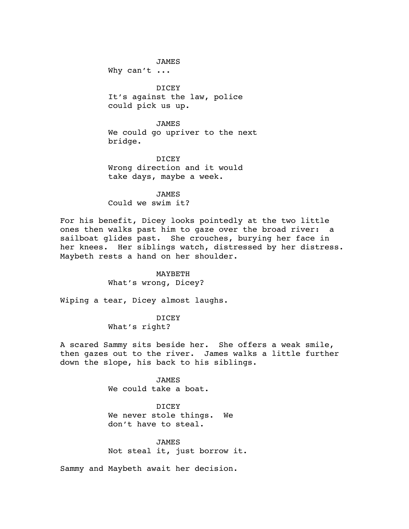JAMES Why can't ...

DICEY It's against the law, police could pick us up.

JAMES We could go upriver to the next bridge.

DICEY Wrong direction and it would take days, maybe a week.

JAMES Could we swim it?

For his benefit, Dicey looks pointedly at the two little ones then walks past him to gaze over the broad river: a sailboat glides past. She crouches, burying her face in her knees. Her siblings watch, distressed by her distress. Maybeth rests a hand on her shoulder.

> MAYBETH What's wrong, Dicey?

Wiping a tear, Dicey almost laughs.

DICEY What's right?

A scared Sammy sits beside her. She offers a weak smile, then gazes out to the river. James walks a little further down the slope, his back to his siblings.

> JAMES We could take a boat.

DICEY We never stole things. We don't have to steal.

JAMES Not steal it, just borrow it.

Sammy and Maybeth await her decision.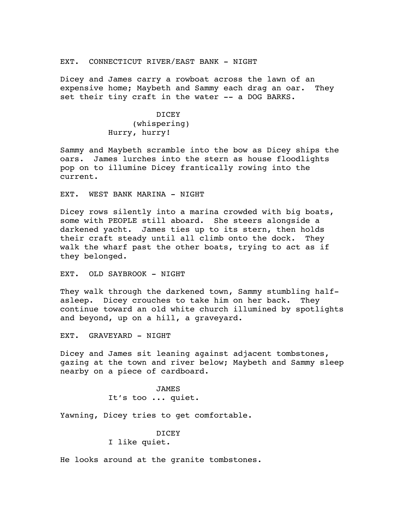## EXT. CONNECTICUT RIVER/EAST BANK - NIGHT

Dicey and James carry a rowboat across the lawn of an expensive home; Maybeth and Sammy each drag an oar. They set their tiny craft in the water -- a DOG BARKS.

# DICEY (whispering) Hurry, hurry!

Sammy and Maybeth scramble into the bow as Dicey ships the oars. James lurches into the stern as house floodlights pop on to illumine Dicey frantically rowing into the current.

EXT. WEST BANK MARINA - NIGHT

Dicey rows silently into a marina crowded with big boats, some with PEOPLE still aboard. She steers alongside a darkened yacht. James ties up to its stern, then holds their craft steady until all climb onto the dock. They walk the wharf past the other boats, trying to act as if they belonged.

EXT. OLD SAYBROOK - NIGHT

They walk through the darkened town, Sammy stumbling halfasleep. Dicey crouches to take him on her back. They continue toward an old white church illumined by spotlights and beyond, up on a hill, a graveyard.

EXT. GRAVEYARD - NIGHT

Dicey and James sit leaning against adjacent tombstones, gazing at the town and river below; Maybeth and Sammy sleep nearby on a piece of cardboard.

> JAMES It's too ... quiet.

Yawning, Dicey tries to get comfortable.

DICEY I like quiet.

He looks around at the granite tombstones.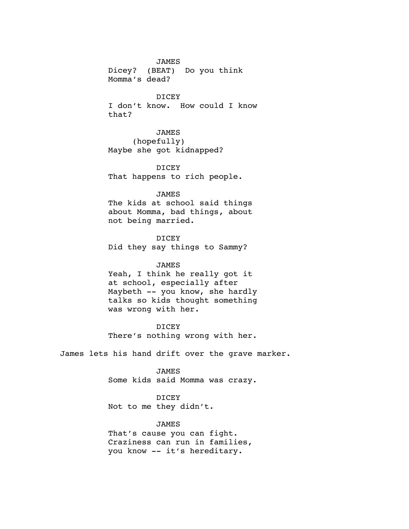JAMES Dicey? (BEAT) Do you think Momma's dead?

DICEY I don't know. How could I know

that?

JAMES (hopefully) Maybe she got kidnapped?

DICEY That happens to rich people.

#### JAMES

The kids at school said things about Momma, bad things, about not being married.

DICEY

Did they say things to Sammy?

## JAMES

Yeah, I think he really got it at school, especially after Maybeth -- you know, she hardly talks so kids thought something was wrong with her.

DICEY

There's nothing wrong with her.

James lets his hand drift over the grave marker.

JAMES Some kids said Momma was crazy.

DICEY Not to me they didn't.

## JAMES

That's cause you can fight. Craziness can run in families, you know -- it's hereditary.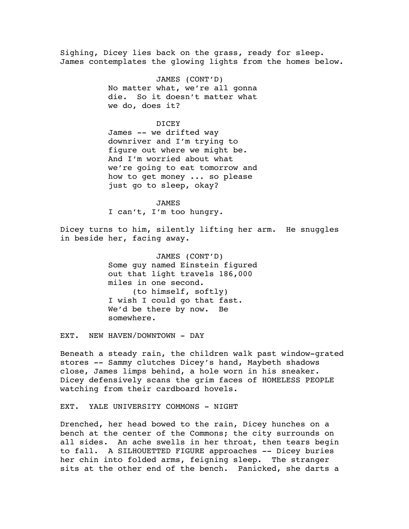Sighing, Dicey lies back on the grass, ready for sleep. James contemplates the glowing lights from the homes below.

> JAMES (CONT'D) No matter what, we're all gonna die. So it doesn't matter what we do, does it?

#### DICEY

James -- we drifted way downriver and I'm trying to figure out where we might be. And I'm worried about what we're going to eat tomorrow and how to get money ... so please just go to sleep, okay?

JAMES I can't, I'm too hungry.

Dicey turns to him, silently lifting her arm. He snuggles in beside her, facing away.

> JAMES (CONT'D) Some guy named Einstein figured out that light travels 186,000 miles in one second. (to himself, softly) I wish I could go that fast. We'd be there by now. Be somewhere.

EXT. NEW HAVEN/DOWNTOWN - DAY

Beneath a steady rain, the children walk past window-grated stores -- Sammy clutches Dicey's hand, Maybeth shadows close, James limps behind, a hole worn in his sneaker. Dicey defensively scans the grim faces of HOMELESS PEOPLE watching from their cardboard hovels.

EXT. YALE UNIVERSITY COMMONS - NIGHT

Drenched, her head bowed to the rain, Dicey hunches on a bench at the center of the Commons; the city surrounds on all sides. An ache swells in her throat, then tears begin to fall. A SILHOUETTED FIGURE approaches -- Dicey buries her chin into folded arms, feigning sleep. The stranger sits at the other end of the bench. Panicked, she darts a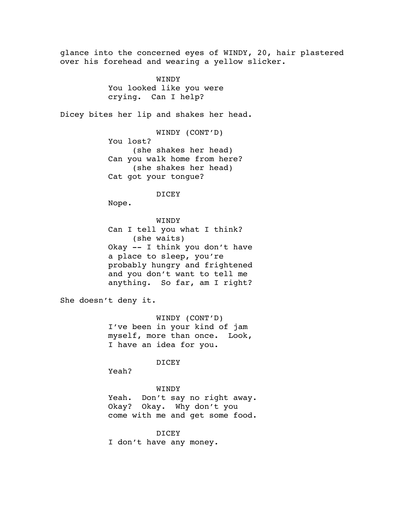glance into the concerned eyes of WINDY, 20, hair plastered over his forehead and wearing a yellow slicker. **WINDY** You looked like you were crying. Can I help? Dicey bites her lip and shakes her head. WINDY (CONT'D) You lost? (she shakes her head) Can you walk home from here? (she shakes her head) Cat got your tongue? DICEY Nope. WINDY Can I tell you what I think? (she waits) Okay -- I think you don't have a place to sleep, you're probably hungry and frightened and you don't want to tell me anything. So far, am I right? She doesn't deny it. WINDY (CONT'D) I've been in your kind of jam myself, more than once. Look, I have an idea for you. DICEY Yeah? WINDY Yeah. Don't say no right away. Okay? Okay. Why don't you come with me and get some food. DICEY I don't have any money.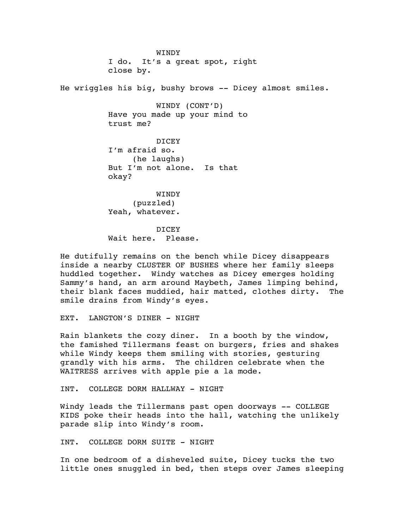WINDY I do. It's a great spot, right close by.

He wriggles his big, bushy brows -- Dicey almost smiles.

WINDY (CONT'D) Have you made up your mind to trust me?

DICEY I'm afraid so. (he laughs) But I'm not alone. Is that okay?

WINDY (puzzled) Yeah, whatever.

**DICEY** Wait here. Please.

He dutifully remains on the bench while Dicey disappears inside a nearby CLUSTER OF BUSHES where her family sleeps huddled together. Windy watches as Dicey emerges holding Sammy's hand, an arm around Maybeth, James limping behind, their blank faces muddied, hair matted, clothes dirty. The smile drains from Windy's eyes.

EXT. LANGTON'S DINER - NIGHT

Rain blankets the cozy diner. In a booth by the window, the famished Tillermans feast on burgers, fries and shakes while Windy keeps them smiling with stories, gesturing grandly with his arms. The children celebrate when the WAITRESS arrives with apple pie a la mode.

INT. COLLEGE DORM HALLWAY - NIGHT

Windy leads the Tillermans past open doorways -- COLLEGE KIDS poke their heads into the hall, watching the unlikely parade slip into Windy's room.

INT. COLLEGE DORM SUITE - NIGHT

In one bedroom of a disheveled suite, Dicey tucks the two little ones snuggled in bed, then steps over James sleeping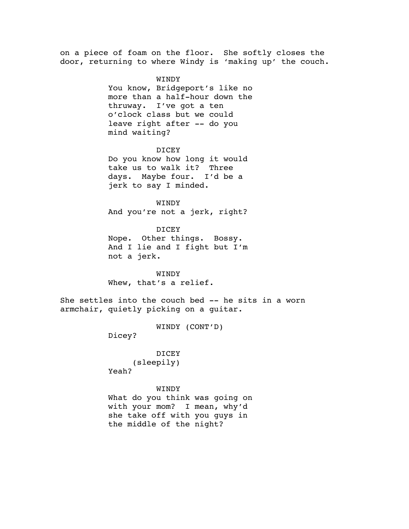on a piece of foam on the floor. She softly closes the door, returning to where Windy is 'making up' the couch.

> WINDY You know, Bridgeport's like no more than a half-hour down the thruway. I've got a ten o'clock class but we could leave right after -- do you mind waiting?

DICEY Do you know how long it would take us to walk it? Three days. Maybe four. I'd be a jerk to say I minded.

WINDY And you're not a jerk, right?

DICEY Nope. Other things. Bossy. And I lie and I fight but I'm not a jerk.

WINDY Whew, that's a relief.

She settles into the couch bed -- he sits in a worn armchair, quietly picking on a guitar.

WINDY (CONT'D)

Dicey?

DICEY (sleepily) Yeah?

WINDY What do you think was going on with your mom? I mean, why'd she take off with you guys in the middle of the night?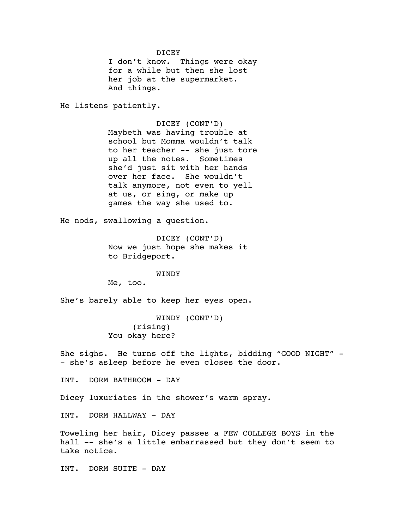DICEY

I don't know. Things were okay for a while but then she lost her job at the supermarket. And things.

He listens patiently.

DICEY (CONT'D) Maybeth was having trouble at school but Momma wouldn't talk to her teacher -- she just tore up all the notes. Sometimes she'd just sit with her hands over her face. She wouldn't talk anymore, not even to yell at us, or sing, or make up games the way she used to.

He nods, swallowing a question.

DICEY (CONT'D) Now we just hope she makes it to Bridgeport.

WINDY

Me, too.

She's barely able to keep her eyes open.

WINDY (CONT'D) (rising) You okay here?

She sighs. He turns off the lights, bidding "GOOD NIGHT" - - she's asleep before he even closes the door.

INT. DORM BATHROOM - DAY

Dicey luxuriates in the shower's warm spray.

INT. DORM HALLWAY - DAY

Toweling her hair, Dicey passes a FEW COLLEGE BOYS in the hall -- she's a little embarrassed but they don't seem to take notice.

INT. DORM SUITE - DAY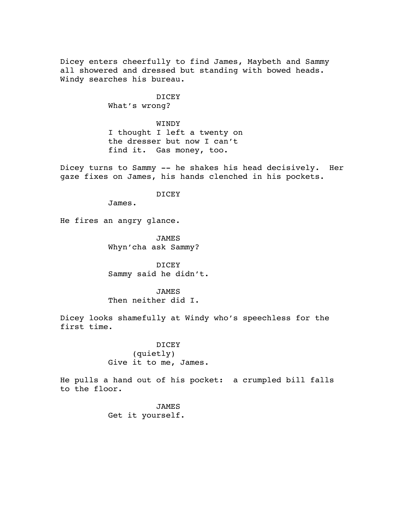Dicey enters cheerfully to find James, Maybeth and Sammy all showered and dressed but standing with bowed heads. Windy searches his bureau.

> DICEY What's wrong?

WINDY I thought I left a twenty on the dresser but now I can't find it. Gas money, too.

Dicey turns to Sammy -- he shakes his head decisively. Her gaze fixes on James, his hands clenched in his pockets.

DICEY

James.

He fires an angry glance.

JAMES Whyn'cha ask Sammy?

DICEY Sammy said he didn't.

JAMES Then neither did I.

Dicey looks shamefully at Windy who's speechless for the first time.

> DICEY (quietly) Give it to me, James.

He pulls a hand out of his pocket: a crumpled bill falls to the floor.

> JAMES Get it yourself.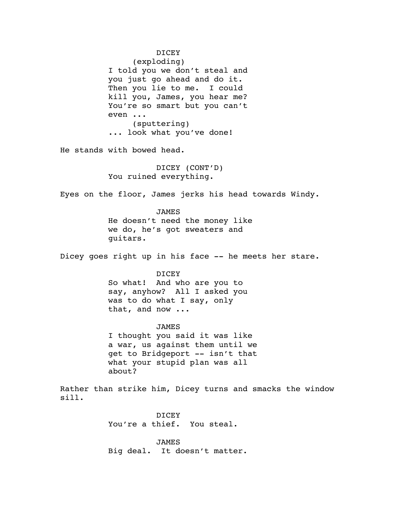DICEY (exploding) I told you we don't steal and you just go ahead and do it. Then you lie to me. I could kill you, James, you hear me? You're so smart but you can't even ... (sputtering) ... look what you've done! He stands with bowed head. DICEY (CONT'D) You ruined everything. Eyes on the floor, James jerks his head towards Windy. JAMES He doesn't need the money like we do, he's got sweaters and guitars. Dicey goes right up in his face -- he meets her stare. DICEY So what! And who are you to say, anyhow? All I asked you was to do what I say, only that, and now ... JAMES I thought you said it was like a war, us against them until we get to Bridgeport -- isn't that what your stupid plan was all about? Rather than strike him, Dicey turns and smacks the window sill. DICEY You're a thief. You steal. JAMES Big deal. It doesn't matter.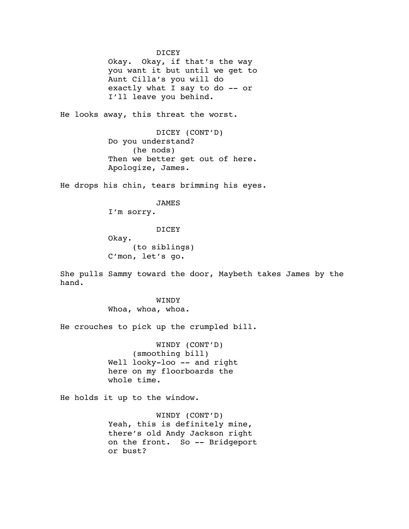DICEY Okay. Okay, if that's the way you want it but until we get to Aunt Cilla's you will do exactly what I say to do -- or I'll leave you behind.

He looks away, this threat the worst.

DICEY (CONT'D) Do you understand? (he nods) Then we better get out of here. Apologize, James.

He drops his chin, tears brimming his eyes.

JAMES

I'm sorry.

DICEY

Okay. (to siblings) C'mon, let's go.

She pulls Sammy toward the door, Maybeth takes James by the hand.

> WINDY Whoa, whoa, whoa.

He crouches to pick up the crumpled bill.

WINDY (CONT'D) (smoothing bill) Well looky-loo -- and right here on my floorboards the whole time.

He holds it up to the window.

WINDY (CONT'D) Yeah, this is definitely mine, there's old Andy Jackson right on the front. So -- Bridgeport or bust?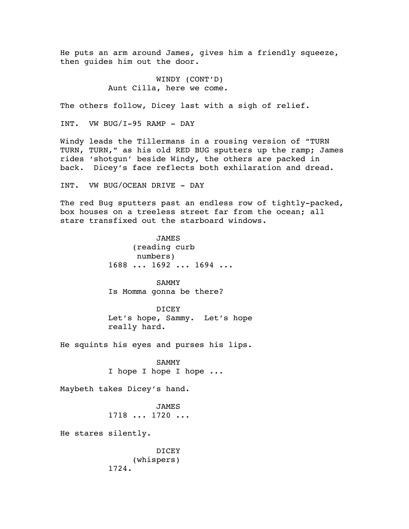He puts an arm around James, gives him a friendly squeeze, then guides him out the door.

> WINDY (CONT'D) Aunt Cilla, here we come.

The others follow, Dicey last with a sigh of relief.

INT. VW BUG/I-95 RAMP - DAY

Windy leads the Tillermans in a rousing version of "TURN TURN, TURN," as his old RED BUG sputters up the ramp; James rides 'shotgun' beside Windy, the others are packed in back. Dicey's face reflects both exhilaration and dread.

INT. VW BUG/OCEAN DRIVE - DAY

The red Bug sputters past an endless row of tightly-packed, box houses on a treeless street far from the ocean; all stare transfixed out the starboard windows.

> **JAMES** (reading curb numbers) 1688 ... 1692 ... 1694 ...

SAMMY Is Momma gonna be there?

DICEY Let's hope, Sammy. Let's hope really hard.

He squints his eyes and purses his lips.

SAMMY I hope I hope I hope ...

Maybeth takes Dicey's hand.

**JAMES** 1718 ... 1720 ...

He stares silently.

DICEY (whispers) 1724.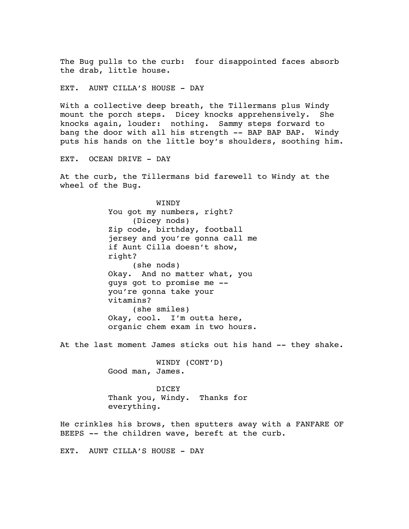The Bug pulls to the curb: four disappointed faces absorb the drab, little house.

EXT. AUNT CILLA'S HOUSE - DAY

With a collective deep breath, the Tillermans plus Windy mount the porch steps. Dicey knocks apprehensively. She knocks again, louder: nothing. Sammy steps forward to bang the door with all his strength -- BAP BAP BAP. Windy puts his hands on the little boy's shoulders, soothing him.

EXT. OCEAN DRIVE - DAY

At the curb, the Tillermans bid farewell to Windy at the wheel of the Bug.

> WINDY You got my numbers, right? (Dicey nods) Zip code, birthday, football jersey and you're gonna call me if Aunt Cilla doesn't show, right? (she nods) Okay. And no matter what, you guys got to promise me - you're gonna take your vitamins? (she smiles) Okay, cool. I'm outta here, organic chem exam in two hours.

At the last moment James sticks out his hand -- they shake.

WINDY (CONT'D) Good man, James.

DICEY Thank you, Windy. Thanks for everything.

He crinkles his brows, then sputters away with a FANFARE OF BEEPS -- the children wave, bereft at the curb.

EXT. AUNT CILLA'S HOUSE - DAY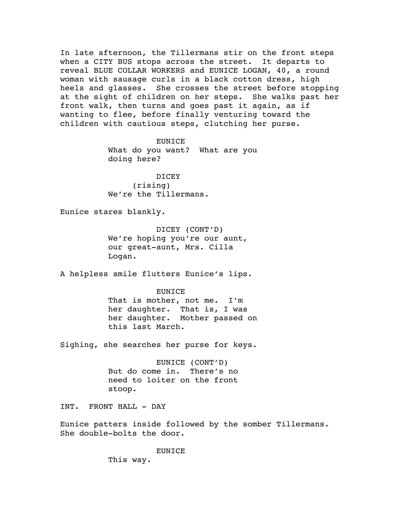In late afternoon, the Tillermans stir on the front steps when a CITY BUS stops across the street. It departs to reveal BLUE COLLAR WORKERS and EUNICE LOGAN, 40, a round woman with sausage curls in a black cotton dress, high heels and glasses. She crosses the street before stopping at the sight of children on her steps. She walks past her front walk, then turns and goes past it again, as if wanting to flee, before finally venturing toward the children with cautious steps, clutching her purse.

> EUNICE What do you want? What are you doing here?

DICEY (rising) We're the Tillermans.

Eunice stares blankly.

DICEY (CONT'D) We're hoping you're our aunt, our great-aunt, Mrs. Cilla Logan.

A helpless smile flutters Eunice's lips.

### EUNICE

That is mother, not me. I'm her daughter. That is, I was her daughter. Mother passed on this last March.

Sighing, she searches her purse for keys.

EUNICE (CONT'D) But do come in. There's no need to loiter on the front stoop.

INT. FRONT HALL - DAY

Eunice patters inside followed by the somber Tillermans. She double-bolts the door.

EUNICE

This way.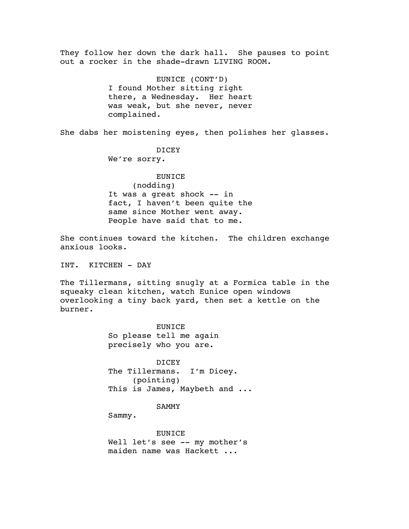They follow her down the dark hall. She pauses to point out a rocker in the shade-drawn LIVING ROOM. EUNICE (CONT'D) I found Mother sitting right there, a Wednesday. Her heart was weak, but she never, never complained. She dabs her moistening eyes, then polishes her glasses. DICEY We're sorry. EUNICE (nodding) It was a great shock -- in fact, I haven't been quite the same since Mother went away. People have said that to me. She continues toward the kitchen. The children exchange anxious looks. INT. KITCHEN - DAY The Tillermans, sitting snugly at a Formica table in the squeaky clean kitchen, watch Eunice open windows overlooking a tiny back yard, then set a kettle on the burner. EUNICE So please tell me again precisely who you are. DICEY The Tillermans. I'm Dicey. (pointing) This is James, Maybeth and ... SAMMY Sammy.

EUNICE Well let's see -- my mother's maiden name was Hackett ...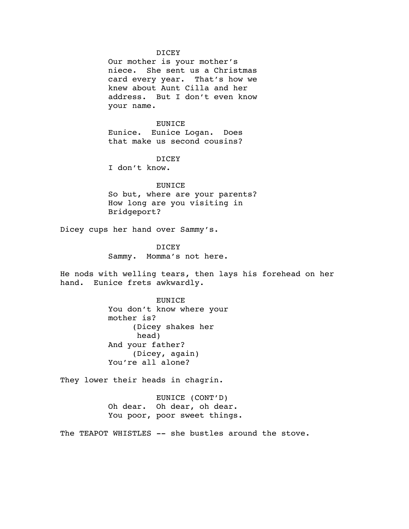#### DICEY

Our mother is your mother's niece. She sent us a Christmas card every year. That's how we knew about Aunt Cilla and her address. But I don't even know your name.

### EUNICE

Eunice. Eunice Logan. Does that make us second cousins?

### DICEY

I don't know.

## **EUNICE**

So but, where are your parents? How long are you visiting in Bridgeport?

Dicey cups her hand over Sammy's.

DICEY Sammy. Momma's not here.

He nods with welling tears, then lays his forehead on her hand. Eunice frets awkwardly.

> EUNICE You don't know where your mother is? (Dicey shakes her head) And your father? (Dicey, again) You're all alone?

They lower their heads in chagrin.

EUNICE (CONT'D) Oh dear. Oh dear, oh dear. You poor, poor sweet things.

The TEAPOT WHISTLES -- she bustles around the stove.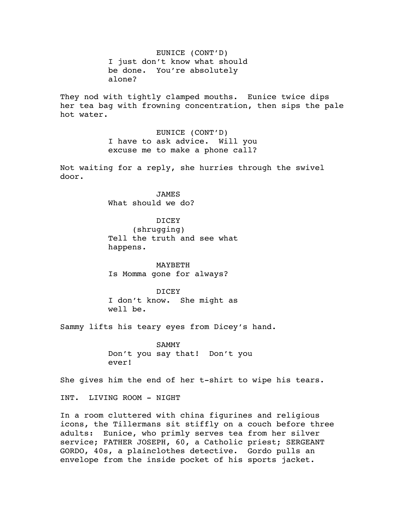EUNICE (CONT'D) I just don't know what should be done. You're absolutely alone?

They nod with tightly clamped mouths. Eunice twice dips her tea bag with frowning concentration, then sips the pale hot water.

> EUNICE (CONT'D) I have to ask advice. Will you excuse me to make a phone call?

Not waiting for a reply, she hurries through the swivel door.

> **JAMES** What should we do?

DICEY (shrugging) Tell the truth and see what happens.

MAYBETH Is Momma gone for always?

DICEY I don't know. She might as well be.

Sammy lifts his teary eyes from Dicey's hand.

SAMMY Don't you say that! Don't you ever!

She gives him the end of her t-shirt to wipe his tears.

INT. LIVING ROOM - NIGHT

In a room cluttered with china figurines and religious icons, the Tillermans sit stiffly on a couch before three adults: Eunice, who primly serves tea from her silver service; FATHER JOSEPH, 60, a Catholic priest; SERGEANT GORDO, 40s, a plainclothes detective. Gordo pulls an envelope from the inside pocket of his sports jacket.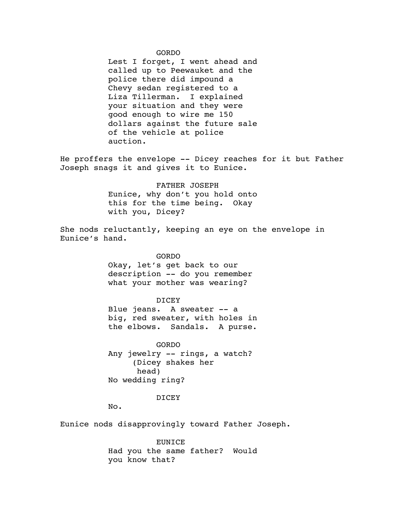#### GORDO

Lest I forget, I went ahead and called up to Peewauket and the police there did impound a Chevy sedan registered to a Liza Tillerman. I explained your situation and they were good enough to wire me 150 dollars against the future sale of the vehicle at police auction.

He proffers the envelope -- Dicey reaches for it but Father Joseph snags it and gives it to Eunice.

> FATHER JOSEPH Eunice, why don't you hold onto this for the time being. Okay with you, Dicey?

She nods reluctantly, keeping an eye on the envelope in Eunice's hand.

> GORDO Okay, let's get back to our description -- do you remember what your mother was wearing?

## DICEY

Blue jeans. A sweater -- a big, red sweater, with holes in the elbows. Sandals. A purse.

GORDO Any jewelry -- rings, a watch? (Dicey shakes her head) No wedding ring?

# DICEY

No.

Eunice nods disapprovingly toward Father Joseph.

EUNICE Had you the same father? Would you know that?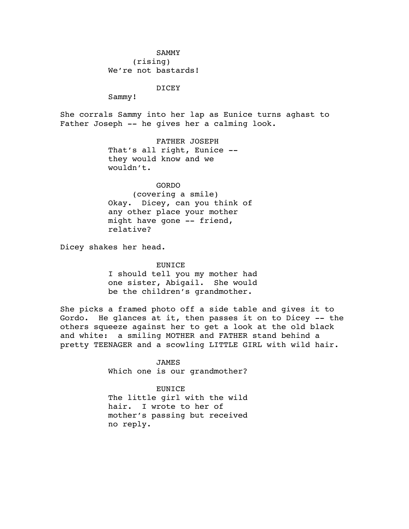# SAMMY (rising) We're not bastards!

# DICEY

Sammy!

She corrals Sammy into her lap as Eunice turns aghast to Father Joseph -- he gives her a calming look.

> FATHER JOSEPH That's all right, Eunice - they would know and we wouldn't.

GORDO (covering a smile) Okay. Dicey, can you think of any other place your mother might have gone -- friend, relative?

Dicey shakes her head.

EUNICE I should tell you my mother had one sister, Abigail. She would be the children's grandmother.

She picks a framed photo off a side table and gives it to Gordo. He glances at it, then passes it on to Dicey -- the others squeeze against her to get a look at the old black and white: a smiling MOTHER and FATHER stand behind a pretty TEENAGER and a scowling LITTLE GIRL with wild hair.

> JAMES Which one is our grandmother?

> EUNICE The little girl with the wild hair. I wrote to her of mother's passing but received no reply.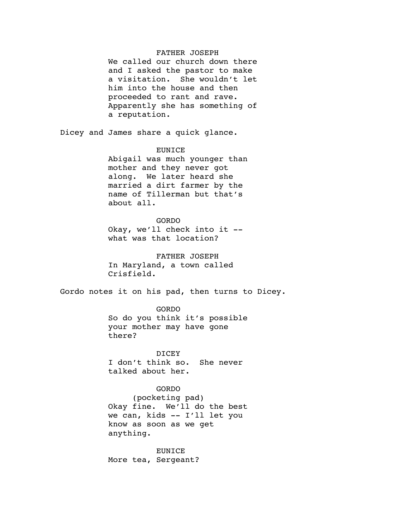# FATHER JOSEPH

We called our church down there and I asked the pastor to make a visitation. She wouldn't let him into the house and then proceeded to rant and rave. Apparently she has something of a reputation.

Dicey and James share a quick glance.

### EUNICE

Abigail was much younger than mother and they never got along. We later heard she married a dirt farmer by the name of Tillerman but that's about all.

GORDO Okay, we'll check into it - what was that location?

FATHER JOSEPH In Maryland, a town called Crisfield.

Gordo notes it on his pad, then turns to Dicey.

GORDO So do you think it's possible your mother may have gone there?

DICEY I don't think so. She never talked about her.

## GORDO

(pocketing pad) Okay fine. We'll do the best we can, kids -- I'll let you know as soon as we get anything.

EUNICE More tea, Sergeant?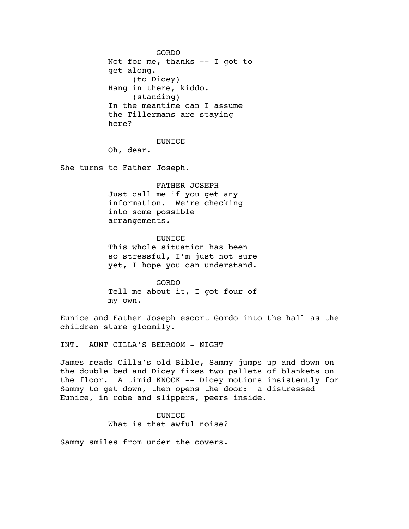GORDO Not for me, thanks -- I got to get along. (to Dicey) Hang in there, kiddo. (standing) In the meantime can I assume the Tillermans are staying here?

EUNICE

Oh, dear.

She turns to Father Joseph.

FATHER JOSEPH Just call me if you get any information. We're checking into some possible arrangements.

**EUNICE** This whole situation has been so stressful, I'm just not sure yet, I hope you can understand.

GORDO Tell me about it, I got four of my own.

Eunice and Father Joseph escort Gordo into the hall as the children stare gloomily.

INT. AUNT CILLA'S BEDROOM - NIGHT

James reads Cilla's old Bible, Sammy jumps up and down on the double bed and Dicey fixes two pallets of blankets on the floor. A timid KNOCK -- Dicey motions insistently for Sammy to get down, then opens the door: a distressed Eunice, in robe and slippers, peers inside.

# EUNICE

What is that awful noise?

Sammy smiles from under the covers.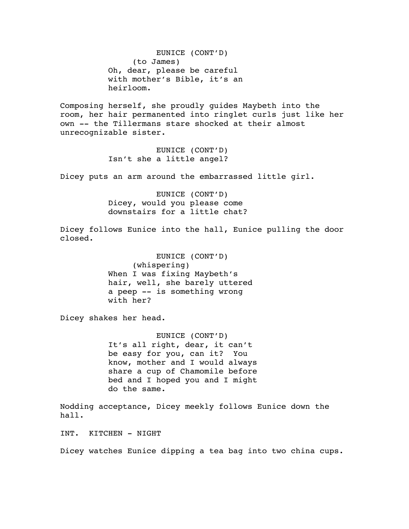EUNICE (CONT'D) (to James) Oh, dear, please be careful with mother's Bible, it's an heirloom.

Composing herself, she proudly guides Maybeth into the room, her hair permanented into ringlet curls just like her own -- the Tillermans stare shocked at their almost unrecognizable sister.

> EUNICE (CONT'D) Isn't she a little angel?

Dicey puts an arm around the embarrassed little girl.

EUNICE (CONT'D) Dicey, would you please come downstairs for a little chat?

Dicey follows Eunice into the hall, Eunice pulling the door closed.

> EUNICE (CONT'D) (whispering) When I was fixing Maybeth's hair, well, she barely uttered a peep -- is something wrong with her?

Dicey shakes her head.

EUNICE (CONT'D) It's all right, dear, it can't be easy for you, can it? You know, mother and I would always share a cup of Chamomile before bed and I hoped you and I might do the same.

Nodding acceptance, Dicey meekly follows Eunice down the hall.

INT. KITCHEN - NIGHT

Dicey watches Eunice dipping a tea bag into two china cups.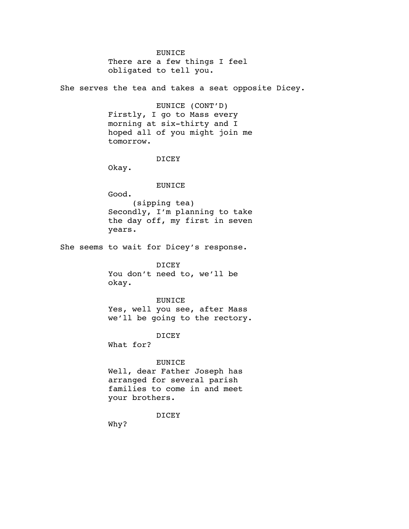EUNICE There are a few things I feel obligated to tell you.

She serves the tea and takes a seat opposite Dicey.

EUNICE (CONT'D) Firstly, I go to Mass every morning at six-thirty and I hoped all of you might join me tomorrow.

#### DICEY

Okay.

Good.

## EUNICE

(sipping tea) Secondly, I'm planning to take the day off, my first in seven years.

She seems to wait for Dicey's response.

DICEY You don't need to, we'll be okay.

EUNICE Yes, well you see, after Mass we'll be going to the rectory.

## DICEY

What for?

## EUNICE

Well, dear Father Joseph has arranged for several parish families to come in and meet your brothers.

# DICEY

Why?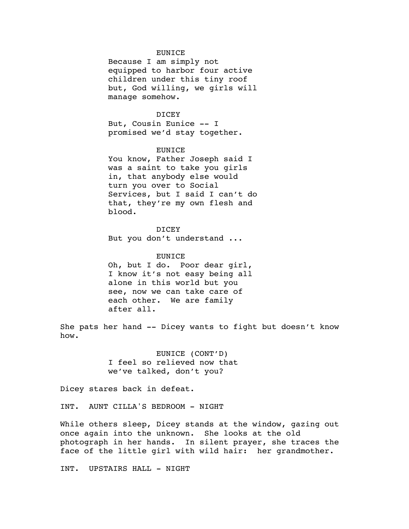#### EUNICE

Because I am simply not equipped to harbor four active children under this tiny roof but, God willing, we girls will manage somehow.

# DICEY

But, Cousin Eunice -- I promised we'd stay together.

### EUNICE

You know, Father Joseph said I was a saint to take you girls in, that anybody else would turn you over to Social Services, but I said I can't do that, they're my own flesh and blood.

### **DICEY**

But you don't understand ...

# **EUNICE**

Oh, but I do. Poor dear girl, I know it's not easy being all alone in this world but you see, now we can take care of each other. We are family after all.

She pats her hand -- Dicey wants to fight but doesn't know how.

> EUNICE (CONT'D) I feel so relieved now that we've talked, don't you?

Dicey stares back in defeat.

INT. AUNT CILLA'S BEDROOM - NIGHT

While others sleep, Dicey stands at the window, gazing out once again into the unknown. She looks at the old photograph in her hands. In silent prayer, she traces the face of the little girl with wild hair: her grandmother.

INT. UPSTAIRS HALL - NIGHT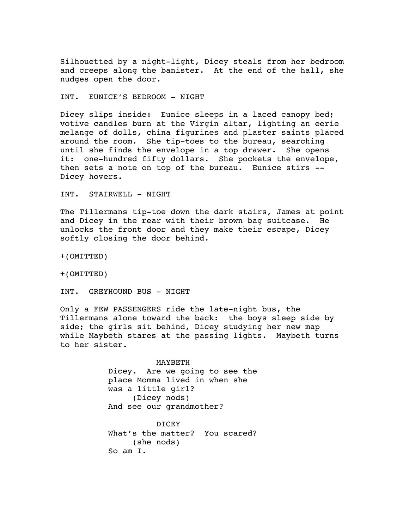Silhouetted by a night-light, Dicey steals from her bedroom and creeps along the banister. At the end of the hall, she nudges open the door.

INT. EUNICE'S BEDROOM - NIGHT

Dicey slips inside: Eunice sleeps in a laced canopy bed; votive candles burn at the Virgin altar, lighting an eerie melange of dolls, china figurines and plaster saints placed around the room. She tip-toes to the bureau, searching until she finds the envelope in a top drawer. She opens it: one-hundred fifty dollars. She pockets the envelope, then sets a note on top of the bureau. Eunice stirs -- Dicey hovers.

INT. STAIRWELL - NIGHT

The Tillermans tip-toe down the dark stairs, James at point and Dicey in the rear with their brown bag suitcase. He unlocks the front door and they make their escape, Dicey softly closing the door behind.

+(OMITTED)

+(OMITTED)

INT. GREYHOUND BUS - NIGHT

Only a FEW PASSENGERS ride the late-night bus, the Tillermans alone toward the back: the boys sleep side by side; the girls sit behind, Dicey studying her new map while Maybeth stares at the passing lights. Maybeth turns to her sister.

> MAYBETH Dicey. Are we going to see the place Momma lived in when she was a little girl? (Dicey nods) And see our grandmother?

> DICEY What's the matter? You scared? (she nods) So am I.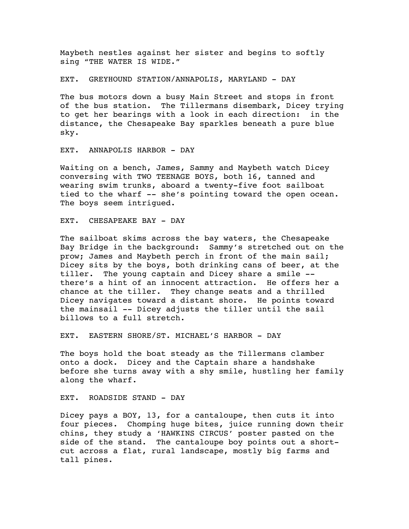Maybeth nestles against her sister and begins to softly sing "THE WATER IS WIDE."

EXT. GREYHOUND STATION/ANNAPOLIS, MARYLAND - DAY

The bus motors down a busy Main Street and stops in front of the bus station. The Tillermans disembark, Dicey trying to get her bearings with a look in each direction: in the distance, the Chesapeake Bay sparkles beneath a pure blue sky.

EXT. ANNAPOLIS HARBOR - DAY

Waiting on a bench, James, Sammy and Maybeth watch Dicey conversing with TWO TEENAGE BOYS, both 16, tanned and wearing swim trunks, aboard a twenty-five foot sailboat tied to the wharf -- she's pointing toward the open ocean. The boys seem intrigued.

EXT. CHESAPEAKE BAY - DAY

The sailboat skims across the bay waters, the Chesapeake Bay Bridge in the background: Sammy's stretched out on the prow; James and Maybeth perch in front of the main sail; Dicey sits by the boys, both drinking cans of beer, at the tiller. The young captain and Dicey share a smile - there's a hint of an innocent attraction. He offers her a chance at the tiller. They change seats and a thrilled Dicey navigates toward a distant shore. He points toward the mainsail -- Dicey adjusts the tiller until the sail billows to a full stretch.

EXT. EASTERN SHORE/ST. MICHAEL'S HARBOR - DAY

The boys hold the boat steady as the Tillermans clamber onto a dock. Dicey and the Captain share a handshake before she turns away with a shy smile, hustling her family along the wharf.

EXT. ROADSIDE STAND - DAY

Dicey pays a BOY, 13, for a cantaloupe, then cuts it into four pieces. Chomping huge bites, juice running down their chins, they study a 'HAWKINS CIRCUS' poster pasted on the side of the stand. The cantaloupe boy points out a shortcut across a flat, rural landscape, mostly big farms and tall pines.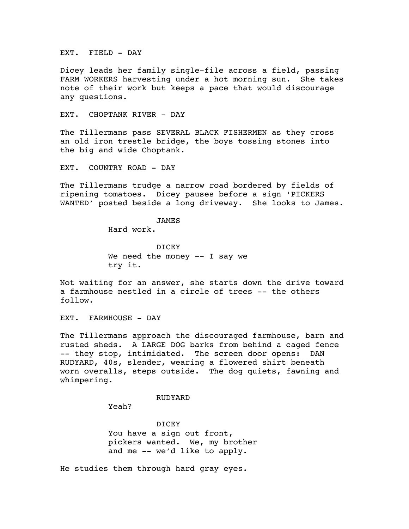EXT. FIELD - DAY

Dicey leads her family single-file across a field, passing FARM WORKERS harvesting under a hot morning sun. She takes note of their work but keeps a pace that would discourage any questions.

EXT. CHOPTANK RIVER - DAY

The Tillermans pass SEVERAL BLACK FISHERMEN as they cross an old iron trestle bridge, the boys tossing stones into the big and wide Choptank.

EXT. COUNTRY ROAD - DAY

The Tillermans trudge a narrow road bordered by fields of ripening tomatoes. Dicey pauses before a sign 'PICKERS WANTED' posted beside a long driveway. She looks to James.

JAMES

Hard work.

DICEY We need the money -- I say we try it.

Not waiting for an answer, she starts down the drive toward a farmhouse nestled in a circle of trees -- the others follow.

EXT. FARMHOUSE - DAY

The Tillermans approach the discouraged farmhouse, barn and rusted sheds. A LARGE DOG barks from behind a caged fence -- they stop, intimidated. The screen door opens: DAN RUDYARD, 40s, slender, wearing a flowered shirt beneath worn overalls, steps outside. The dog quiets, fawning and whimpering.

## RUDYARD

Yeah?

DICEY You have a sign out front, pickers wanted. We, my brother and me -- we'd like to apply.

He studies them through hard gray eyes.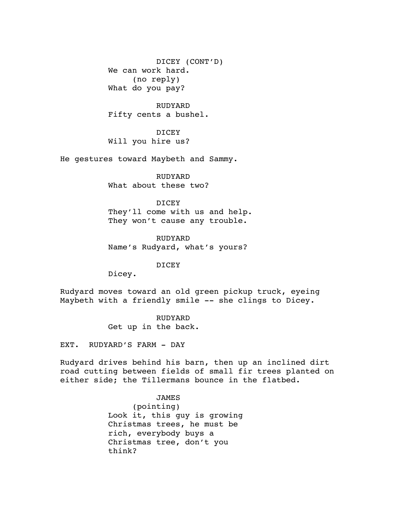DICEY (CONT'D) We can work hard. (no reply) What do you pay?

RUDYARD Fifty cents a bushel.

DICEY Will you hire us?

He gestures toward Maybeth and Sammy.

RUDYARD What about these two?

DICEY They'll come with us and help. They won't cause any trouble.

RUDYARD Name's Rudyard, what's yours?

DICEY

Dicey.

Rudyard moves toward an old green pickup truck, eyeing Maybeth with a friendly smile -- she clings to Dicey.

> RUDYARD Get up in the back.

EXT. RUDYARD'S FARM - DAY

Rudyard drives behind his barn, then up an inclined dirt road cutting between fields of small fir trees planted on either side; the Tillermans bounce in the flatbed.

JAMES

(pointing) Look it, this guy is growing Christmas trees, he must be rich, everybody buys a Christmas tree, don't you think?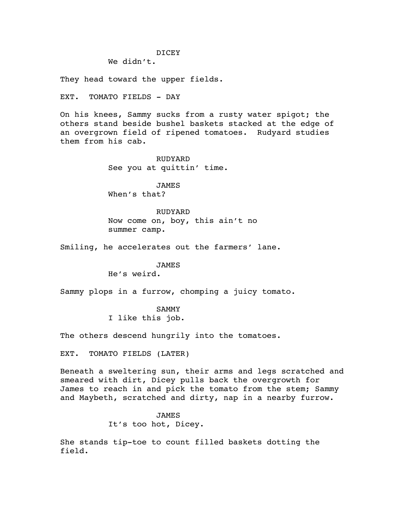### DICEY

We didn't.

They head toward the upper fields.

EXT. TOMATO FIELDS - DAY

On his knees, Sammy sucks from a rusty water spigot; the others stand beside bushel baskets stacked at the edge of an overgrown field of ripened tomatoes. Rudyard studies them from his cab.

> RUDYARD See you at quittin' time.

JAMES When's that?

RUDYARD Now come on, boy, this ain't no summer camp.

Smiling, he accelerates out the farmers' lane.

# JAMES

He's weird.

Sammy plops in a furrow, chomping a juicy tomato.

SAMMY I like this job.

The others descend hungrily into the tomatoes.

EXT. TOMATO FIELDS (LATER)

Beneath a sweltering sun, their arms and legs scratched and smeared with dirt, Dicey pulls back the overgrowth for James to reach in and pick the tomato from the stem; Sammy and Maybeth, scratched and dirty, nap in a nearby furrow.

> JAMES It's too hot, Dicey.

She stands tip-toe to count filled baskets dotting the field.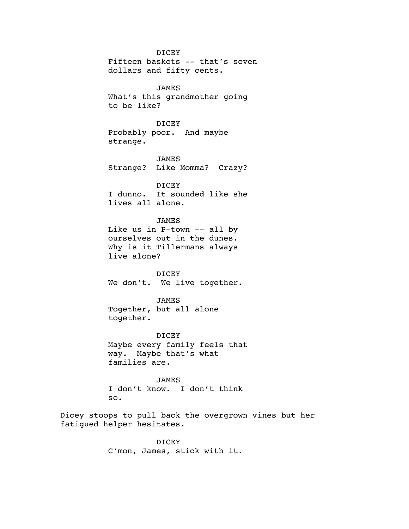DICEY Fifteen baskets -- that's seven dollars and fifty cents. JAMES What's this grandmother going to be like? DICEY Probably poor. And maybe strange. JAMES Strange? Like Momma? Crazy? **DICEY** I dunno. It sounded like she lives all alone. JAMES Like us in P-town -- all by ourselves out in the dunes. Why is it Tillermans always live alone? DICEY We don't. We live together. JAMES Together, but all alone together. DICEY Maybe every family feels that way. Maybe that's what families are. JAMES I don't know. I don't think so.

Dicey stoops to pull back the overgrown vines but her fatigued helper hesitates.

> DICEY C'mon, James, stick with it.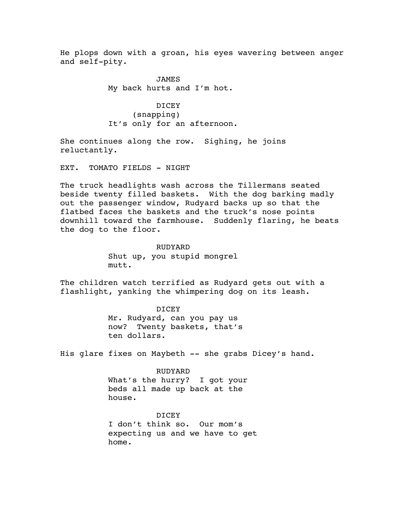He plops down with a groan, his eyes wavering between anger and self-pity.

> JAMES My back hurts and I'm hot.

DICEY (snapping) It's only for an afternoon.

She continues along the row. Sighing, he joins reluctantly.

EXT. TOMATO FIELDS - NIGHT

The truck headlights wash across the Tillermans seated beside twenty filled baskets. With the dog barking madly out the passenger window, Rudyard backs up so that the flatbed faces the baskets and the truck's nose points downhill toward the farmhouse. Suddenly flaring, he beats the dog to the floor.

> RUDYARD Shut up, you stupid mongrel mutt.

The children watch terrified as Rudyard gets out with a flashlight, yanking the whimpering dog on its leash.

> DICEY Mr. Rudyard, can you pay us now? Twenty baskets, that's ten dollars.

His glare fixes on Maybeth -- she grabs Dicey's hand.

RUDYARD What's the hurry? I got your beds all made up back at the house.

DICEY I don't think so. Our mom's expecting us and we have to get home.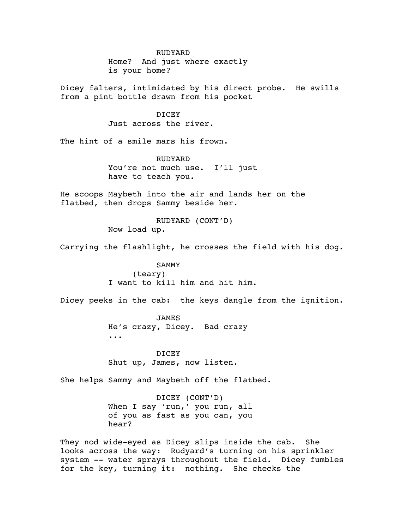#### RUDYARD

Home? And just where exactly is your home?

Dicey falters, intimidated by his direct probe. He swills from a pint bottle drawn from his pocket

DICEY

Just across the river.

The hint of a smile mars his frown.

RUDYARD You're not much use. I'll just have to teach you.

He scoops Maybeth into the air and lands her on the flatbed, then drops Sammy beside her.

> RUDYARD (CONT'D) Now load up.

Carrying the flashlight, he crosses the field with his dog.

SAMMY (teary) I want to kill him and hit him.

Dicey peeks in the cab: the keys dangle from the ignition.

JAMES He's crazy, Dicey. Bad crazy ...

DICEY Shut up, James, now listen.

She helps Sammy and Maybeth off the flatbed.

DICEY (CONT'D) When I say 'run,' you run, all of you as fast as you can, you hear?

They nod wide-eyed as Dicey slips inside the cab. She looks across the way: Rudyard's turning on his sprinkler system -- water sprays throughout the field. Dicey fumbles for the key, turning it: nothing. She checks the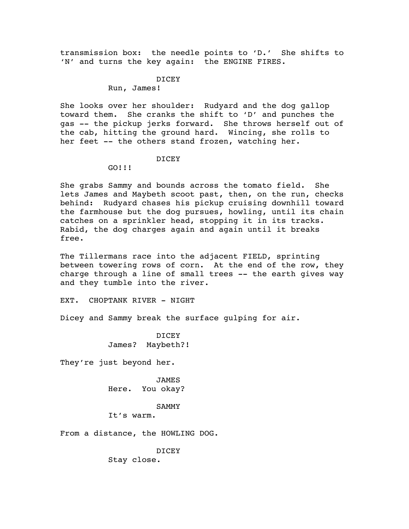transmission box: the needle points to 'D.' She shifts to 'N' and turns the key again: the ENGINE FIRES.

> DICEY Run, James!

She looks over her shoulder: Rudyard and the dog gallop toward them. She cranks the shift to 'D' and punches the gas -- the pickup jerks forward. She throws herself out of the cab, hitting the ground hard. Wincing, she rolls to her feet -- the others stand frozen, watching her.

### DICEY

#### GO!!!

She grabs Sammy and bounds across the tomato field. She lets James and Maybeth scoot past, then, on the run, checks behind: Rudyard chases his pickup cruising downhill toward the farmhouse but the dog pursues, howling, until its chain catches on a sprinkler head, stopping it in its tracks. Rabid, the dog charges again and again until it breaks free.

The Tillermans race into the adjacent FIELD, sprinting between towering rows of corn. At the end of the row, they charge through a line of small trees -- the earth gives way and they tumble into the river.

EXT. CHOPTANK RIVER - NIGHT

Dicey and Sammy break the surface gulping for air.

**DICEY** James? Maybeth?!

They're just beyond her.

JAMES Here. You okay?

#### SAMMY

It's warm.

From a distance, the HOWLING DOG.

DICEY

Stay close.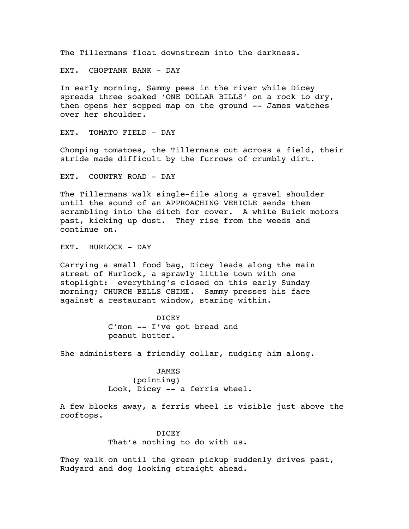The Tillermans float downstream into the darkness.

EXT. CHOPTANK BANK - DAY

In early morning, Sammy pees in the river while Dicey spreads three soaked 'ONE DOLLAR BILLS' on a rock to dry, then opens her sopped map on the ground -- James watches over her shoulder.

EXT. TOMATO FIELD - DAY

Chomping tomatoes, the Tillermans cut across a field, their stride made difficult by the furrows of crumbly dirt.

EXT. COUNTRY ROAD - DAY

The Tillermans walk single-file along a gravel shoulder until the sound of an APPROACHING VEHICLE sends them scrambling into the ditch for cover. A white Buick motors past, kicking up dust. They rise from the weeds and continue on.

EXT. HURLOCK - DAY

Carrying a small food bag, Dicey leads along the main street of Hurlock, a sprawly little town with one stoplight: everything's closed on this early Sunday morning; CHURCH BELLS CHIME. Sammy presses his face against a restaurant window, staring within.

> **DICEY** C'mon -- I've got bread and peanut butter.

She administers a friendly collar, nudging him along.

JAMES (pointing) Look, Dicey -- a ferris wheel.

A few blocks away, a ferris wheel is visible just above the rooftops.

> DICEY That's nothing to do with us.

They walk on until the green pickup suddenly drives past, Rudyard and dog looking straight ahead.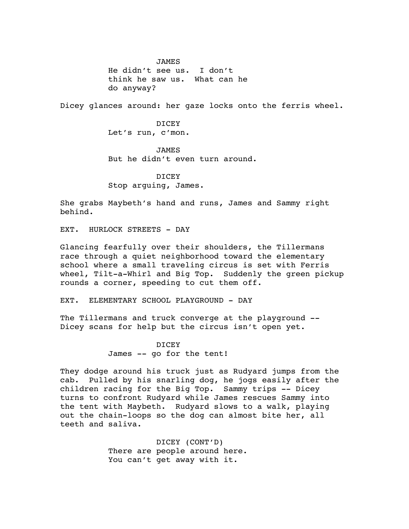JAMES He didn't see us. I don't think he saw us. What can he do anyway?

Dicey glances around: her gaze locks onto the ferris wheel.

DICEY Let's run, c'mon.

JAMES But he didn't even turn around.

DICEY Stop arguing, James.

She grabs Maybeth's hand and runs, James and Sammy right behind.

EXT. HURLOCK STREETS - DAY

Glancing fearfully over their shoulders, the Tillermans race through a quiet neighborhood toward the elementary school where a small traveling circus is set with Ferris wheel, Tilt-a-Whirl and Big Top. Suddenly the green pickup rounds a corner, speeding to cut them off.

EXT. ELEMENTARY SCHOOL PLAYGROUND - DAY

The Tillermans and truck converge at the playground -- Dicey scans for help but the circus isn't open yet.

> DICEY James -- go for the tent!

They dodge around his truck just as Rudyard jumps from the cab. Pulled by his snarling dog, he jogs easily after the children racing for the Big Top. Sammy trips -- Dicey turns to confront Rudyard while James rescues Sammy into the tent with Maybeth. Rudyard slows to a walk, playing out the chain-loops so the dog can almost bite her, all teeth and saliva.

> DICEY (CONT'D) There are people around here. You can't get away with it.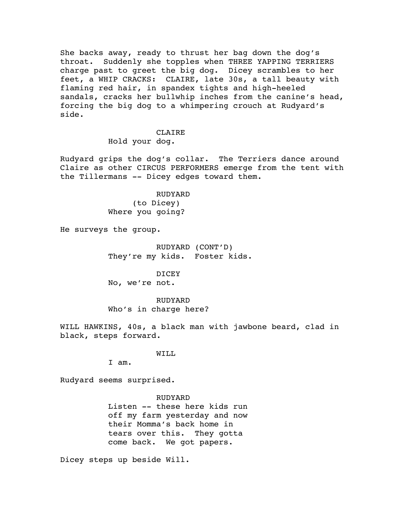She backs away, ready to thrust her bag down the dog's throat. Suddenly she topples when THREE YAPPING TERRIERS charge past to greet the big dog. Dicey scrambles to her feet, a WHIP CRACKS: CLAIRE, late 30s, a tall beauty with flaming red hair, in spandex tights and high-heeled sandals, cracks her bullwhip inches from the canine's head, forcing the big dog to a whimpering crouch at Rudyard's side.

> CLAIRE Hold your dog.

Rudyard grips the dog's collar. The Terriers dance around Claire as other CIRCUS PERFORMERS emerge from the tent with the Tillermans -- Dicey edges toward them.

> RUDYARD (to Dicey) Where you going?

He surveys the group.

RUDYARD (CONT'D) They're my kids. Foster kids.

DICEY No, we're not.

RUDYARD Who's in charge here?

WILL HAWKINS, 40s, a black man with jawbone beard, clad in black, steps forward.

WILL

I am.

Rudyard seems surprised.

RUDYARD Listen -- these here kids run off my farm yesterday and now their Momma's back home in tears over this. They gotta come back. We got papers.

Dicey steps up beside Will.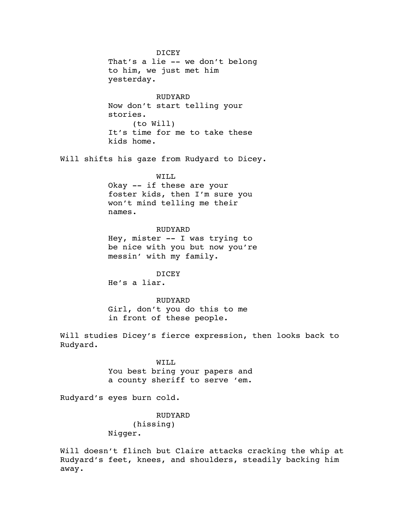DICEY That's a lie -- we don't belong to him, we just met him yesterday.

RUDYARD Now don't start telling your stories. (to Will) It's time for me to take these kids home.

Will shifts his gaze from Rudyard to Dicey.

WILL

Okay -- if these are your foster kids, then I'm sure you won't mind telling me their names.

RUDYARD Hey, mister -- I was trying to be nice with you but now you're messin' with my family.

DICEY

He's a liar.

RUDYARD Girl, don't you do this to me in front of these people.

Will studies Dicey's fierce expression, then looks back to Rudyard.

> WILL You best bring your papers and a county sheriff to serve 'em.

Rudyard's eyes burn cold.

RUDYARD (hissing) Nigger.

Will doesn't flinch but Claire attacks cracking the whip at Rudyard's feet, knees, and shoulders, steadily backing him away.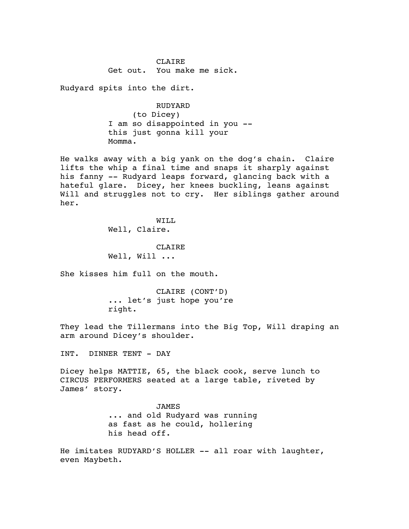CLAIRE Get out. You make me sick.

Rudyard spits into the dirt.

RUDYARD (to Dicey) I am so disappointed in you - this just gonna kill your Momma.

He walks away with a big yank on the dog's chain. Claire lifts the whip a final time and snaps it sharply against his fanny -- Rudyard leaps forward, glancing back with a hateful glare. Dicey, her knees buckling, leans against Will and struggles not to cry. Her siblings gather around her.

> WILL Well, Claire.

CLAIRE Well, Will ...

She kisses him full on the mouth.

CLAIRE (CONT'D) ... let's just hope you're right.

They lead the Tillermans into the Big Top, Will draping an arm around Dicey's shoulder.

INT. DINNER TENT - DAY

Dicey helps MATTIE, 65, the black cook, serve lunch to CIRCUS PERFORMERS seated at a large table, riveted by James' story.

> JAMES ... and old Rudyard was running as fast as he could, hollering his head off.

He imitates RUDYARD'S HOLLER -- all roar with laughter, even Maybeth.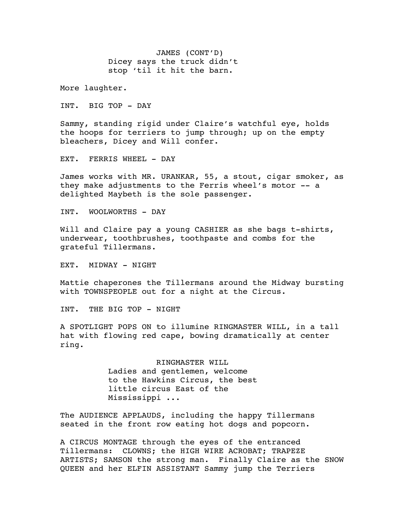JAMES (CONT'D) Dicey says the truck didn't stop 'til it hit the barn.

More laughter.

INT. BIG TOP - DAY

Sammy, standing rigid under Claire's watchful eye, holds the hoops for terriers to jump through; up on the empty bleachers, Dicey and Will confer.

EXT. FERRIS WHEEL - DAY

James works with MR. URANKAR, 55, a stout, cigar smoker, as they make adjustments to the Ferris wheel's motor -- a delighted Maybeth is the sole passenger.

INT. WOOLWORTHS - DAY

Will and Claire pay a young CASHIER as she bags t-shirts, underwear, toothbrushes, toothpaste and combs for the grateful Tillermans.

EXT. MIDWAY - NIGHT

Mattie chaperones the Tillermans around the Midway bursting with TOWNSPEOPLE out for a night at the Circus.

INT. THE BIG TOP - NIGHT

A SPOTLIGHT POPS ON to illumine RINGMASTER WILL, in a tall hat with flowing red cape, bowing dramatically at center ring.

> RINGMASTER WILL Ladies and gentlemen, welcome to the Hawkins Circus, the best little circus East of the Mississippi ...

The AUDIENCE APPLAUDS, including the happy Tillermans seated in the front row eating hot dogs and popcorn.

A CIRCUS MONTAGE through the eyes of the entranced Tillermans: CLOWNS; the HIGH WIRE ACROBAT; TRAPEZE ARTISTS; SAMSON the strong man. Finally Claire as the SNOW QUEEN and her ELFIN ASSISTANT Sammy jump the Terriers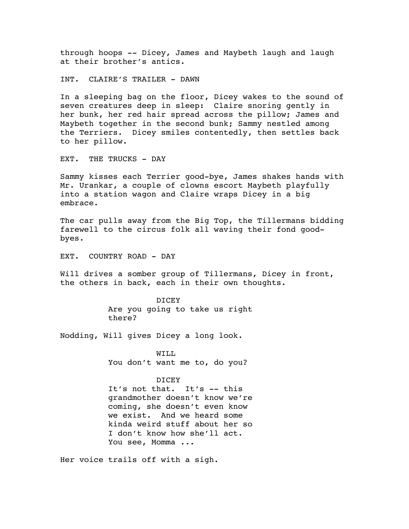through hoops -- Dicey, James and Maybeth laugh and laugh at their brother's antics.

INT. CLAIRE'S TRAILER - DAWN

In a sleeping bag on the floor, Dicey wakes to the sound of seven creatures deep in sleep: Claire snoring gently in her bunk, her red hair spread across the pillow; James and Maybeth together in the second bunk; Sammy nestled among the Terriers. Dicey smiles contentedly, then settles back to her pillow.

EXT. THE TRUCKS - DAY

Sammy kisses each Terrier good-bye, James shakes hands with Mr. Urankar, a couple of clowns escort Maybeth playfully into a station wagon and Claire wraps Dicey in a big embrace.

The car pulls away from the Big Top, the Tillermans bidding farewell to the circus folk all waving their fond goodbyes.

EXT. COUNTRY ROAD - DAY

Will drives a somber group of Tillermans, Dicey in front, the others in back, each in their own thoughts.

> DICEY Are you going to take us right there?

Nodding, Will gives Dicey a long look.

WILL You don't want me to, do you?

## DICEY

It's not that. It's -- this grandmother doesn't know we're coming, she doesn't even know we exist. And we heard some kinda weird stuff about her so I don't know how she'll act. You see, Momma ...

Her voice trails off with a sigh.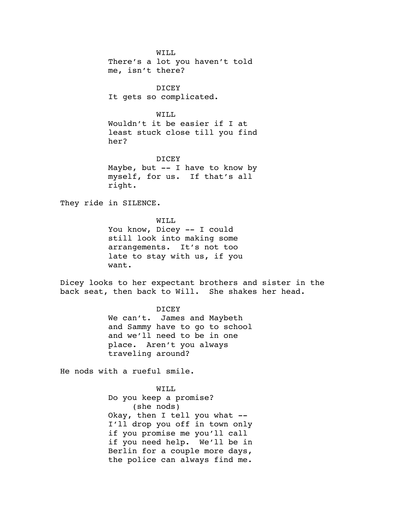WILL There's a lot you haven't told me, isn't there?

DICEY It gets so complicated.

WILL

Wouldn't it be easier if I at least stuck close till you find her?

DICEY Maybe, but  $--$  I have to know by myself, for us. If that's all right.

They ride in SILENCE.

WILL You know, Dicey -- I could still look into making some arrangements. It's not too late to stay with us, if you want.

Dicey looks to her expectant brothers and sister in the back seat, then back to Will. She shakes her head.

DICEY

We can't. James and Maybeth and Sammy have to go to school and we'll need to be in one place. Aren't you always traveling around?

He nods with a rueful smile.

WILL Do you keep a promise? (she nods) Okay, then I tell you what -- I'll drop you off in town only if you promise me you'll call if you need help. We'll be in Berlin for a couple more days, the police can always find me.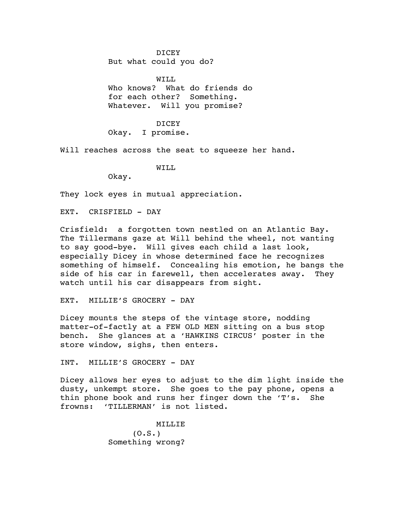DICEY

But what could you do?

WTT.T. Who knows? What do friends do for each other? Something. Whatever. Will you promise?

DICEY Okay. I promise.

Will reaches across the seat to squeeze her hand.

WILL

Okay.

They lock eyes in mutual appreciation.

EXT. CRISFIELD - DAY

Crisfield: a forgotten town nestled on an Atlantic Bay. The Tillermans gaze at Will behind the wheel, not wanting to say good-bye. Will gives each child a last look, especially Dicey in whose determined face he recognizes something of himself. Concealing his emotion, he bangs the side of his car in farewell, then accelerates away. They watch until his car disappears from sight.

EXT. MILLIE'S GROCERY - DAY

Dicey mounts the steps of the vintage store, nodding matter-of-factly at a FEW OLD MEN sitting on a bus stop bench. She glances at a 'HAWKINS CIRCUS' poster in the store window, sighs, then enters.

INT. MILLIE'S GROCERY - DAY

Dicey allows her eyes to adjust to the dim light inside the dusty, unkempt store. She goes to the pay phone, opens a thin phone book and runs her finger down the 'T's. She frowns: 'TILLERMAN' is not listed.

> MILLIE  $(0.S.)$ Something wrong?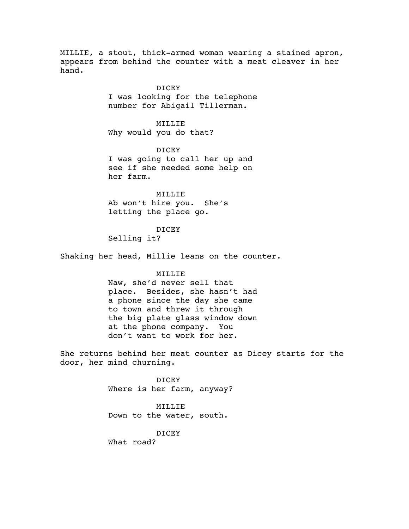MILLIE, a stout, thick-armed woman wearing a stained apron, appears from behind the counter with a meat cleaver in her hand.

> DICEY I was looking for the telephone number for Abigail Tillerman.

MILLIE Why would you do that?

DICEY I was going to call her up and see if she needed some help on her farm.

MILLIE Ab won't hire you. She's letting the place go.

## DICEY

Selling it?

Shaking her head, Millie leans on the counter.

## MILLIE

Naw, she'd never sell that place. Besides, she hasn't had a phone since the day she came to town and threw it through the big plate glass window down at the phone company. You don't want to work for her.

She returns behind her meat counter as Dicey starts for the door, her mind churning.

> DICEY Where is her farm, anyway?

## MILLIE

Down to the water, south.

DICEY

What road?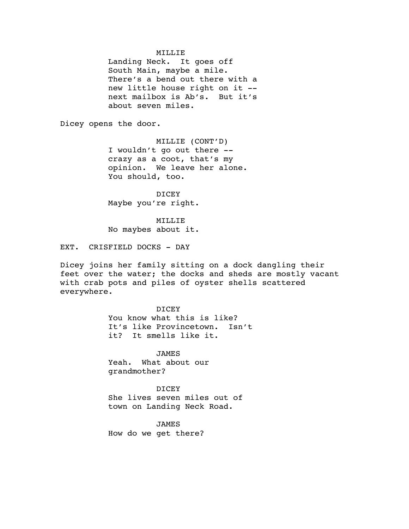### MILLIE

Landing Neck. It goes off South Main, maybe a mile. There's a bend out there with a new little house right on it - next mailbox is Ab's. But it's about seven miles.

Dicey opens the door.

MILLIE (CONT'D) I wouldn't go out there - crazy as a coot, that's my opinion. We leave her alone. You should, too.

DICEY Maybe you're right.

MILLIE No maybes about it.

EXT. CRISFIELD DOCKS - DAY

Dicey joins her family sitting on a dock dangling their feet over the water; the docks and sheds are mostly vacant with crab pots and piles of oyster shells scattered everywhere.

> DICEY You know what this is like? It's like Provincetown. Isn't it? It smells like it.

JAMES Yeah. What about our grandmother?

DICEY She lives seven miles out of town on Landing Neck Road.

JAMES How do we get there?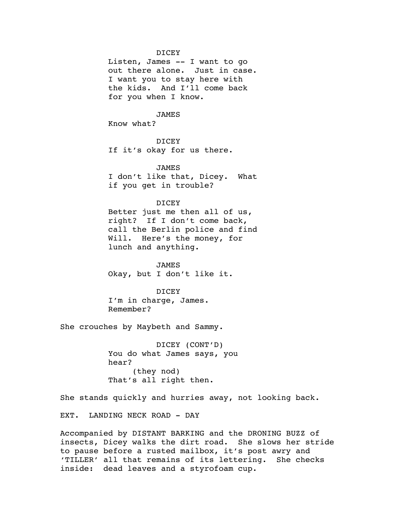#### DICEY

Listen, James -- I want to go out there alone. Just in case. I want you to stay here with the kids. And I'll come back for you when I know.

### JAMES

Know what?

### DICEY

If it's okay for us there.

JAMES I don't like that, Dicey. What if you get in trouble?

## DICEY

Better just me then all of us, right? If I don't come back, call the Berlin police and find Will. Here's the money, for lunch and anything.

JAMES Okay, but I don't like it.

DICEY I'm in charge, James. Remember?

She crouches by Maybeth and Sammy.

DICEY (CONT'D) You do what James says, you hear? (they nod) That's all right then.

She stands quickly and hurries away, not looking back.

EXT. LANDING NECK ROAD - DAY

Accompanied by DISTANT BARKING and the DRONING BUZZ of insects, Dicey walks the dirt road. She slows her stride to pause before a rusted mailbox, it's post awry and 'TILLER' all that remains of its lettering. She checks inside: dead leaves and a styrofoam cup.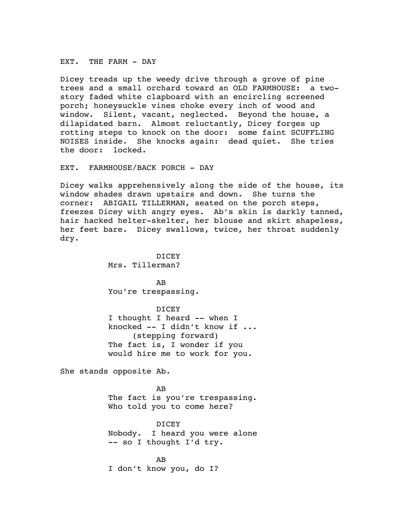EXT. THE FARM - DAY

Dicey treads up the weedy drive through a grove of pine trees and a small orchard toward an OLD FARMHOUSE: a twostory faded white clapboard with an encircling screened porch; honeysuckle vines choke every inch of wood and window. Silent, vacant, neglected. Beyond the house, a dilapidated barn. Almost reluctantly, Dicey forges up rotting steps to knock on the door: some faint SCUFFLING NOISES inside. She knocks again: dead quiet. She tries the door: locked.

EXT. FARMHOUSE/BACK PORCH - DAY

Dicey walks apprehensively along the side of the house, its window shades drawn upstairs and down. She turns the corner: ABIGAIL TILLERMAN, seated on the porch steps, freezes Dicey with angry eyes. Ab's skin is darkly tanned, hair hacked helter-skelter, her blouse and skirt shapeless, her feet bare. Dicey swallows, twice, her throat suddenly dry.

> DICEY Mrs. Tillerman?

AB You're trespassing.

DICEY I thought I heard -- when I knocked -- I didn't know if ... (stepping forward) The fact is, I wonder if you would hire me to work for you.

She stands opposite Ab.

AB The fact is you're trespassing. Who told you to come here?

DICEY Nobody. I heard you were alone -- so I thought I'd try.

AB I don't know you, do I?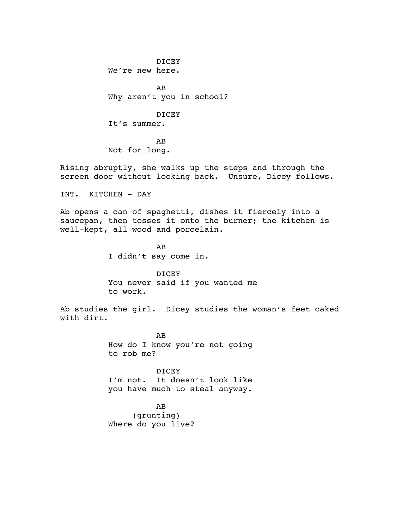DICEY We're new here. AB Why aren't you in school? DICEY It's summer. AB Not for long.

Rising abruptly, she walks up the steps and through the screen door without looking back. Unsure, Dicey follows.

INT. KITCHEN - DAY

Ab opens a can of spaghetti, dishes it fiercely into a saucepan, then tosses it onto the burner; the kitchen is well-kept, all wood and porcelain.

> AB I didn't say come in.

DICEY You never said if you wanted me to work.

Ab studies the girl. Dicey studies the woman's feet caked with dirt.

> AB How do I know you're not going to rob me?

> DICEY I'm not. It doesn't look like you have much to steal anyway.

AB (grunting) Where do you live?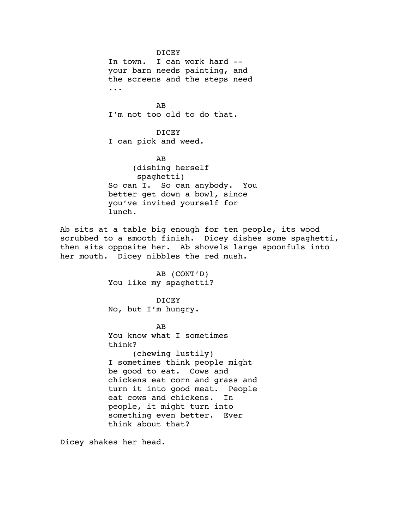DICEY In town. I can work hard - your barn needs painting, and the screens and the steps need ... AB I'm not too old to do that. DICEY I can pick and weed. AB (dishing herself spaghetti) So can I. So can anybody. You better get down a bowl, since you've invited yourself for lunch.

Ab sits at a table big enough for ten people, its wood scrubbed to a smooth finish. Dicey dishes some spaghetti, then sits opposite her. Ab shovels large spoonfuls into her mouth. Dicey nibbles the red mush.

> AB (CONT'D) You like my spaghetti?

DICEY No, but I'm hungry.

# AB

You know what I sometimes think?

(chewing lustily) I sometimes think people might be good to eat. Cows and chickens eat corn and grass and turn it into good meat. People eat cows and chickens. In people, it might turn into something even better. Ever think about that?

Dicey shakes her head.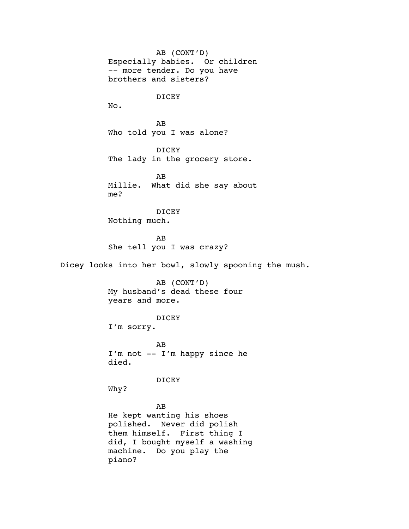AB (CONT'D) Especially babies. Or children -- more tender. Do you have brothers and sisters? DICEY No. AB Who told you I was alone? DICEY The lady in the grocery store. AB Millie. What did she say about me? DICEY Nothing much. AB She tell you I was crazy? Dicey looks into her bowl, slowly spooning the mush. AB (CONT'D) My husband's dead these four years and more. DICEY I'm sorry. AB I'm not -- I'm happy since he died. DICEY Why? AB He kept wanting his shoes polished. Never did polish them himself. First thing I did, I bought myself a washing

machine. Do you play the piano?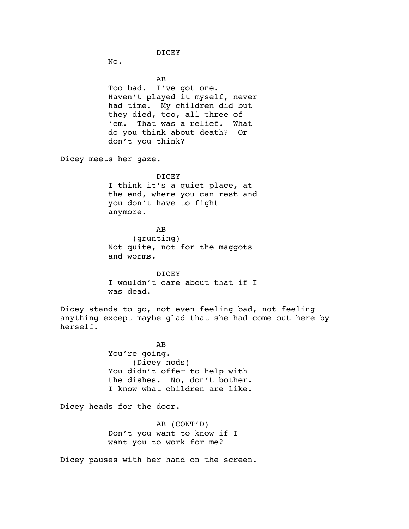DICEY

No.

AB Too bad. I've got one. Haven't played it myself, never had time. My children did but they died, too, all three of 'em. That was a relief. What do you think about death? Or don't you think?

Dicey meets her gaze.

#### DICEY

I think it's a quiet place, at the end, where you can rest and you don't have to fight anymore.

AB

(grunting) Not quite, not for the maggots and worms.

DICEY I wouldn't care about that if I was dead.

Dicey stands to go, not even feeling bad, not feeling anything except maybe glad that she had come out here by herself.

> AB You're going. (Dicey nods) You didn't offer to help with the dishes. No, don't bother. I know what children are like.

Dicey heads for the door.

AB (CONT'D) Don't you want to know if I want you to work for me?

Dicey pauses with her hand on the screen.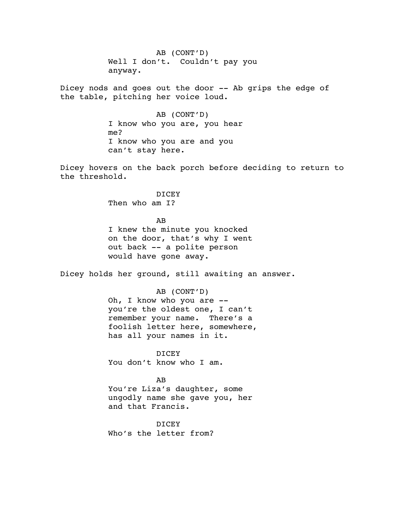AB (CONT'D) Well I don't. Couldn't pay you anyway.

Dicey nods and goes out the door -- Ab grips the edge of the table, pitching her voice loud.

> AB (CONT'D) I know who you are, you hear me? I know who you are and you can't stay here.

Dicey hovers on the back porch before deciding to return to the threshold.

> DICEY Then who am I?

AB I knew the minute you knocked on the door, that's why I went out back -- a polite person would have gone away.

Dicey holds her ground, still awaiting an answer.

AB (CONT'D) Oh, I know who you are - you're the oldest one, I can't remember your name. There's a foolish letter here, somewhere, has all your names in it.

DICEY You don't know who I am.

AB

You're Liza's daughter, some ungodly name she gave you, her and that Francis.

DICEY Who's the letter from?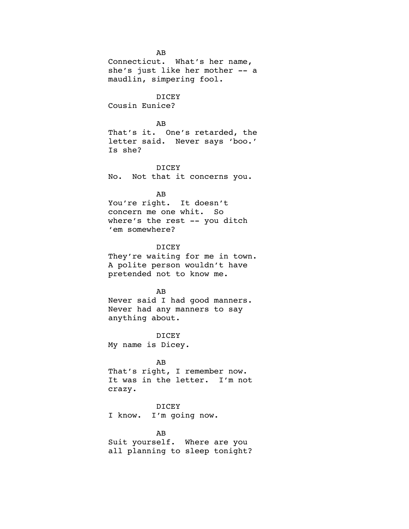AB Connecticut. What's her name, she's just like her mother -- a maudlin, simpering fool. DICEY Cousin Eunice? AB That's it. One's retarded, the letter said. Never says 'boo.' Is she? DICEY No. Not that it concerns you. AB You're right. It doesn't concern me one whit. So where's the rest -- you ditch 'em somewhere? DICEY They're waiting for me in town. A polite person wouldn't have pretended not to know me. AB Never said I had good manners. Never had any manners to say anything about. DICEY My name is Dicey. AB That's right, I remember now. It was in the letter. I'm not crazy. DICEY I know. I'm going now. AB

Suit yourself. Where are you all planning to sleep tonight?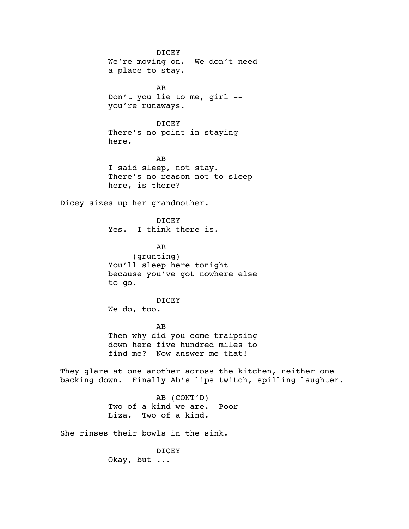DICEY We're moving on. We don't need a place to stay. AB Don't you lie to me, girl - you're runaways. DICEY There's no point in staying here. AB I said sleep, not stay. There's no reason not to sleep here, is there? Dicey sizes up her grandmother. DICEY Yes. I think there is. AB (grunting) You'll sleep here tonight because you've got nowhere else to go. DICEY We do, too. AB Then why did you come traipsing down here five hundred miles to find me? Now answer me that! They glare at one another across the kitchen, neither one backing down. Finally Ab's lips twitch, spilling laughter. AB (CONT'D) Two of a kind we are. Poor Liza. Two of a kind. She rinses their bowls in the sink. DICEY Okay, but ...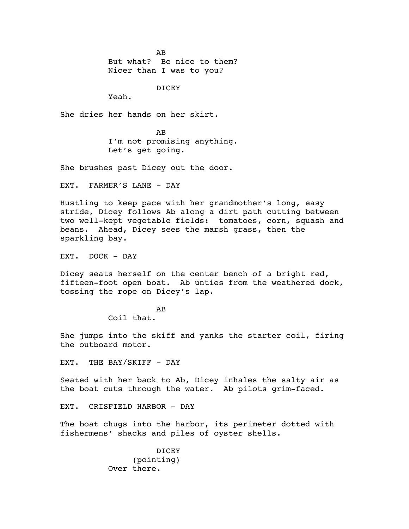AB But what? Be nice to them? Nicer than I was to you?

DICEY

Yeah.

She dries her hands on her skirt.

AB I'm not promising anything. Let's get going.

She brushes past Dicey out the door.

EXT. FARMER'S LANE - DAY

Hustling to keep pace with her grandmother's long, easy stride, Dicey follows Ab along a dirt path cutting between two well-kept vegetable fields: tomatoes, corn, squash and beans. Ahead, Dicey sees the marsh grass, then the sparkling bay.

EXT. DOCK - DAY

Dicey seats herself on the center bench of a bright red, fifteen-foot open boat. Ab unties from the weathered dock, tossing the rope on Dicey's lap.

AB

Coil that.

She jumps into the skiff and yanks the starter coil, firing the outboard motor.

EXT. THE BAY/SKIFF - DAY

Seated with her back to Ab, Dicey inhales the salty air as the boat cuts through the water. Ab pilots grim-faced.

EXT. CRISFIELD HARBOR - DAY

The boat chugs into the harbor, its perimeter dotted with fishermens' shacks and piles of oyster shells.

> DICEY (pointing) Over there.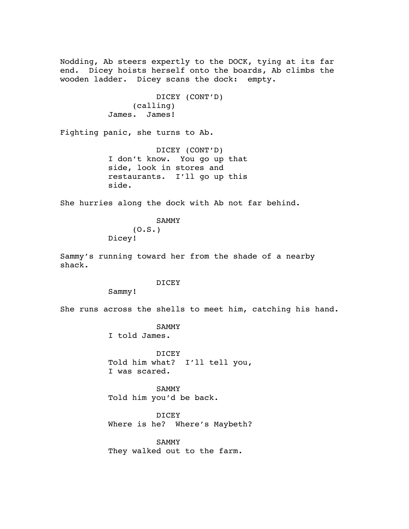Nodding, Ab steers expertly to the DOCK, tying at its far end. Dicey hoists herself onto the boards, Ab climbs the wooden ladder. Dicey scans the dock: empty.

```
DICEY (CONT'D)
     (calling)
James. James!
```
Fighting panic, she turns to Ab.

DICEY (CONT'D) I don't know. You go up that side, look in stores and restaurants. I'll go up this side.

She hurries along the dock with Ab not far behind.

SAMMY  $(0.S.)$ Dicey!

Sammy's running toward her from the shade of a nearby shack.

# DICEY

Sammy!

She runs across the shells to meet him, catching his hand.

**SAMMY** 

I told James.

DICEY Told him what? I'll tell you, I was scared.

SAMMY Told him you'd be back.

DICEY Where is he? Where's Maybeth?

SAMMY They walked out to the farm.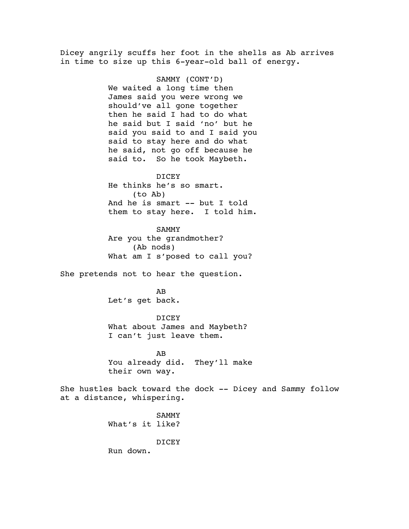Dicey angrily scuffs her foot in the shells as Ab arrives in time to size up this 6-year-old ball of energy.

> SAMMY (CONT'D) We waited a long time then James said you were wrong we should've all gone together then he said I had to do what he said but I said 'no' but he said you said to and I said you said to stay here and do what he said, not go off because he said to. So he took Maybeth.

#### DICEY

He thinks he's so smart. (to Ab) And he is smart -- but I told them to stay here. I told him.

SAMMY Are you the grandmother? (Ab nods) What am I s'posed to call you?

She pretends not to hear the question.

AB Let's get back.

#### DICEY

What about James and Maybeth? I can't just leave them.

AB You already did. They'll make their own way.

She hustles back toward the dock -- Dicey and Sammy follow at a distance, whispering.

> SAMMY What's it like?

> > DICEY

Run down.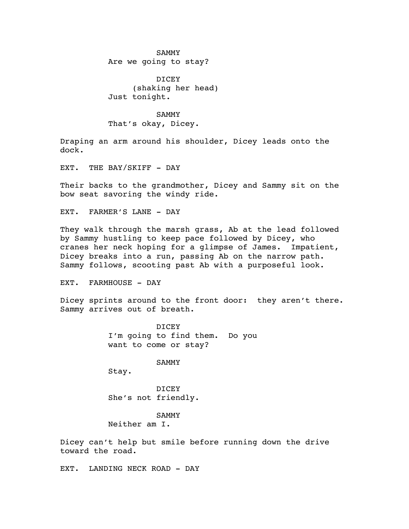#### SAMMY

Are we going to stay?

DICEY (shaking her head) Just tonight.

SAMMY That's okay, Dicey.

Draping an arm around his shoulder, Dicey leads onto the dock.

EXT. THE BAY/SKIFF - DAY

Their backs to the grandmother, Dicey and Sammy sit on the bow seat savoring the windy ride.

EXT. FARMER'S LANE - DAY

They walk through the marsh grass, Ab at the lead followed by Sammy hustling to keep pace followed by Dicey, who cranes her neck hoping for a glimpse of James. Impatient, Dicey breaks into a run, passing Ab on the narrow path. Sammy follows, scooting past Ab with a purposeful look.

EXT. FARMHOUSE - DAY

Dicey sprints around to the front door: they aren't there. Sammy arrives out of breath.

> DICEY I'm going to find them. Do you want to come or stay?

> > SAMMY

Stay.

DICEY She's not friendly.

SAMMY Neither am I.

Dicey can't help but smile before running down the drive toward the road.

EXT. LANDING NECK ROAD - DAY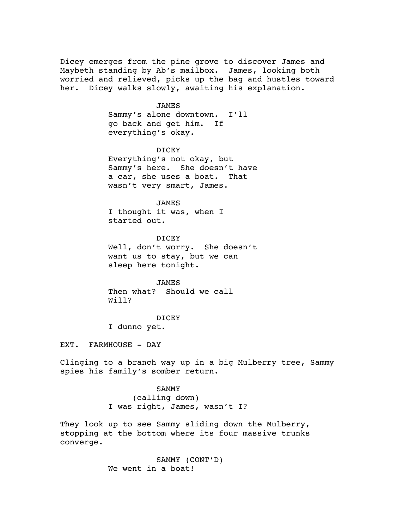Dicey emerges from the pine grove to discover James and Maybeth standing by Ab's mailbox. James, looking both worried and relieved, picks up the bag and hustles toward her. Dicey walks slowly, awaiting his explanation.

#### JAMES

Sammy's alone downtown. I'll go back and get him. If everything's okay.

#### DICEY

Everything's not okay, but Sammy's here. She doesn't have a car, she uses a boat. That wasn't very smart, James.

## JAMES

I thought it was, when I started out.

#### DICEY

Well, don't worry. She doesn't want us to stay, but we can sleep here tonight.

**JAMES** Then what? Should we call Will?

## DICEY

I dunno yet.

EXT. FARMHOUSE - DAY

Clinging to a branch way up in a big Mulberry tree, Sammy spies his family's somber return.

## SAMMY

(calling down) I was right, James, wasn't I?

They look up to see Sammy sliding down the Mulberry, stopping at the bottom where its four massive trunks converge.

> SAMMY (CONT'D) We went in a boat!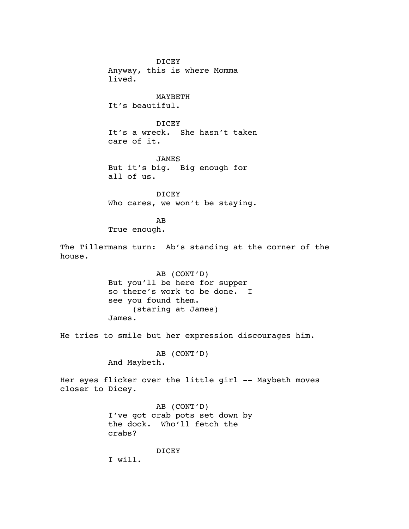DICEY Anyway, this is where Momma lived.

MAYBETH It's beautiful.

DICEY It's a wreck. She hasn't taken care of it.

JAMES But it's big. Big enough for all of us.

DICEY Who cares, we won't be staying.

AB True enough.

The Tillermans turn: Ab's standing at the corner of the house.

> AB (CONT'D) But you'll be here for supper so there's work to be done. I see you found them. (staring at James) James.

He tries to smile but her expression discourages him.

AB (CONT'D) And Maybeth.

Her eyes flicker over the little girl -- Maybeth moves closer to Dicey.

> AB (CONT'D) I've got crab pots set down by the dock. Who'll fetch the crabs?

> > DICEY

I will.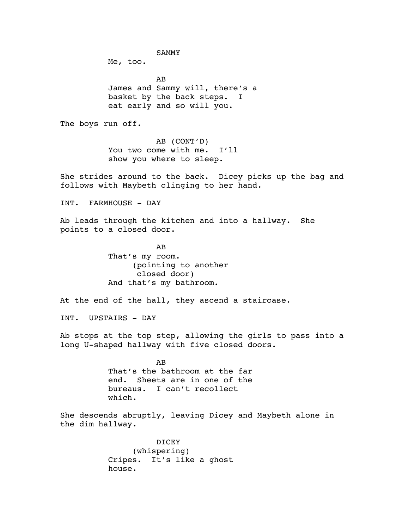SAMMY

Me, too.

AB James and Sammy will, there's a basket by the back steps. I eat early and so will you.

The boys run off.

AB (CONT'D) You two come with me. I'll show you where to sleep.

She strides around to the back. Dicey picks up the bag and follows with Maybeth clinging to her hand.

INT. FARMHOUSE - DAY

Ab leads through the kitchen and into a hallway. She points to a closed door.

> AB That's my room. (pointing to another closed door) And that's my bathroom.

At the end of the hall, they ascend a staircase.

INT. UPSTAIRS - DAY

Ab stops at the top step, allowing the girls to pass into a long U-shaped hallway with five closed doors.

> AB That's the bathroom at the far end. Sheets are in one of the bureaus. I can't recollect which.

She descends abruptly, leaving Dicey and Maybeth alone in the dim hallway.

> DICEY (whispering) Cripes. It's like a ghost house.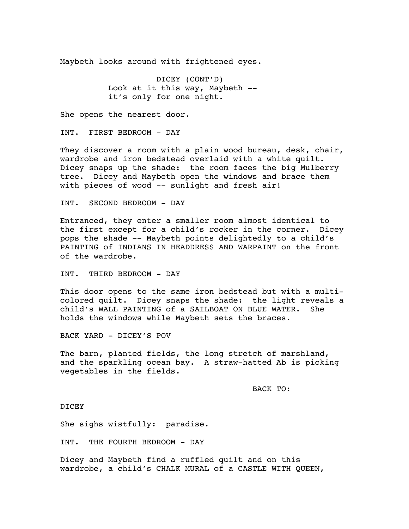Maybeth looks around with frightened eyes.

DICEY (CONT'D) Look at it this way, Maybeth - it's only for one night.

She opens the nearest door.

INT. FIRST BEDROOM - DAY

They discover a room with a plain wood bureau, desk, chair, wardrobe and iron bedstead overlaid with a white quilt. Dicey snaps up the shade: the room faces the big Mulberry tree. Dicey and Maybeth open the windows and brace them with pieces of wood -- sunlight and fresh air!

INT. SECOND BEDROOM - DAY

Entranced, they enter a smaller room almost identical to the first except for a child's rocker in the corner. Dicey pops the shade -- Maybeth points delightedly to a child's PAINTING of INDIANS IN HEADDRESS AND WARPAINT on the front of the wardrobe.

INT. THIRD BEDROOM - DAY

This door opens to the same iron bedstead but with a multicolored quilt. Dicey snaps the shade: the light reveals a child's WALL PAINTING of a SAILBOAT ON BLUE WATER. She holds the windows while Maybeth sets the braces.

BACK YARD - DICEY'S POV

The barn, planted fields, the long stretch of marshland, and the sparkling ocean bay. A straw-hatted Ab is picking vegetables in the fields.

BACK TO:

DICEY

She sighs wistfully: paradise.

INT. THE FOURTH BEDROOM - DAY

Dicey and Maybeth find a ruffled quilt and on this wardrobe, a child's CHALK MURAL of a CASTLE WITH QUEEN,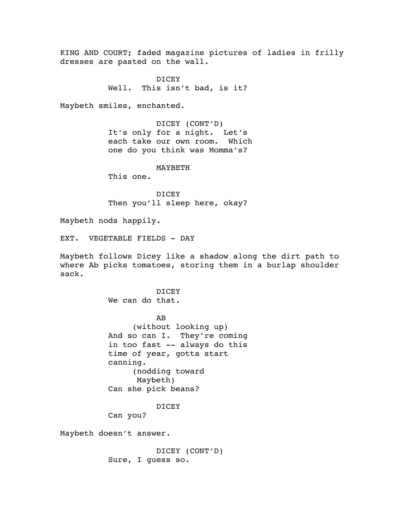KING AND COURT; faded magazine pictures of ladies in frilly dresses are pasted on the wall.

> DICEY Well. This isn't bad, is it?

Maybeth smiles, enchanted.

DICEY (CONT'D) It's only for a night. Let's each take our own room. Which one do you think was Momma's?

MAYBETH

This one.

DICEY Then you'll sleep here, okay?

Maybeth nods happily.

EXT. VEGETABLE FIELDS - DAY

Maybeth follows Dicey like a shadow along the dirt path to where Ab picks tomatoes, storing them in a burlap shoulder sack.

# DICEY

We can do that.

AB (without looking up) And so can I. They're coming in too fast -- always do this time of year, gotta start canning. (nodding toward Maybeth) Can she pick beans?

DICEY

Can you?

Maybeth doesn't answer.

DICEY (CONT'D) Sure, I guess so.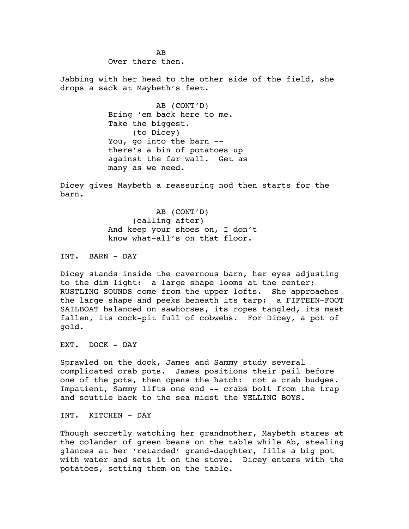Over there then.

AB

Jabbing with her head to the other side of the field, she drops a sack at Maybeth's feet.

> AB (CONT'D) Bring 'em back here to me. Take the biggest. (to Dicey) You, go into the barn - there's a bin of potatoes up against the far wall. Get as many as we need.

Dicey gives Maybeth a reassuring nod then starts for the barn.

> AB (CONT'D) (calling after) And keep your shoes on, I don't know what-all's on that floor.

INT. BARN - DAY

Dicey stands inside the cavernous barn, her eyes adjusting to the dim light: a large shape looms at the center; RUSTLING SOUNDS come from the upper lofts. She approaches the large shape and peeks beneath its tarp: a FIFTEEN-FOOT SAILBOAT balanced on sawhorses, its ropes tangled, its mast fallen, its cock-pit full of cobwebs. For Dicey, a pot of gold.

EXT. DOCK - DAY

Sprawled on the dock, James and Sammy study several complicated crab pots. James positions their pail before one of the pots, then opens the hatch: not a crab budges. Impatient, Sammy lifts one end -- crabs bolt from the trap and scuttle back to the sea midst the YELLING BOYS.

INT. KITCHEN - DAY

Though secretly watching her grandmother, Maybeth stares at the colander of green beans on the table while Ab, stealing glances at her 'retarded' grand-daughter, fills a big pot with water and sets it on the stove. Dicey enters with the potatoes, setting them on the table.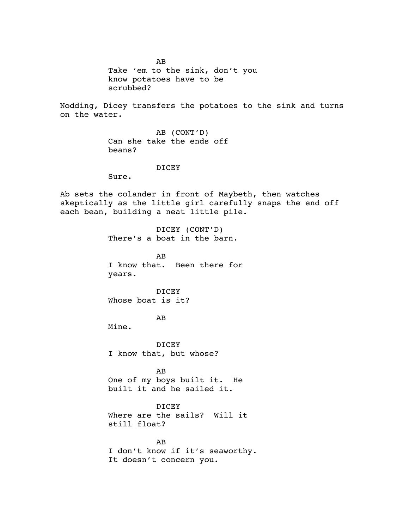AB Take 'em to the sink, don't you know potatoes have to be scrubbed?

Nodding, Dicey transfers the potatoes to the sink and turns on the water.

> AB (CONT'D) Can she take the ends off beans?

## DICEY

Sure.

Ab sets the colander in front of Maybeth, then watches skeptically as the little girl carefully snaps the end off each bean, building a neat little pile.

> DICEY (CONT'D) There's a boat in the barn.

AB I know that. Been there for years.

DICEY Whose boat is it?

AB

Mine.

DICEY I know that, but whose?

AB One of my boys built it. He built it and he sailed it.

DICEY

Where are the sails? Will it still float?

AB I don't know if it's seaworthy. It doesn't concern you.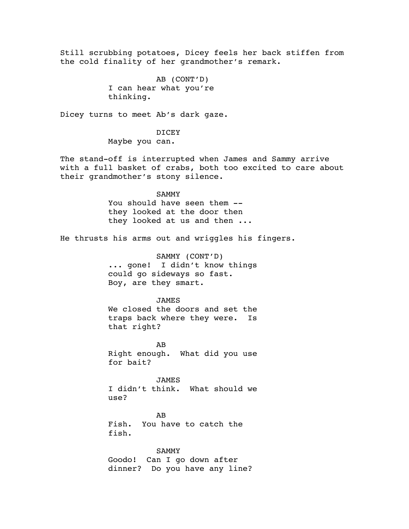Still scrubbing potatoes, Dicey feels her back stiffen from the cold finality of her grandmother's remark.

> AB (CONT'D) I can hear what you're thinking.

Dicey turns to meet Ab's dark gaze.

DICEY Maybe you can.

The stand-off is interrupted when James and Sammy arrive with a full basket of crabs, both too excited to care about their grandmother's stony silence.

#### SAMMY

You should have seen them -they looked at the door then they looked at us and then ...

He thrusts his arms out and wriggles his fingers.

SAMMY (CONT'D) ... gone! I didn't know things could go sideways so fast. Boy, are they smart.

## JAMES

We closed the doors and set the traps back where they were. Is that right?

AB Right enough. What did you use for bait?

JAMES I didn't think. What should we use?

AB Fish. You have to catch the fish.

SAMMY Goodo! Can I go down after dinner? Do you have any line?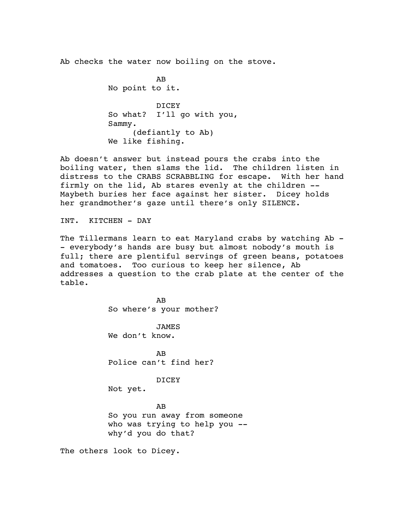Ab checks the water now boiling on the stove.

AB No point to it. DICEY So what? I'll go with you, Sammy. (defiantly to Ab) We like fishing.

Ab doesn't answer but instead pours the crabs into the boiling water, then slams the lid. The children listen in distress to the CRABS SCRABBLING for escape. With her hand firmly on the lid, Ab stares evenly at the children -- Maybeth buries her face against her sister. Dicey holds her grandmother's gaze until there's only SILENCE.

INT. KITCHEN - DAY

The Tillermans learn to eat Maryland crabs by watching Ab -- everybody's hands are busy but almost nobody's mouth is full; there are plentiful servings of green beans, potatoes and tomatoes. Too curious to keep her silence, Ab addresses a question to the crab plate at the center of the table.

> AB So where's your mother?

**JAMES** We don't know.

AB Police can't find her?

#### DICEY

Not yet.

#### AB

So you run away from someone who was trying to help you -why'd you do that?

The others look to Dicey.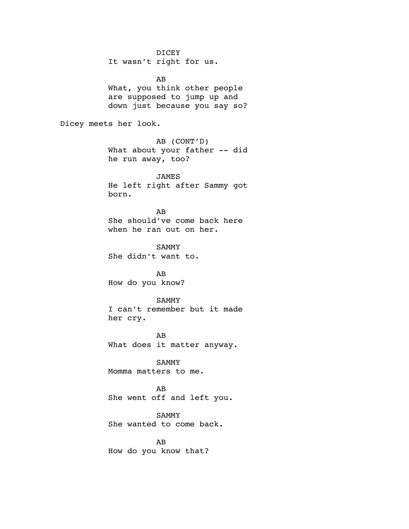It wasn't right for us. AB What, you think other people are supposed to jump up and down just because you say so? Dicey meets her look. AB (CONT'D) What about your father -- did he run away, too? JAMES He left right after Sammy got born. AB She should've come back here when he ran out on her. SAMMY She didn't want to. AB How do you know? SAMMY I can't remember but it made her cry. AB What does it matter anyway. SAMMY Momma matters to me. AB She went off and left you. SAMMY She wanted to come back. AB How do you know that?

DICEY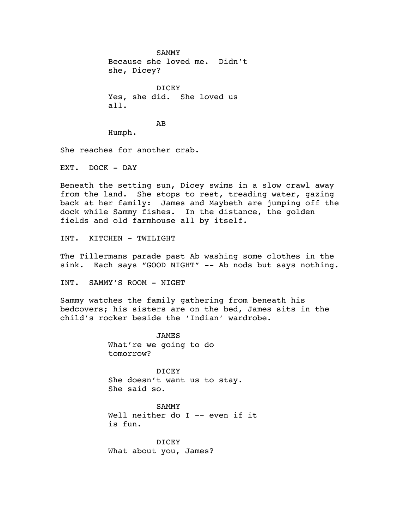SAMMY Because she loved me. Didn't she, Dicey? DICEY Yes, she did. She loved us all.

AB

Humph.

She reaches for another crab.

EXT. DOCK - DAY

Beneath the setting sun, Dicey swims in a slow crawl away from the land. She stops to rest, treading water, gazing back at her family: James and Maybeth are jumping off the dock while Sammy fishes. In the distance, the golden fields and old farmhouse all by itself.

INT. KITCHEN - TWILIGHT

The Tillermans parade past Ab washing some clothes in the sink. Each says "GOOD NIGHT" -- Ab nods but says nothing.

INT. SAMMY'S ROOM - NIGHT

Sammy watches the family gathering from beneath his bedcovers; his sisters are on the bed, James sits in the child's rocker beside the 'Indian' wardrobe.

> JAMES What're we going to do tomorrow?

DICEY She doesn't want us to stay. She said so.

**SAMMY** Well neither do I -- even if it is fun.

DICEY What about you, James?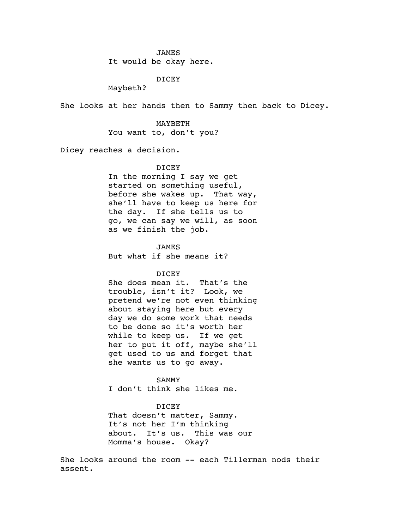#### JAMES

It would be okay here.

## DICEY

Maybeth?

She looks at her hands then to Sammy then back to Dicey.

# MAYBETH You want to, don't you?

Dicey reaches a decision.

# DICEY

In the morning I say we get started on something useful, before she wakes up. That way, she'll have to keep us here for the day. If she tells us to go, we can say we will, as soon as we finish the job.

## JAMES

But what if she means it?

#### DICEY

She does mean it. That's the trouble, isn't it? Look, we pretend we're not even thinking about staying here but every day we do some work that needs to be done so it's worth her while to keep us. If we get her to put it off, maybe she'll get used to us and forget that she wants us to go away.

## **SAMMY**

I don't think she likes me.

## DICEY

That doesn't matter, Sammy. It's not her I'm thinking about. It's us. This was our Momma's house. Okay?

She looks around the room -- each Tillerman nods their assent.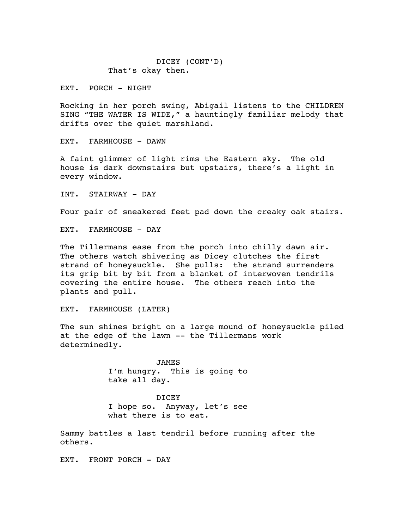DICEY (CONT'D) That's okay then.

EXT. PORCH - NIGHT

Rocking in her porch swing, Abigail listens to the CHILDREN SING "THE WATER IS WIDE," a hauntingly familiar melody that drifts over the quiet marshland.

EXT. FARMHOUSE - DAWN

A faint glimmer of light rims the Eastern sky. The old house is dark downstairs but upstairs, there's a light in every window.

INT. STAIRWAY - DAY

Four pair of sneakered feet pad down the creaky oak stairs.

EXT. FARMHOUSE - DAY

The Tillermans ease from the porch into chilly dawn air. The others watch shivering as Dicey clutches the first strand of honeysuckle. She pulls: the strand surrenders its grip bit by bit from a blanket of interwoven tendrils covering the entire house. The others reach into the plants and pull.

EXT. FARMHOUSE (LATER)

The sun shines bright on a large mound of honeysuckle piled at the edge of the lawn -- the Tillermans work determinedly.

> JAMES I'm hungry. This is going to take all day.

> DICEY I hope so. Anyway, let's see what there is to eat.

Sammy battles a last tendril before running after the others.

EXT. FRONT PORCH - DAY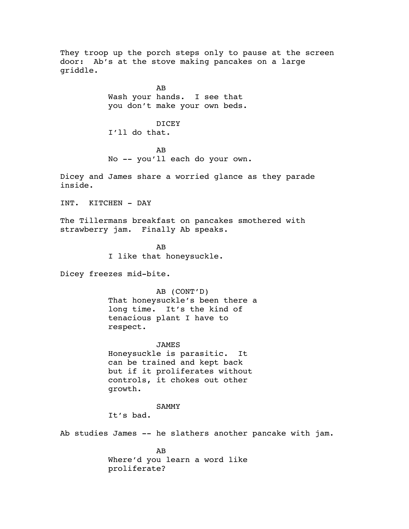They troop up the porch steps only to pause at the screen door: Ab's at the stove making pancakes on a large griddle.

> AB Wash your hands. I see that you don't make your own beds.

DICEY I'll do that.

AB No -- you'll each do your own.

Dicey and James share a worried glance as they parade inside.

INT. KITCHEN - DAY

The Tillermans breakfast on pancakes smothered with strawberry jam. Finally Ab speaks.

> AB I like that honeysuckle.

Dicey freezes mid-bite.

AB (CONT'D) That honeysuckle's been there a long time. It's the kind of tenacious plant I have to respect.

JAMES Honeysuckle is parasitic. It can be trained and kept back but if it proliferates without controls, it chokes out other growth.

#### SAMMY

It's bad.

Ab studies James -- he slathers another pancake with jam.

AB Where'd you learn a word like proliferate?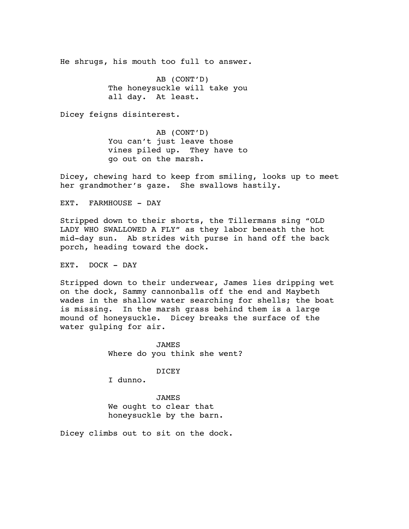He shrugs, his mouth too full to answer.

AB (CONT'D) The honeysuckle will take you all day. At least.

Dicey feigns disinterest.

AB (CONT'D) You can't just leave those vines piled up. They have to go out on the marsh.

Dicey, chewing hard to keep from smiling, looks up to meet her grandmother's gaze. She swallows hastily.

EXT. FARMHOUSE - DAY

Stripped down to their shorts, the Tillermans sing "OLD LADY WHO SWALLOWED A FLY" as they labor beneath the hot mid-day sun. Ab strides with purse in hand off the back porch, heading toward the dock.

EXT. DOCK - DAY

Stripped down to their underwear, James lies dripping wet on the dock, Sammy cannonballs off the end and Maybeth wades in the shallow water searching for shells; the boat is missing. In the marsh grass behind them is a large mound of honeysuckle. Dicey breaks the surface of the water gulping for air.

> JAMES Where do you think she went?

> > DICEY

I dunno.

JAMES We ought to clear that honeysuckle by the barn.

Dicey climbs out to sit on the dock.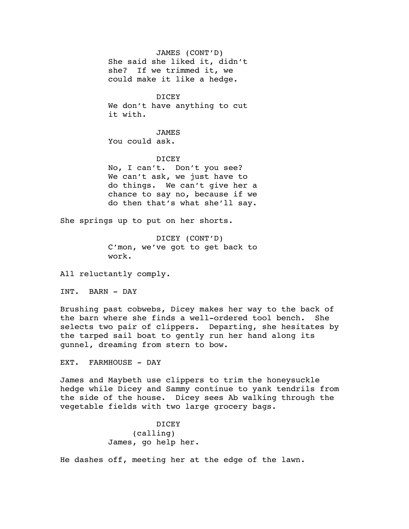JAMES (CONT'D) She said she liked it, didn't she? If we trimmed it, we could make it like a hedge.

DICEY We don't have anything to cut it with.

JAMES You could ask.

## DICEY

No, I can't. Don't you see? We can't ask, we just have to do things. We can't give her a chance to say no, because if we do then that's what she'll say.

She springs up to put on her shorts.

DICEY (CONT'D) C'mon, we've got to get back to work.

All reluctantly comply.

INT. BARN - DAY

Brushing past cobwebs, Dicey makes her way to the back of the barn where she finds a well-ordered tool bench. She selects two pair of clippers. Departing, she hesitates by the tarped sail boat to gently run her hand along its gunnel, dreaming from stern to bow.

EXT. FARMHOUSE - DAY

James and Maybeth use clippers to trim the honeysuckle hedge while Dicey and Sammy continue to yank tendrils from the side of the house. Dicey sees Ab walking through the vegetable fields with two large grocery bags.

> DICEY (calling) James, go help her.

He dashes off, meeting her at the edge of the lawn.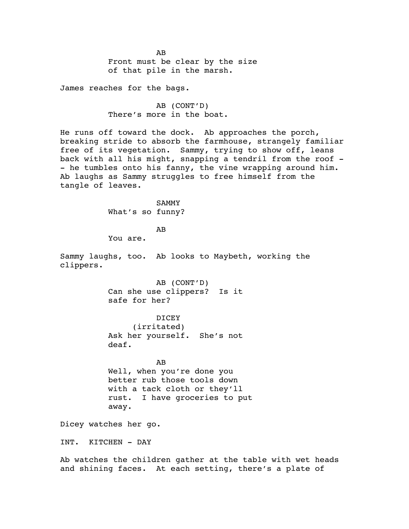AB Front must be clear by the size of that pile in the marsh.

James reaches for the bags.

AB (CONT'D) There's more in the boat.

He runs off toward the dock. Ab approaches the porch, breaking stride to absorb the farmhouse, strangely familiar free of its vegetation. Sammy, trying to show off, leans back with all his might, snapping a tendril from the roof - - he tumbles onto his fanny, the vine wrapping around him. Ab laughs as Sammy struggles to free himself from the tangle of leaves.

> SAMMY What's so funny?

> > AB

You are.

Sammy laughs, too. Ab looks to Maybeth, working the clippers.

> AB (CONT'D) Can she use clippers? Is it safe for her?

> DICEY (irritated) Ask her yourself. She's not deaf.

AB Well, when you're done you better rub those tools down with a tack cloth or they'll rust. I have groceries to put away.

Dicey watches her go.

INT. KITCHEN - DAY

Ab watches the children gather at the table with wet heads and shining faces. At each setting, there's a plate of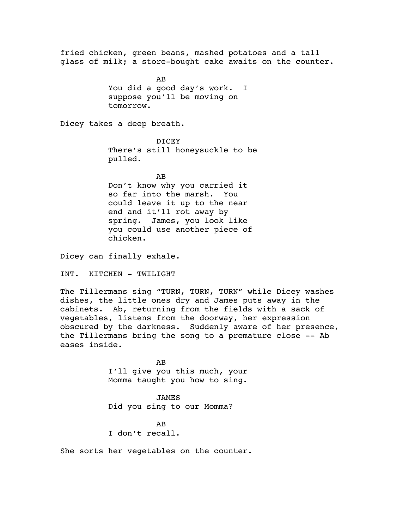fried chicken, green beans, mashed potatoes and a tall glass of milk; a store-bought cake awaits on the counter.

> AB You did a good day's work. I suppose you'll be moving on tomorrow.

Dicey takes a deep breath.

DICEY There's still honeysuckle to be pulled.

AB

Don't know why you carried it so far into the marsh. You could leave it up to the near end and it'll rot away by spring. James, you look like you could use another piece of chicken.

Dicey can finally exhale.

INT. KITCHEN - TWILIGHT

The Tillermans sing "TURN, TURN, TURN" while Dicey washes dishes, the little ones dry and James puts away in the cabinets. Ab, returning from the fields with a sack of vegetables, listens from the doorway, her expression obscured by the darkness. Suddenly aware of her presence, the Tillermans bring the song to a premature close -- Ab eases inside.

> AB I'll give you this much, your Momma taught you how to sing.

JAMES Did you sing to our Momma?

AB I don't recall.

She sorts her vegetables on the counter.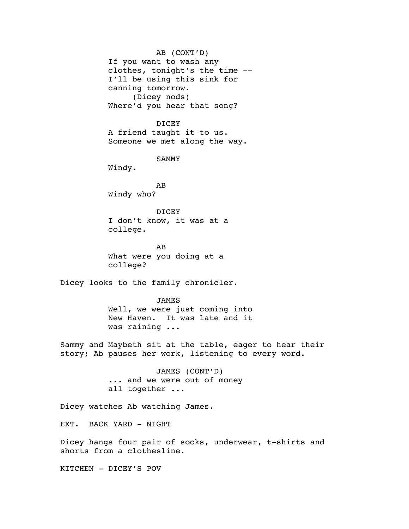AB (CONT'D) If you want to wash any clothes, tonight's the time -- I'll be using this sink for canning tomorrow. (Dicey nods) Where'd you hear that song?

DICEY A friend taught it to us. Someone we met along the way.

SAMMY

Windy.

AB Windy who?

DICEY I don't know, it was at a college.

AB What were you doing at a college?

Dicey looks to the family chronicler.

JAMES Well, we were just coming into New Haven. It was late and it was raining ...

Sammy and Maybeth sit at the table, eager to hear their story; Ab pauses her work, listening to every word.

> JAMES (CONT'D) ... and we were out of money all together ...

Dicey watches Ab watching James.

EXT. BACK YARD - NIGHT

Dicey hangs four pair of socks, underwear, t-shirts and shorts from a clothesline.

KITCHEN - DICEY'S POV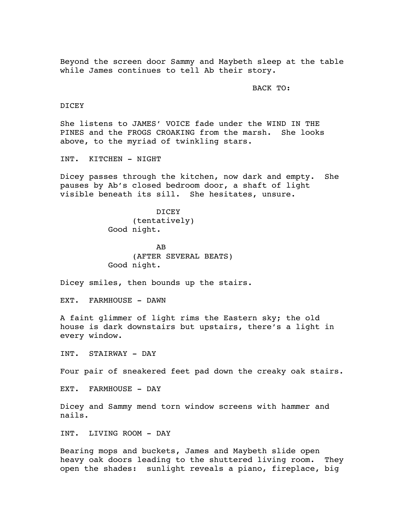Beyond the screen door Sammy and Maybeth sleep at the table while James continues to tell Ab their story.

BACK TO:

DICEY

She listens to JAMES' VOICE fade under the WIND IN THE PINES and the FROGS CROAKING from the marsh. She looks above, to the myriad of twinkling stars.

INT. KITCHEN - NIGHT

Dicey passes through the kitchen, now dark and empty. She pauses by Ab's closed bedroom door, a shaft of light visible beneath its sill. She hesitates, unsure.

> **DICEY** (tentatively) Good night.

AB (AFTER SEVERAL BEATS) Good night.

Dicey smiles, then bounds up the stairs.

EXT. FARMHOUSE - DAWN

A faint glimmer of light rims the Eastern sky; the old house is dark downstairs but upstairs, there's a light in every window.

INT. STAIRWAY - DAY

Four pair of sneakered feet pad down the creaky oak stairs.

EXT. FARMHOUSE - DAY

Dicey and Sammy mend torn window screens with hammer and nails.

INT. LIVING ROOM - DAY

Bearing mops and buckets, James and Maybeth slide open heavy oak doors leading to the shuttered living room. They open the shades: sunlight reveals a piano, fireplace, big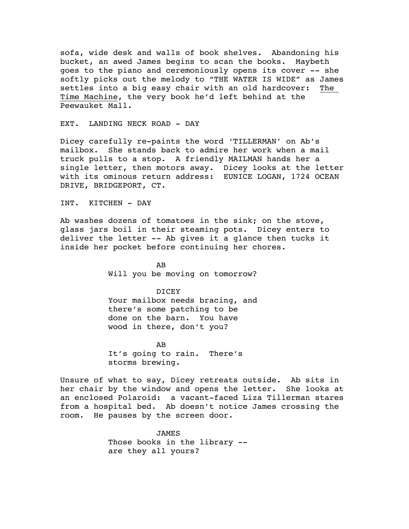sofa, wide desk and walls of book shelves. Abandoning his bucket, an awed James begins to scan the books. Maybeth goes to the piano and ceremoniously opens its cover -- she softly picks out the melody to "THE WATER IS WIDE" as James settles into a big easy chair with an old hardcover: The Time Machine, the very book he'd left behind at the Peewauket Mall.

EXT. LANDING NECK ROAD - DAY

Dicey carefully re-paints the word 'TILLERMAN' on Ab's mailbox. She stands back to admire her work when a mail truck pulls to a stop. A friendly MAILMAN hands her a single letter, then motors away. Dicey looks at the letter with its ominous return address: EUNICE LOGAN, 1724 OCEAN DRIVE, BRIDGEPORT, CT.

INT. KITCHEN - DAY

Ab washes dozens of tomatoes in the sink; on the stove, glass jars boil in their steaming pots. Dicey enters to deliver the letter -- Ab gives it a glance then tucks it inside her pocket before continuing her chores.

> AB Will you be moving on tomorrow?

## DICEY

Your mailbox needs bracing, and there's some patching to be done on the barn. You have wood in there, don't you?

AB It's going to rain. There's storms brewing.

Unsure of what to say, Dicey retreats outside. Ab sits in her chair by the window and opens the letter. She looks at an enclosed Polaroid: a vacant-faced Liza Tillerman stares from a hospital bed. Ab doesn't notice James crossing the room. He pauses by the screen door.

> JAMES Those books in the library - are they all yours?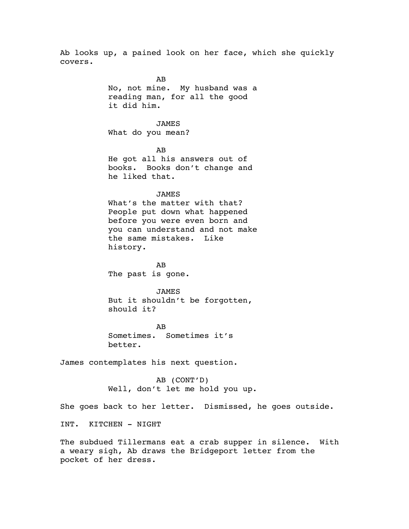Ab looks up, a pained look on her face, which she quickly covers.

> AB No, not mine. My husband was a reading man, for all the good it did him. JAMES What do you mean? AB He got all his answers out of books. Books don't change and he liked that. **JAMES** What's the matter with that? People put down what happened before you were even born and you can understand and not make the same mistakes. Like history. AB The past is gone. JAMES But it shouldn't be forgotten, should it? AB

Sometimes. Sometimes it's better.

James contemplates his next question.

AB (CONT'D) Well, don't let me hold you up.

She goes back to her letter. Dismissed, he goes outside.

INT. KITCHEN - NIGHT

The subdued Tillermans eat a crab supper in silence. With a weary sigh, Ab draws the Bridgeport letter from the pocket of her dress.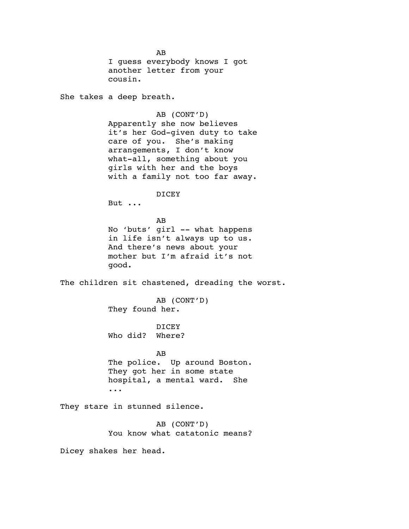AB I guess everybody knows I got another letter from your cousin.

She takes a deep breath.

AB (CONT'D) Apparently she now believes it's her God-given duty to take care of you. She's making arrangements, I don't know what-all, something about you girls with her and the boys with a family not too far away.

## DICEY

But ...

AB No 'buts' girl -- what happens in life isn't always up to us. And there's news about your mother but I'm afraid it's not good.

The children sit chastened, dreading the worst.

AB (CONT'D) They found her.

DICEY Who did? Where?

AB

The police. Up around Boston. They got her in some state hospital, a mental ward. She ...

They stare in stunned silence.

AB (CONT'D) You know what catatonic means?

Dicey shakes her head.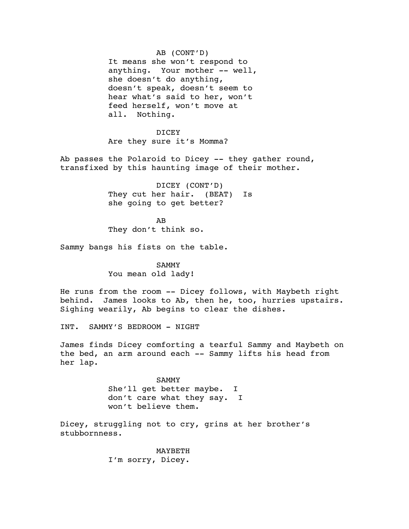AB (CONT'D) It means she won't respond to anything. Your mother -- well, she doesn't do anything, doesn't speak, doesn't seem to hear what's said to her, won't feed herself, won't move at all. Nothing.

DICEY Are they sure it's Momma?

Ab passes the Polaroid to Dicey -- they gather round, transfixed by this haunting image of their mother.

> DICEY (CONT'D) They cut her hair. (BEAT) Is she going to get better?

AB They don't think so.

Sammy bangs his fists on the table.

SAMMY You mean old lady!

He runs from the room -- Dicey follows, with Maybeth right behind. James looks to Ab, then he, too, hurries upstairs. Sighing wearily, Ab begins to clear the dishes.

INT. SAMMY'S BEDROOM - NIGHT

James finds Dicey comforting a tearful Sammy and Maybeth on the bed, an arm around each -- Sammy lifts his head from her lap.

> SAMMY She'll get better maybe. I don't care what they say. I won't believe them.

Dicey, struggling not to cry, grins at her brother's stubbornness.

> MAYBETH I'm sorry, Dicey.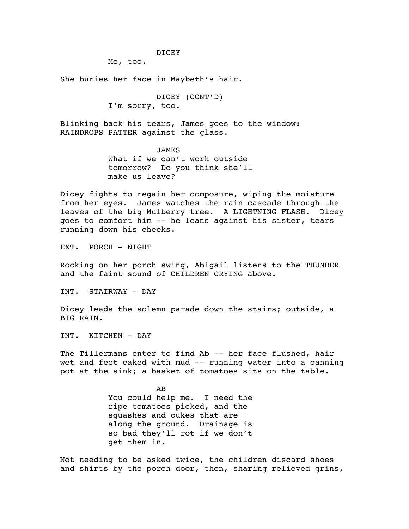DICEY

Me, too.

She buries her face in Maybeth's hair.

DICEY (CONT'D) I'm sorry, too.

Blinking back his tears, James goes to the window: RAINDROPS PATTER against the glass.

> JAMES What if we can't work outside tomorrow? Do you think she'll make us leave?

Dicey fights to regain her composure, wiping the moisture from her eyes. James watches the rain cascade through the leaves of the big Mulberry tree. A LIGHTNING FLASH. Dicey goes to comfort him -- he leans against his sister, tears running down his cheeks.

EXT. PORCH - NIGHT

Rocking on her porch swing, Abigail listens to the THUNDER and the faint sound of CHILDREN CRYING above.

INT. STAIRWAY - DAY

Dicey leads the solemn parade down the stairs; outside, a BIG RAIN.

INT. KITCHEN - DAY

The Tillermans enter to find Ab -- her face flushed, hair wet and feet caked with mud -- running water into a canning pot at the sink; a basket of tomatoes sits on the table.

> AB You could help me. I need the ripe tomatoes picked, and the squashes and cukes that are along the ground. Drainage is so bad they'll rot if we don't get them in.

Not needing to be asked twice, the children discard shoes and shirts by the porch door, then, sharing relieved grins,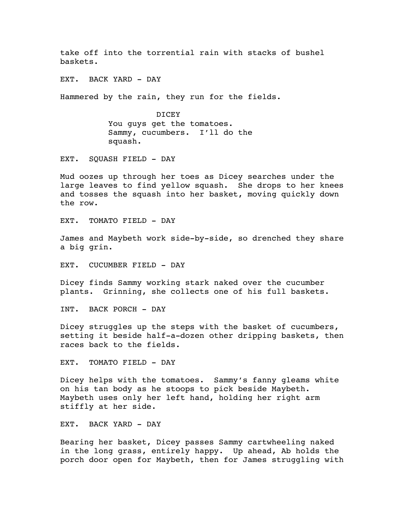take off into the torrential rain with stacks of bushel baskets.

EXT. BACK YARD - DAY

Hammered by the rain, they run for the fields.

DICEY You guys get the tomatoes. Sammy, cucumbers. I'll do the squash.

EXT. SOUASH FIELD - DAY

Mud oozes up through her toes as Dicey searches under the large leaves to find yellow squash. She drops to her knees and tosses the squash into her basket, moving quickly down the row.

EXT. TOMATO FIELD - DAY

James and Maybeth work side-by-side, so drenched they share a big grin.

EXT. CUCUMBER FIELD - DAY

Dicey finds Sammy working stark naked over the cucumber plants. Grinning, she collects one of his full baskets.

INT. BACK PORCH - DAY

Dicey struggles up the steps with the basket of cucumbers, setting it beside half-a-dozen other dripping baskets, then races back to the fields.

EXT. TOMATO FIELD - DAY

Dicey helps with the tomatoes. Sammy's fanny gleams white on his tan body as he stoops to pick beside Maybeth. Maybeth uses only her left hand, holding her right arm stiffly at her side.

EXT. BACK YARD - DAY

Bearing her basket, Dicey passes Sammy cartwheeling naked in the long grass, entirely happy. Up ahead, Ab holds the porch door open for Maybeth, then for James struggling with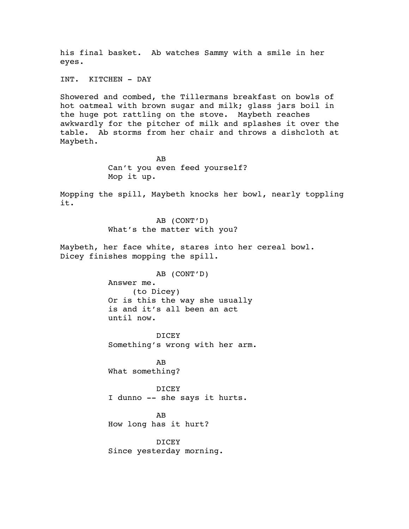his final basket. Ab watches Sammy with a smile in her eyes.

INT. KITCHEN - DAY

Showered and combed, the Tillermans breakfast on bowls of hot oatmeal with brown sugar and milk; glass jars boil in the huge pot rattling on the stove. Maybeth reaches awkwardly for the pitcher of milk and splashes it over the table. Ab storms from her chair and throws a dishcloth at Maybeth.

> AB Can't you even feed yourself? Mop it up.

Mopping the spill, Maybeth knocks her bowl, nearly toppling it.

> AB (CONT'D) What's the matter with you?

Maybeth, her face white, stares into her cereal bowl. Dicey finishes mopping the spill.

AB (CONT'D)

Answer me.

(to Dicey) Or is this the way she usually is and it's all been an act until now.

DICEY Something's wrong with her arm.

AB What something?

DICEY I dunno -- she says it hurts.

AB How long has it hurt?

DICEY Since yesterday morning.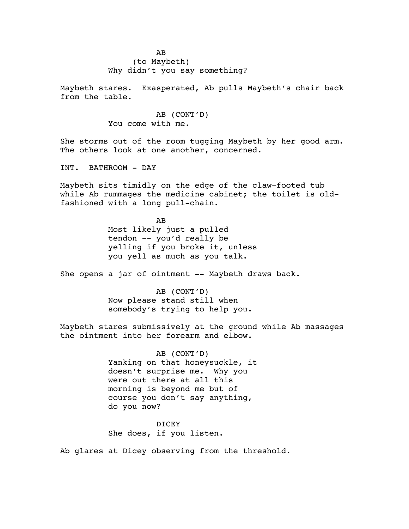Maybeth stares. Exasperated, Ab pulls Maybeth's chair back from the table.

> AB (CONT'D) You come with me.

She storms out of the room tugging Maybeth by her good arm. The others look at one another, concerned.

INT. BATHROOM - DAY

Maybeth sits timidly on the edge of the claw-footed tub while Ab rummages the medicine cabinet; the toilet is oldfashioned with a long pull-chain.

> AB Most likely just a pulled tendon -- you'd really be yelling if you broke it, unless you yell as much as you talk.

She opens a jar of ointment -- Maybeth draws back.

AB (CONT'D) Now please stand still when somebody's trying to help you.

Maybeth stares submissively at the ground while Ab massages the ointment into her forearm and elbow.

> AB (CONT'D) Yanking on that honeysuckle, it doesn't surprise me. Why you were out there at all this morning is beyond me but of course you don't say anything, do you now?

DICEY She does, if you listen.

Ab glares at Dicey observing from the threshold.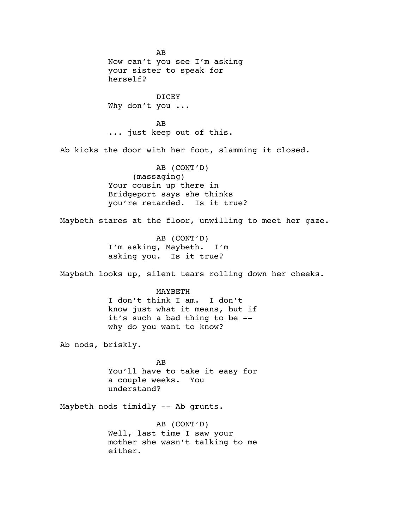AB Now can't you see I'm asking your sister to speak for herself? DICEY Why don't you ... AB ... just keep out of this. Ab kicks the door with her foot, slamming it closed. AB (CONT'D) (massaging) Your cousin up there in Bridgeport says she thinks you're retarded. Is it true? Maybeth stares at the floor, unwilling to meet her gaze. AB (CONT'D) I'm asking, Maybeth. I'm asking you. Is it true? Maybeth looks up, silent tears rolling down her cheeks. MAYBETH I don't think I am. I don't know just what it means, but if it's such a bad thing to be - why do you want to know? Ab nods, briskly. AB You'll have to take it easy for a couple weeks. You understand? Maybeth nods timidly -- Ab grunts. AB (CONT'D) Well, last time I saw your mother she wasn't talking to me either.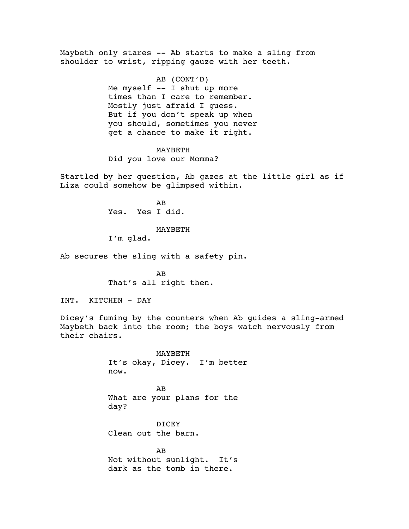Maybeth only stares -- Ab starts to make a sling from shoulder to wrist, ripping gauze with her teeth.

> AB (CONT'D) Me myself -- I shut up more times than I care to remember. Mostly just afraid I guess. But if you don't speak up when you should, sometimes you never get a chance to make it right.

> > MAYBETH

Did you love our Momma?

Startled by her question, Ab gazes at the little girl as if Liza could somehow be glimpsed within.

> AB Yes. Yes I did.

#### MAYBETH

I'm glad.

Ab secures the sling with a safety pin.

AB That's all right then.

INT. KITCHEN - DAY

Dicey's fuming by the counters when Ab guides a sling-armed Maybeth back into the room; the boys watch nervously from their chairs.

> MAYBETH It's okay, Dicey. I'm better now.

AB What are your plans for the day?

DICEY Clean out the barn.

AB Not without sunlight. It's dark as the tomb in there.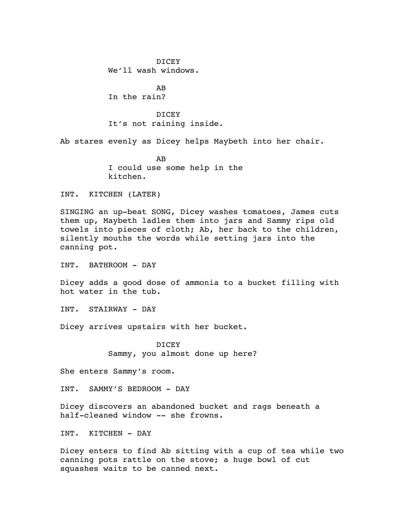DICEY We'll wash windows.

AB In the rain?

DICEY It's not raining inside.

Ab stares evenly as Dicey helps Maybeth into her chair.

AB I could use some help in the kitchen.

INT. KITCHEN (LATER)

SINGING an up-beat SONG, Dicey washes tomatoes, James cuts them up, Maybeth ladles them into jars and Sammy rips old towels into pieces of cloth; Ab, her back to the children, silently mouths the words while setting jars into the canning pot.

INT. BATHROOM - DAY

Dicey adds a good dose of ammonia to a bucket filling with hot water in the tub.

INT. STAIRWAY - DAY

Dicey arrives upstairs with her bucket.

DICEY Sammy, you almost done up here?

She enters Sammy's room.

INT. SAMMY'S BEDROOM - DAY

Dicey discovers an abandoned bucket and rags beneath a half-cleaned window -- she frowns.

INT. KITCHEN - DAY

Dicey enters to find Ab sitting with a cup of tea while two canning pots rattle on the stove; a huge bowl of cut squashes waits to be canned next.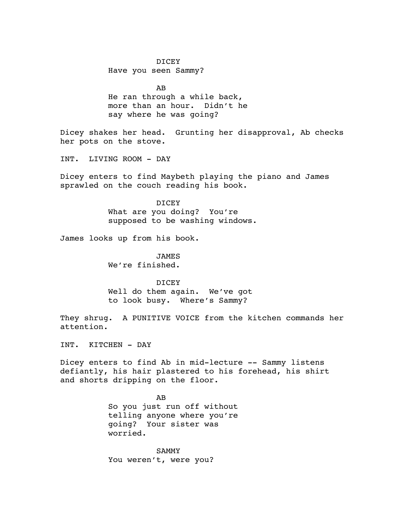DICEY Have you seen Sammy?

AB He ran through a while back, more than an hour. Didn't he say where he was going?

Dicey shakes her head. Grunting her disapproval, Ab checks her pots on the stove.

INT. LIVING ROOM - DAY

Dicey enters to find Maybeth playing the piano and James sprawled on the couch reading his book.

> DICEY What are you doing? You're supposed to be washing windows.

James looks up from his book.

**JAMES** We're finished.

DICEY Well do them again. We've got to look busy. Where's Sammy?

They shrug. A PUNITIVE VOICE from the kitchen commands her attention.

INT. KITCHEN - DAY

Dicey enters to find Ab in mid-lecture -- Sammy listens defiantly, his hair plastered to his forehead, his shirt and shorts dripping on the floor.

> AB So you just run off without telling anyone where you're going? Your sister was worried.

SAMMY You weren't, were you?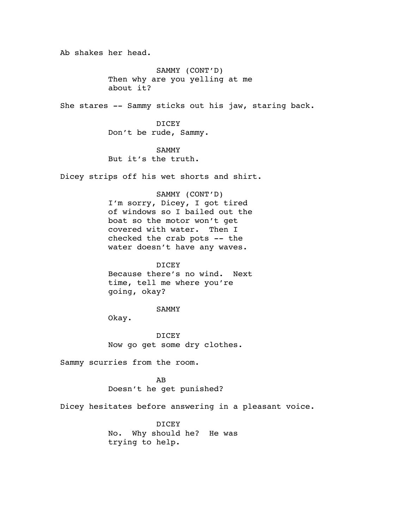Ab shakes her head.

SAMMY (CONT'D) Then why are you yelling at me about it?

She stares -- Sammy sticks out his jaw, staring back.

DICEY Don't be rude, Sammy.

SAMMY But it's the truth.

Dicey strips off his wet shorts and shirt.

SAMMY (CONT'D) I'm sorry, Dicey, I got tired of windows so I bailed out the boat so the motor won't get covered with water. Then I checked the crab pots -- the water doesn't have any waves.

DICEY Because there's no wind. Next time, tell me where you're going, okay?

### SAMMY

Okay.

DICEY Now go get some dry clothes.

Sammy scurries from the room.

AB Doesn't he get punished?

Dicey hesitates before answering in a pleasant voice.

DICEY No. Why should he? He was trying to help.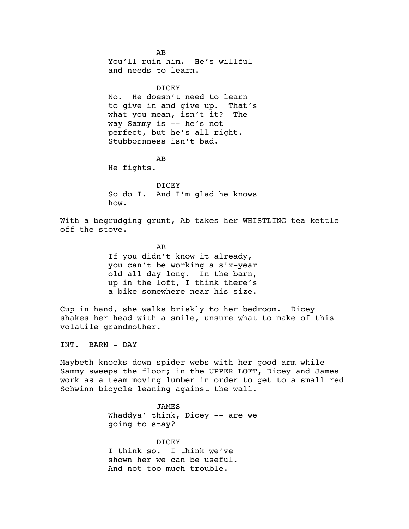AB You'll ruin him. He's willful and needs to learn. DICEY No. He doesn't need to learn to give in and give up. That's what you mean, isn't it? The way Sammy is -- he's not perfect, but he's all right. Stubbornness isn't bad. AB He fights. **DICEY** So do I. And I'm glad he knows how. With a begrudging grunt, Ab takes her WHISTLING tea kettle off the stove. AB If you didn't know it already, you can't be working a six-year old all day long. In the barn, up in the loft, I think there's a bike somewhere near his size. Cup in hand, she walks briskly to her bedroom. Dicey shakes her head with a smile, unsure what to make of this volatile grandmother. INT. BARN - DAY Maybeth knocks down spider webs with her good arm while Sammy sweeps the floor; in the UPPER LOFT, Dicey and James work as a team moving lumber in order to get to a small red

Schwinn bicycle leaning against the wall. JAMES

Whaddya' think, Dicey -- are we going to stay?

DICEY I think so. I think we've shown her we can be useful. And not too much trouble.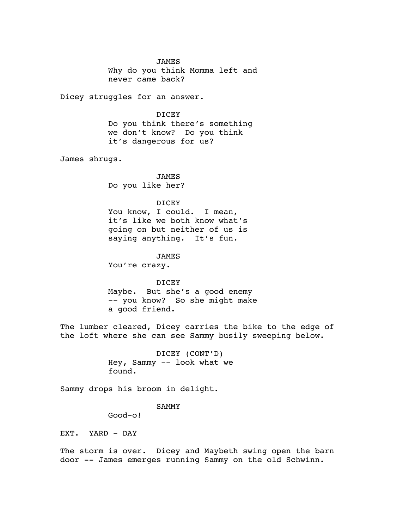JAMES Why do you think Momma left and never came back?

Dicey struggles for an answer.

DICEY Do you think there's something we don't know? Do you think it's dangerous for us?

James shrugs.

JAMES Do you like her?

# DICEY

You know, I could. I mean, it's like we both know what's going on but neither of us is saying anything. It's fun.

JAMES You're crazy.

DICEY Maybe. But she's a good enemy -- you know? So she might make a good friend.

The lumber cleared, Dicey carries the bike to the edge of the loft where she can see Sammy busily sweeping below.

> DICEY (CONT'D) Hey, Sammy -- look what we found.

Sammy drops his broom in delight.

# SAMMY

Good-o!

EXT. YARD - DAY

The storm is over. Dicey and Maybeth swing open the barn door -- James emerges running Sammy on the old Schwinn.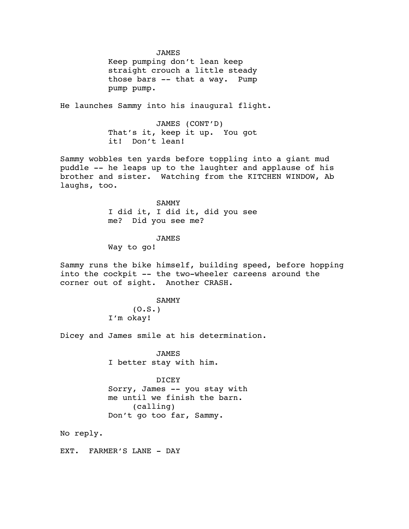JAMES

Keep pumping don't lean keep straight crouch a little steady those bars -- that a way. Pump pump pump.

He launches Sammy into his inaugural flight.

JAMES (CONT'D) That's it, keep it up. You got it! Don't lean!

Sammy wobbles ten yards before toppling into a giant mud puddle -- he leaps up to the laughter and applause of his brother and sister. Watching from the KITCHEN WINDOW, Ab laughs, too.

> SAMMY I did it, I did it, did you see me? Did you see me?

#### JAMES

Way to go!

Sammy runs the bike himself, building speed, before hopping into the cockpit -- the two-wheeler careens around the corner out of sight. Another CRASH.

### SAMMY  $(0.S.)$

I'm okay!

Dicey and James smile at his determination.

JAMES I better stay with him.

#### DICEY

Sorry, James -- you stay with me until we finish the barn. (calling) Don't go too far, Sammy.

No reply.

EXT. FARMER'S LANE - DAY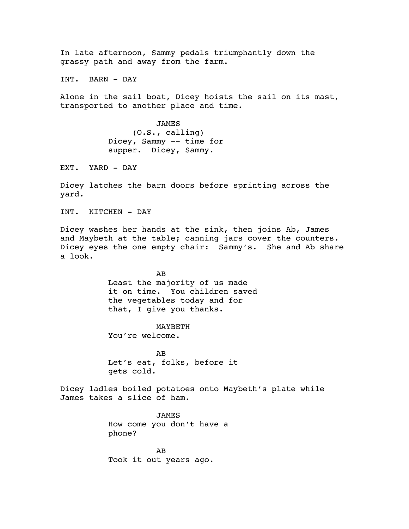In late afternoon, Sammy pedals triumphantly down the grassy path and away from the farm.

INT. BARN - DAY

Alone in the sail boat, Dicey hoists the sail on its mast, transported to another place and time.

> JAMES (O.S., calling) Dicey, Sammy -- time for supper. Dicey, Sammy.

EXT. YARD - DAY

Dicey latches the barn doors before sprinting across the yard.

INT. KITCHEN - DAY

Dicey washes her hands at the sink, then joins Ab, James and Maybeth at the table; canning jars cover the counters. Dicey eyes the one empty chair: Sammy's. She and Ab share a look.

> AB Least the majority of us made it on time. You children saved the vegetables today and for that, I give you thanks.

## MAYBETH

You're welcome.

AB Let's eat, folks, before it gets cold.

Dicey ladles boiled potatoes onto Maybeth's plate while James takes a slice of ham.

> JAMES How come you don't have a phone?

AB Took it out years ago.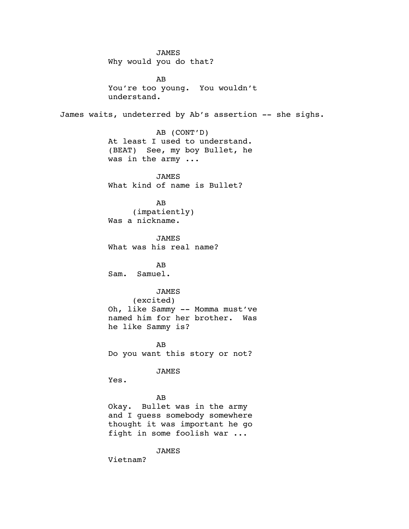JAMES Why would you do that? AB You're too young. You wouldn't understand. James waits, undeterred by Ab's assertion -- she sighs. AB (CONT'D) At least I used to understand. (BEAT) See, my boy Bullet, he was in the army ... JAMES What kind of name is Bullet? AB (impatiently) Was a nickname. JAMES What was his real name? AB Sam. Samuel. JAMES (excited) Oh, like Sammy -- Momma must've named him for her brother. Was he like Sammy is? AB Do you want this story or not? JAMES Yes. AB Okay. Bullet was in the army and I guess somebody somewhere thought it was important he go fight in some foolish war ... JAMES Vietnam?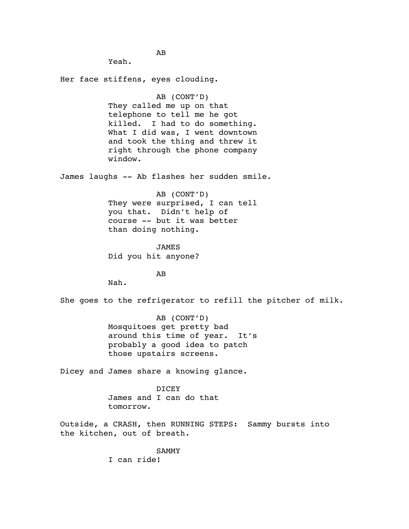Yeah. Her face stiffens, eyes clouding. AB (CONT'D) They called me up on that telephone to tell me he got killed. I had to do something. What I did was, I went downtown and took the thing and threw it right through the phone company window. James laughs -- Ab flashes her sudden smile. AB (CONT'D) They were surprised, I can tell you that. Didn't help of course -- but it was better than doing nothing. JAMES Did you hit anyone? AB Nah. She goes to the refrigerator to refill the pitcher of milk. AB (CONT'D) Mosquitoes get pretty bad around this time of year. It's probably a good idea to patch those upstairs screens. Dicey and James share a knowing glance. DICEY James and I can do that tomorrow. Outside, a CRASH, then RUNNING STEPS: Sammy bursts into the kitchen, out of breath. SAMMY

AB

I can ride!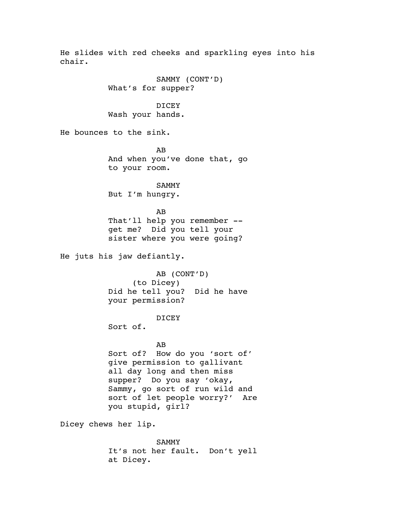He slides with red cheeks and sparkling eyes into his chair. SAMMY (CONT'D) What's for supper? DICEY Wash your hands. He bounces to the sink. AB And when you've done that, go to your room. SAMMY But I'm hungry. AB That'll help you remember - get me? Did you tell your sister where you were going? He juts his jaw defiantly. AB (CONT'D) (to Dicey) Did he tell you? Did he have your permission? DICEY Sort of. AB Sort of? How do you 'sort of' give permission to gallivant all day long and then miss supper? Do you say 'okay, Sammy, go sort of run wild and sort of let people worry?' Are you stupid, girl? Dicey chews her lip. SAMMY It's not her fault. Don't yell

at Dicey.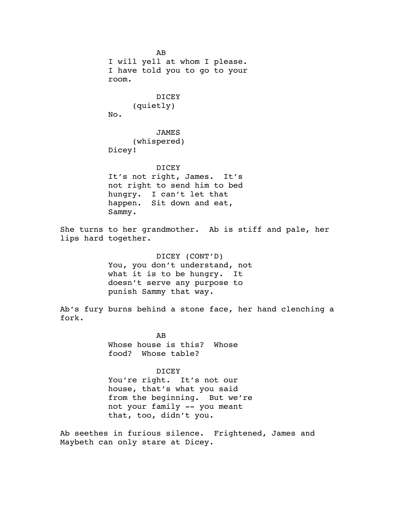AB I will yell at whom I please. I have told you to go to your room. DICEY (quietly) No. JAMES (whispered) Dicey! DICEY It's not right, James. It's not right to send him to bed hungry. I can't let that happen. Sit down and eat, Sammy. She turns to her grandmother. Ab is stiff and pale, her lips hard together. DICEY (CONT'D) You, you don't understand, not what it is to be hungry. It doesn't serve any purpose to punish Sammy that way. Ab's fury burns behind a stone face, her hand clenching a fork. AB Whose house is this? Whose food? Whose table? DICEY You're right. It's not our house, that's what you said from the beginning. But we're not your family -- you meant that, too, didn't you.

Ab seethes in furious silence. Frightened, James and Maybeth can only stare at Dicey.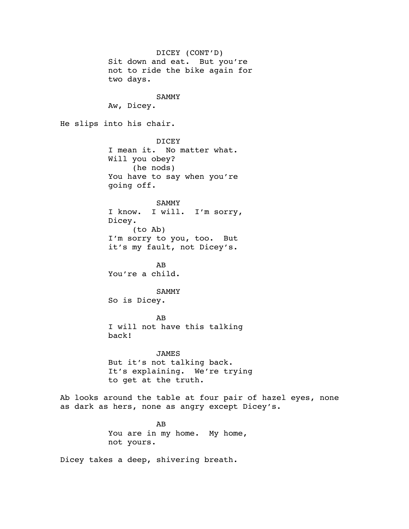DICEY (CONT'D) Sit down and eat. But you're not to ride the bike again for two days. SAMMY Aw, Dicey. He slips into his chair. DICEY I mean it. No matter what. Will you obey? (he nods) You have to say when you're going off. SAMMY I know. I will. I'm sorry, Dicey. (to Ab) I'm sorry to you, too. But it's my fault, not Dicey's. AB You're a child. SAMMY So is Dicey. AB I will not have this talking back! JAMES But it's not talking back. It's explaining. We're trying to get at the truth. Ab looks around the table at four pair of hazel eyes, none as dark as hers, none as angry except Dicey's. AB You are in my home. My home, not yours.

Dicey takes a deep, shivering breath.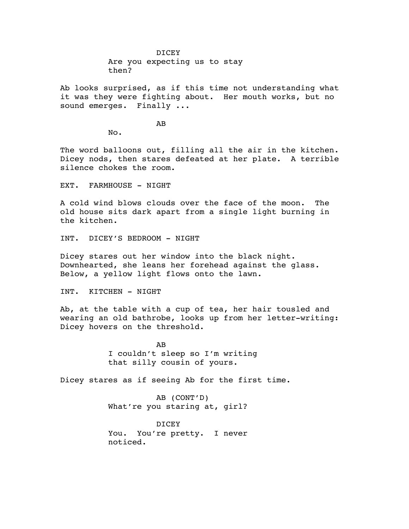DICEY Are you expecting us to stay then?

Ab looks surprised, as if this time not understanding what it was they were fighting about. Her mouth works, but no sound emerges. Finally ...

AB

No.

The word balloons out, filling all the air in the kitchen. Dicey nods, then stares defeated at her plate. A terrible silence chokes the room.

EXT. FARMHOUSE - NIGHT

A cold wind blows clouds over the face of the moon. The old house sits dark apart from a single light burning in the kitchen.

INT. DICEY'S BEDROOM - NIGHT

Dicey stares out her window into the black night. Downhearted, she leans her forehead against the glass. Below, a yellow light flows onto the lawn.

INT. KITCHEN - NIGHT

Ab, at the table with a cup of tea, her hair tousled and wearing an old bathrobe, looks up from her letter-writing: Dicey hovers on the threshold.

> AB I couldn't sleep so I'm writing that silly cousin of yours.

Dicey stares as if seeing Ab for the first time.

AB (CONT'D) What're you staring at, girl?

DICEY You. You're pretty. I never noticed.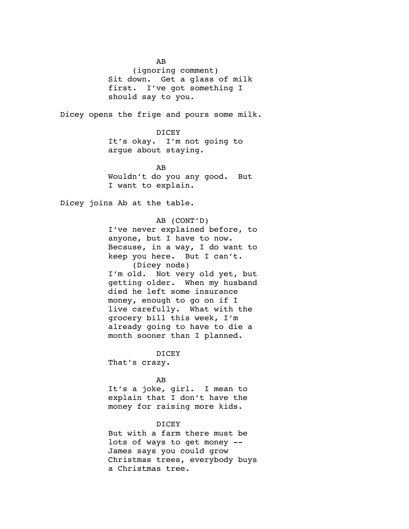AB (ignoring comment) Sit down. Get a glass of milk first. I've got something I should say to you.

Dicey opens the frige and pours some milk.

DICEY It's okay. I'm not going to argue about staying.

AB Wouldn't do you any good. But I want to explain.

Dicey joins Ab at the table.

AB (CONT'D) I've never explained before, to anyone, but I have to now. Because, in a way, I do want to keep you here. But I can't. (Dicey nods) I'm old. Not very old yet, but getting older. When my husband died he left some insurance money, enough to go on if I live carefully. What with the grocery bill this week, I'm already going to have to die a month sooner than I planned.

DICEY That's crazy.

## AB

It's a joke, girl. I mean to explain that I don't have the money for raising more kids.

### DICEY

But with a farm there must be lots of ways to get money -- James says you could grow Christmas trees, everybody buys a Christmas tree.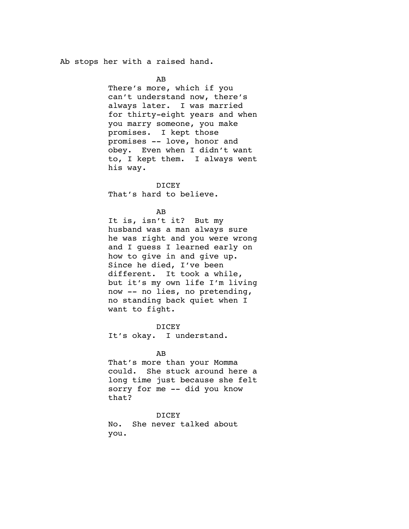Ab stops her with a raised hand.

AB

There's more, which if you can't understand now, there's always later. I was married for thirty-eight years and when you marry someone, you make promises. I kept those promises -- love, honor and obey. Even when I didn't want to, I kept them. I always went his way.

DICEY That's hard to believe.

## AB

It is, isn't it? But my husband was a man always sure he was right and you were wrong and I guess I learned early on how to give in and give up. Since he died, I've been different. It took a while, but it's my own life I'm living now -- no lies, no pretending, no standing back quiet when I want to fight.

DICEY

It's okay. I understand.

#### AB

That's more than your Momma could. She stuck around here a long time just because she felt sorry for me -- did you know that?

DICEY

No. She never talked about you.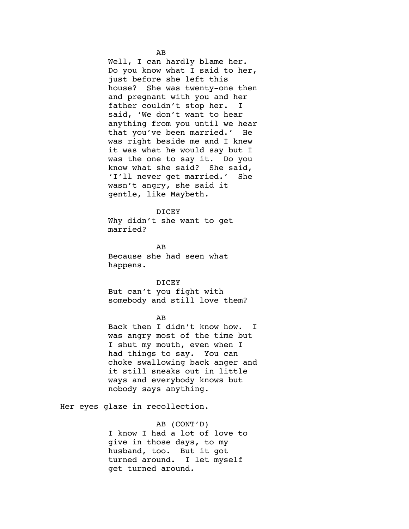Well, I can hardly blame her. Do you know what I said to her, just before she left this house? She was twenty-one then and pregnant with you and her father couldn't stop her. I said, 'We don't want to hear anything from you until we hear that you've been married.' He was right beside me and I knew it was what he would say but I was the one to say it. Do you know what she said? She said, 'I'll never get married.' She wasn't angry, she said it gentle, like Maybeth.

#### DICEY

Why didn't she want to get married?

AB Because she had seen what happens.

DICEY But can't you fight with somebody and still love them?

#### AB

Back then I didn't know how. I was angry most of the time but I shut my mouth, even when I had things to say. You can choke swallowing back anger and it still sneaks out in little ways and everybody knows but nobody says anything.

Her eyes glaze in recollection.

AB (CONT'D) I know I had a lot of love to give in those days, to my husband, too. But it got turned around. I let myself get turned around.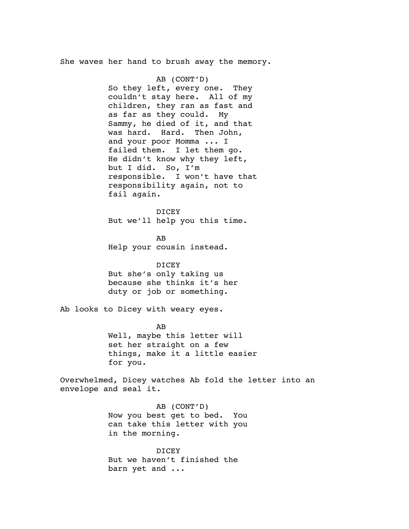She waves her hand to brush away the memory.

AB (CONT'D) So they left, every one. They couldn't stay here. All of my children, they ran as fast and as far as they could. My Sammy, he died of it, and that was hard. Hard. Then John, and your poor Momma ... I failed them. I let them go. He didn't know why they left, but I did. So, I'm responsible. I won't have that responsibility again, not to fail again.

**DICEY** But we'll help you this time.

AB Help your cousin instead.

DICEY But she's only taking us because she thinks it's her duty or job or something.

Ab looks to Dicey with weary eyes.

AB Well, maybe this letter will set her straight on a few things, make it a little easier for you.

Overwhelmed, Dicey watches Ab fold the letter into an envelope and seal it.

> AB (CONT'D) Now you best get to bed. You can take this letter with you in the morning.

DICEY But we haven't finished the barn yet and ...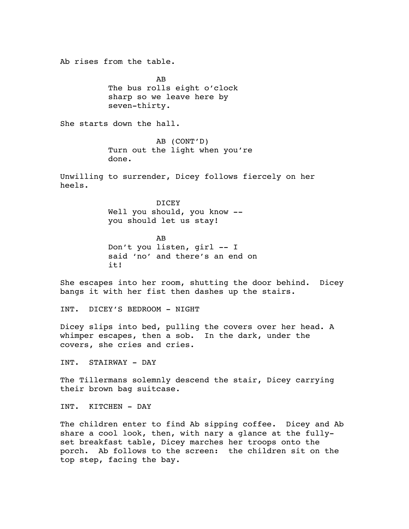Ab rises from the table. AB The bus rolls eight o'clock sharp so we leave here by seven-thirty. She starts down the hall. AB (CONT'D) Turn out the light when you're done. Unwilling to surrender, Dicey follows fiercely on her heels. DICEY Well you should, you know - you should let us stay! AB Don't you listen, girl -- I said 'no' and there's an end on it! She escapes into her room, shutting the door behind. Dicey bangs it with her fist then dashes up the stairs. INT. DICEY'S BEDROOM - NIGHT Dicey slips into bed, pulling the covers over her head. A whimper escapes, then a sob. In the dark, under the covers, she cries and cries. INT. STAIRWAY - DAY The Tillermans solemnly descend the stair, Dicey carrying their brown bag suitcase. INT. KITCHEN - DAY

The children enter to find Ab sipping coffee. Dicey and Ab share a cool look, then, with nary a glance at the fullyset breakfast table, Dicey marches her troops onto the porch. Ab follows to the screen: the children sit on the top step, facing the bay.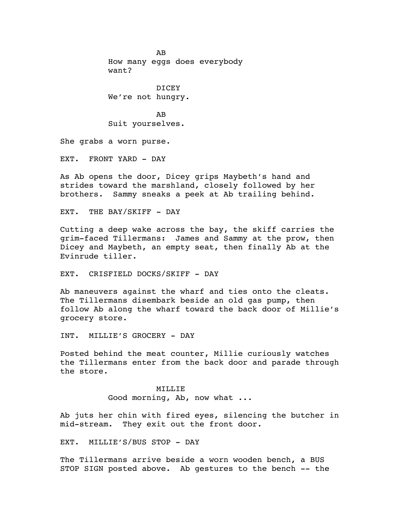AB How many eggs does everybody want?

DICEY We're not hungry.

AB Suit yourselves.

She grabs a worn purse.

EXT. FRONT YARD - DAY

As Ab opens the door, Dicey grips Maybeth's hand and strides toward the marshland, closely followed by her brothers. Sammy sneaks a peek at Ab trailing behind.

EXT. THE BAY/SKIFF - DAY

Cutting a deep wake across the bay, the skiff carries the grim-faced Tillermans: James and Sammy at the prow, then Dicey and Maybeth, an empty seat, then finally Ab at the Evinrude tiller.

EXT. CRISFIELD DOCKS/SKIFF - DAY

Ab maneuvers against the wharf and ties onto the cleats. The Tillermans disembark beside an old gas pump, then follow Ab along the wharf toward the back door of Millie's grocery store.

INT. MILLIE'S GROCERY - DAY

Posted behind the meat counter, Millie curiously watches the Tillermans enter from the back door and parade through the store.

> MILLIE Good morning, Ab, now what ...

Ab juts her chin with fired eyes, silencing the butcher in mid-stream. They exit out the front door.

EXT. MILLIE'S/BUS STOP - DAY

The Tillermans arrive beside a worn wooden bench, a BUS STOP SIGN posted above. Ab gestures to the bench -- the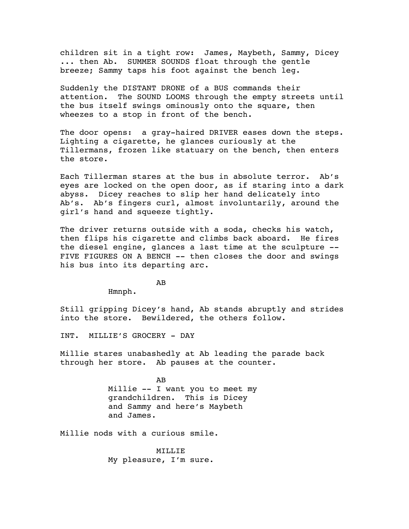children sit in a tight row: James, Maybeth, Sammy, Dicey ... then Ab. SUMMER SOUNDS float through the gentle breeze; Sammy taps his foot against the bench leg.

Suddenly the DISTANT DRONE of a BUS commands their attention. The SOUND LOOMS through the empty streets until the bus itself swings ominously onto the square, then wheezes to a stop in front of the bench.

The door opens: a gray-haired DRIVER eases down the steps. Lighting a cigarette, he glances curiously at the Tillermans, frozen like statuary on the bench, then enters the store.

Each Tillerman stares at the bus in absolute terror. Ab's eyes are locked on the open door, as if staring into a dark abyss. Dicey reaches to slip her hand delicately into Ab's. Ab's fingers curl, almost involuntarily, around the girl's hand and squeeze tightly.

The driver returns outside with a soda, checks his watch, then flips his cigarette and climbs back aboard. He fires the diesel engine, glances a last time at the sculpture -- FIVE FIGURES ON A BENCH -- then closes the door and swings his bus into its departing arc.

AB

Hmnph.

Still gripping Dicey's hand, Ab stands abruptly and strides into the store. Bewildered, the others follow.

INT. MILLIE'S GROCERY - DAY

Millie stares unabashedly at Ab leading the parade back through her store. Ab pauses at the counter.

> AB Millie -- I want you to meet my grandchildren. This is Dicey and Sammy and here's Maybeth and James.

Millie nods with a curious smile.

MILLIE My pleasure, I'm sure.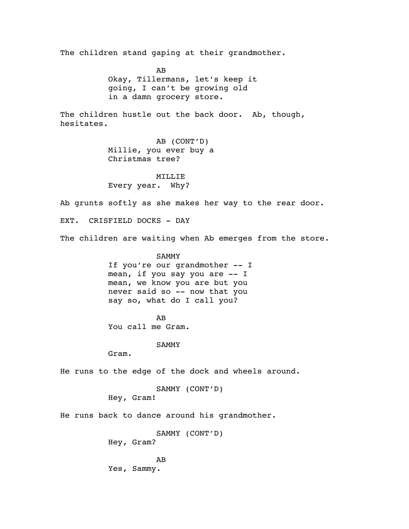The children stand gaping at their grandmother.

AB Okay, Tillermans, let's keep it going, I can't be growing old in a damn grocery store.

The children hustle out the back door. Ab, though, hesitates.

> AB (CONT'D) Millie, you ever buy a Christmas tree?

MILLIE Every year. Why?

Ab grunts softly as she makes her way to the rear door.

EXT. CRISFIELD DOCKS - DAY

The children are waiting when Ab emerges from the store.

SAMMY If you're our grandmother -- I mean, if you say you are -- I mean, we know you are but you never said so -- now that you say so, what do I call you?

AB You call me Gram.

SAMMY

Gram.

He runs to the edge of the dock and wheels around.

```
SAMMY (CONT'D)
Hey, Gram!
```
He runs back to dance around his grandmother.

SAMMY (CONT'D) Hey, Gram?

AB Yes, Sammy.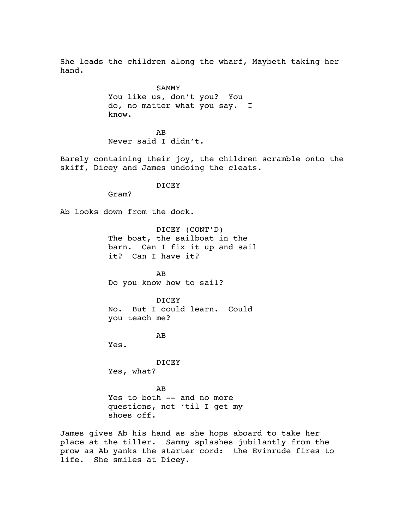She leads the children along the wharf, Maybeth taking her hand.

> SAMMY You like us, don't you? You do, no matter what you say. I know.

AB Never said I didn't.

Barely containing their joy, the children scramble onto the skiff, Dicey and James undoing the cleats.

**DICEY** 

Ab looks down from the dock.

Gram?

DICEY (CONT'D) The boat, the sailboat in the barn. Can I fix it up and sail it? Can I have it?

AB Do you know how to sail?

DICEY No. But I could learn. Could you teach me?

AB

Yes.

DICEY Yes, what?

AB Yes to both -- and no more questions, not 'til I get my shoes off.

James gives Ab his hand as she hops aboard to take her place at the tiller. Sammy splashes jubilantly from the prow as Ab yanks the starter cord: the Evinrude fires to life. She smiles at Dicey.